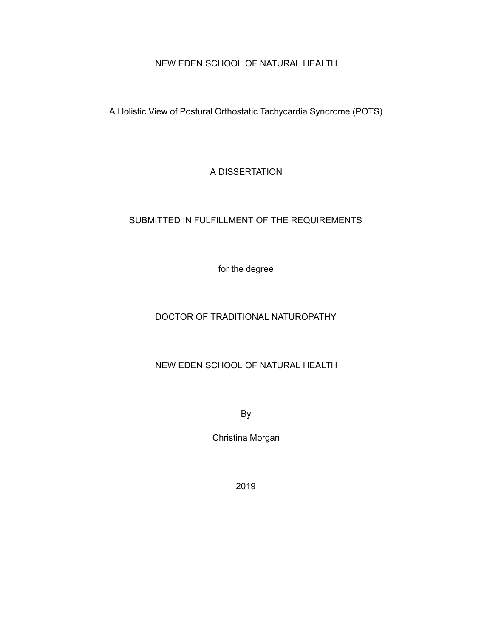# NEW EDEN SCHOOL OF NATURAL HEALTH

A Holistic View of Postural Orthostatic Tachycardia Syndrome (POTS)

A DISSERTATION

# SUBMITTED IN FULFILLMENT OF THE REQUIREMENTS

for the degree

# DOCTOR OF TRADITIONAL NATUROPATHY

# NEW EDEN SCHOOL OF NATURAL HEALTH

By

Christina Morgan

2019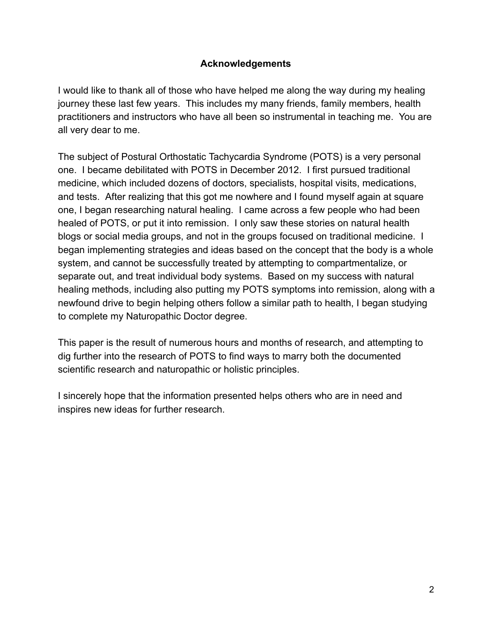# **Acknowledgements**

I would like to thank all of those who have helped me along the way during my healing journey these last few years. This includes my many friends, family members, health practitioners and instructors who have all been so instrumental in teaching me. You are all very dear to me.

The subject of Postural Orthostatic Tachycardia Syndrome (POTS) is a very personal one. I became debilitated with POTS in December 2012. I first pursued traditional medicine, which included dozens of doctors, specialists, hospital visits, medications, and tests. After realizing that this got me nowhere and I found myself again at square one, I began researching natural healing. I came across a few people who had been healed of POTS, or put it into remission. I only saw these stories on natural health blogs or social media groups, and not in the groups focused on traditional medicine. I began implementing strategies and ideas based on the concept that the body is a whole system, and cannot be successfully treated by attempting to compartmentalize, or separate out, and treat individual body systems. Based on my success with natural healing methods, including also putting my POTS symptoms into remission, along with a newfound drive to begin helping others follow a similar path to health, I began studying to complete my Naturopathic Doctor degree.

This paper is the result of numerous hours and months of research, and attempting to dig further into the research of POTS to find ways to marry both the documented scientific research and naturopathic or holistic principles.

I sincerely hope that the information presented helps others who are in need and inspires new ideas for further research.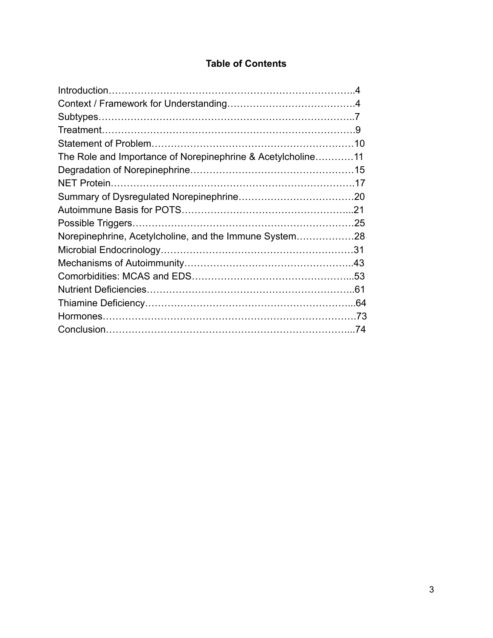# **Table of Contents**

| The Role and Importance of Norepinephrine & Acetylcholine11 |  |
|-------------------------------------------------------------|--|
|                                                             |  |
|                                                             |  |
|                                                             |  |
|                                                             |  |
|                                                             |  |
| Norepinephrine, Acetylcholine, and the Immune System28      |  |
|                                                             |  |
|                                                             |  |
|                                                             |  |
|                                                             |  |
|                                                             |  |
|                                                             |  |
|                                                             |  |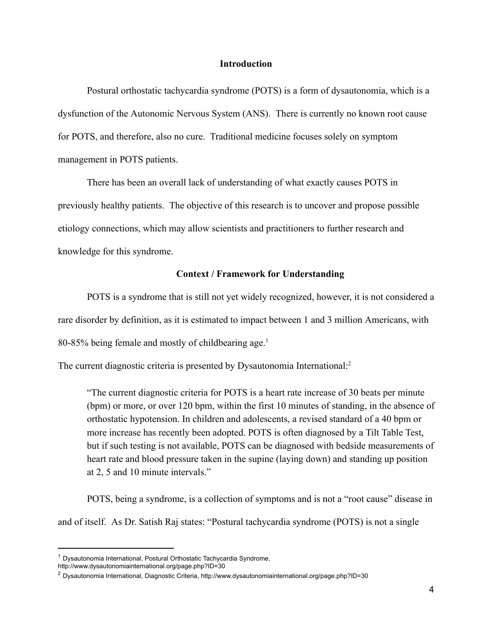#### **Introduction**

Postural orthostatic tachycardia syndrome (POTS) is a form of dysautonomia, which is a dysfunction of the Autonomic Nervous System (ANS). There is currently no known root cause for POTS, and therefore, also no cure. Traditional medicine focuses solely on symptom management in POTS patients.

There has been an overall lack of understanding of what exactly causes POTS in previously healthy patients. The objective of this research is to uncover and propose possible etiology connections, which may allow scientists and practitioners to further research and knowledge for this syndrome.

### **Context / Framework for Understanding**

POTS is a syndrome that is still not yet widely recognized, however, it is not considered a

rare disorder by definition, as it is estimated to impact between 1 and 3 million Americans, with

 $80-85%$  being female and mostly of childbearing age.<sup>1</sup>

The current diagnostic criteria is presented by Dysautonomia International:<sup>2</sup>

"The current diagnostic criteria for POTS is a heart rate increase of 30 beats per minute  $(bpm)$  or more, or over 120 bpm, within the first 10 minutes of standing, in the absence of orthostatic hypotension. In children and adolescents, a revised standard of a 40 bpm or more increase has recently been adopted. POTS is often diagnosed by a Tilt Table Test, but if such testing is not available, POTS can be diagnosed with bedside measurements of heart rate and blood pressure taken in the supine (laying down) and standing up position at 2, 5 and 10 minute intervals."

POTS, being a syndrome, is a collection of symptoms and is not a "root cause" disease in and of itself. As Dr. Satish Raj states: "Postural tachycardia syndrome (POTS) is not a single

<sup>1</sup> Dysautonomia International, Postural Orthostatic Tachycardia Syndrome,

http://www.dysautonomiainternational.org/page.php?ID=30

<sup>2</sup> Dysautonomia International, Diagnostic Criteria, http://www.dysautonomiainternational.org/page.php?ID=30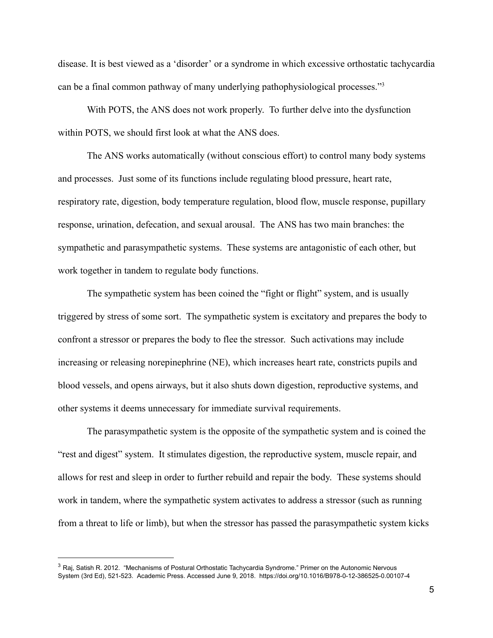disease. It is best viewed as a 'disorder' or a syndrome in which excessive orthostatic tachycardia can be a final common pathway of many underlying pathophysiological processes."<sup>3</sup>

With POTS, the ANS does not work properly. To further delve into the dysfunction within POTS, we should first look at what the ANS does.

The ANS works automatically (without conscious effort) to control many body systems and processes. Just some of its functions include regulating blood pressure, heart rate, respiratory rate, digestion, body temperature regulation, blood flow, muscle response, pupillary response, urination, defecation, and sexual arousal. The ANS has two main branches: the sympathetic and parasympathetic systems. These systems are antagonistic of each other, but work together in tandem to regulate body functions.

The sympathetic system has been coined the "fight or flight" system, and is usually triggered by stress of some sort. The sympathetic system is excitatory and prepares the body to confront a stressor or prepares the body to flee the stressor. Such activations may include increasing or releasing norepinephrine (NE), which increases heart rate, constricts pupils and blood vessels, and opens airways, but it also shuts down digestion, reproductive systems, and other systems it deems unnecessary for immediate survival requirements.

The parasympathetic system is the opposite of the sympathetic system and is coined the "rest and digest" system. It stimulates digestion, the reproductive system, muscle repair, and allows for rest and sleep in order to further rebuild and repair the body. These systems should work in tandem, where the sympathetic system activates to address a stressor (such as running from a threat to life or limb), but when the stressor has passed the parasympathetic system kicks

<sup>&</sup>lt;sup>3</sup> Raj, Satish R. 2012. "Mechanisms of Postural Orthostatic Tachycardia Syndrome." Primer on the Autonomic Nervous System (3rd Ed), 521-523. Academic Press. Accessed June 9, 2018. https://doi.org/10.1016/B978-0-12-386525-0.00107-4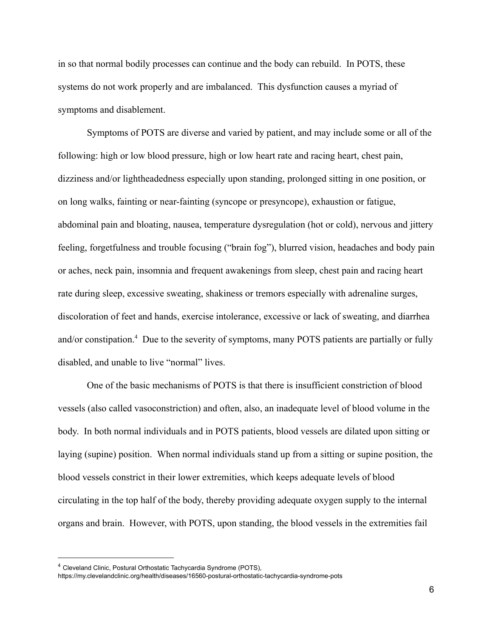in so that normal bodily processes can continue and the body can rebuild. In POTS, these systems do not work properly and are imbalanced. This dysfunction causes a myriad of symptoms and disablement.

Symptoms of POTS are diverse and varied by patient, and may include some or all of the following: high or low blood pressure, high or low heart rate and racing heart, chest pain, dizziness and/or lightheadedness especially upon standing, prolonged sitting in one position, or on long walks, fainting or near-fainting (syncope or presyncope), exhaustion or fatigue, abdominal pain and bloating, nausea, temperature dysregulation (hot or cold), nervous and jittery feeling, forgetfulness and trouble focusing ("brain fog"), blurred vision, headaches and body pain or aches, neck pain, insomnia and frequent awakenings from sleep, chest pain and racing heart rate during sleep, excessive sweating, shakiness or tremors especially with adrenaline surges, discoloration of feet and hands, exercise intolerance, excessive or lack of sweating, and diarrhea and/or constipation.<sup>4</sup> Due to the severity of symptoms, many POTS patients are partially or fully disabled, and unable to live "normal" lives.

One of the basic mechanisms of POTS is that there is insufficient constriction of blood vessels (also called vasoconstriction) and often, also, an inadequate level of blood volume in the body. In both normal individuals and in POTS patients, blood vessels are dilated upon sitting or laying (supine) position. When normal individuals stand up from a sitting or supine position, the blood vessels constrict in their lower extremities, which keeps adequate levels of blood circulating in the top half of the body, thereby providing adequate oxygen supply to the internal organs and brain. However, with POTS, upon standing, the blood vessels in the extremities fail

<sup>4</sup> Cleveland Clinic, Postural Orthostatic Tachycardia Syndrome (POTS),

https://my.clevelandclinic.org/health/diseases/16560-postural-orthostatic-tachycardia-syndrome-pots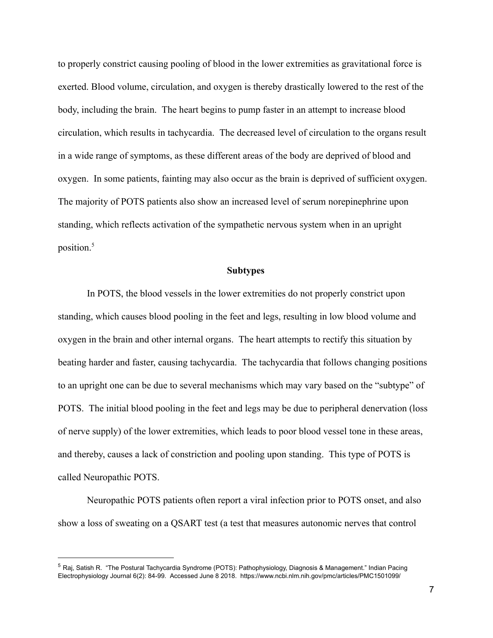to properly constrict causing pooling of blood in the lower extremities as gravitational force is exerted. Blood volume, circulation, and oxygen is thereby drastically lowered to the rest of the body, including the brain. The heart begins to pump faster in an attempt to increase blood circulation, which results in tachycardia. The decreased level of circulation to the organs result in a wide range of symptoms, as these different areas of the body are deprived of blood and oxygen. In some patients, fainting may also occur as the brain is deprived of sufficient oxygen. The majority of POTS patients also show an increased level of serum norepinephrine upon standing, which reflects activation of the sympathetic nervous system when in an upright position.<sup>5</sup>

#### **Subtypes**

In POTS, the blood vessels in the lower extremities do not properly constrict upon standing, which causes blood pooling in the feet and legs, resulting in low blood volume and oxygen in the brain and other internal organs. The heart attempts to rectify this situation by beating harder and faster, causing tachycardia. The tachycardia that follows changing positions to an upright one can be due to several mechanisms which may vary based on the "subtype" of POTS. The initial blood pooling in the feet and legs may be due to peripheral denervation (loss) of nerve supply) of the lower extremities, which leads to poor blood vessel tone in these areas, and thereby, causes a lack of constriction and pooling upon standing. This type of POTS is called Neuropathic POTS.

Neuropathic POTS patients often report a viral infection prior to POTS onset, and also show a loss of sweating on a QSART test (a test that measures autonomic nerves that control

<sup>5</sup> Raj, Satish R. "The Postural Tachycardia Syndrome (POTS): Pathophysiology, Diagnosis & Management." Indian Pacing Electrophysiology Journal 6(2): 84-99. Accessed June 8 2018. https://www.ncbi.nlm.nih.gov/pmc/articles/PMC1501099/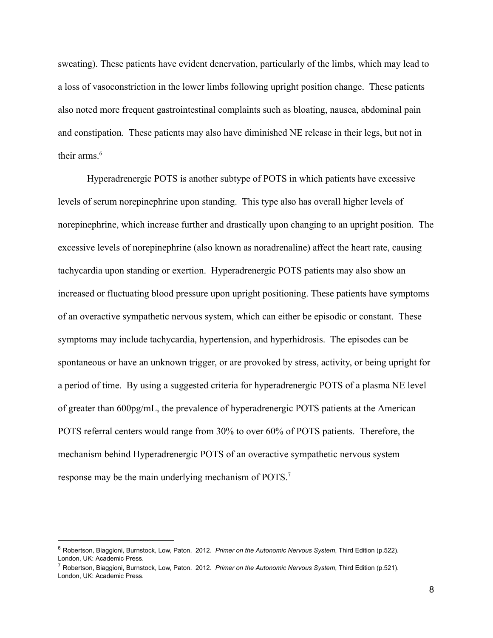sweating). These patients have evident denervation, particularly of the limbs, which may lead to a loss of vasoconstriction in the lower limbs following upright position change. These patients also noted more frequent gastrointestinal complaints such as bloating, nausea, abdominal pain and constipation. These patients may also have diminished NE release in their legs, but not in their arms.<sup>6</sup>

Hyperadrenergic POTS is another subtype of POTS in which patients have excessive levels of serum norepinephrine upon standing. This type also has overall higher levels of norepinephrine, which increase further and drastically upon changing to an upright position. The excessive levels of norepinephrine (also known as noradrenaline) affect the heart rate, causing tachycardia upon standing or exertion. Hyperadrenergic POTS patients may also show an increased or fluctuating blood pressure upon upright positioning. These patients have symptoms of an overactive sympathetic nervous system, which can either be episodic or constant. These symptoms may include tachycardia, hypertension, and hyperhidrosis. The episodes can be spontaneous or have an unknown trigger, or are provoked by stress, activity, or being upright for a period of time. By using a suggested criteria for hyperadrenergic POTS of a plasma NE level of greater than 600pg/mL, the prevalence of hyperadrenergic POTS patients at the American POTS referral centers would range from 30% to over 60% of POTS patients. Therefore, the mechanism behind Hyperadrenergic POTS of an overactive sympathetic nervous system response may be the main underlying mechanism of POTS.<sup>7</sup>

<sup>6</sup> Robertson, Biaggioni, Burnstock, Low, Paton. 2012. *Primer on the Autonomic Nervous System*, Third Edition (p.522). London, UK: Academic Press.

<sup>7</sup> Robertson, Biaggioni, Burnstock, Low, Paton. 2012. *Primer on the Autonomic Nervous System*, Third Edition (p.521). London, UK: Academic Press.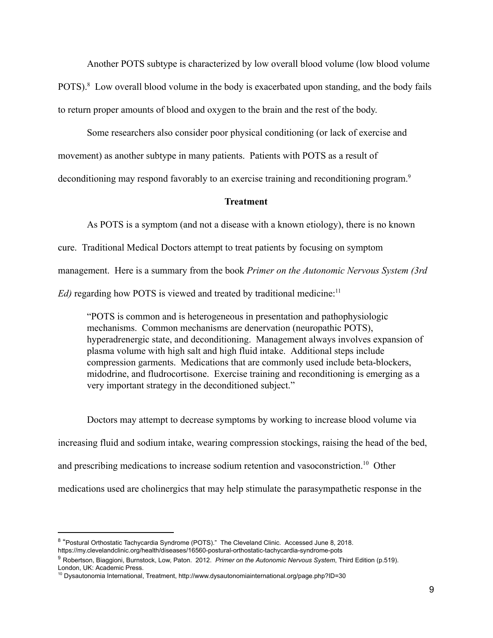Another POTS subtype is characterized by low overall blood volume (low blood volume) POTS). $\textdegree$  Low overall blood volume in the body is exacerbated upon standing, and the body fails to return proper amounts of blood and oxygen to the brain and the rest of the body.

Some researchers also consider poor physical conditioning (or lack of exercise and movement) as another subtype in many patients. Patients with POTS as a result of deconditioning may respond favorably to an exercise training and reconditioning program.<sup>9</sup>

#### **Treatment**

As POTS is a symptom (and not a disease with a known etiology), there is no known cure. Traditional Medical Doctors attempt to treat patients by focusing on symptom management. Here is a summary from the book *Primer on the Autonomic Nervous System (3rd*) *Ed*) regarding how POTS is viewed and treated by traditional medicine:<sup>11</sup>

"POTS is common and is heterogeneous in presentation and pathophysiologic mechanisms. Common mechanisms are denervation (neuropathic POTS), hyperadrenergic state, and deconditioning. Management always involves expansion of plasma volume with high salt and high fluid intake. Additional steps include compression garments. Medications that are commonly used include beta-blockers, midodrine, and fludrocortisone. Exercise training and reconditioning is emerging as a very important strategy in the deconditioned subject."

Doctors may attempt to decrease symptoms by working to increase blood volume via increasing fluid and sodium intake, wearing compression stockings, raising the head of the bed, and prescribing medications to increase sodium retention and vasoconstriction.<sup>10</sup> Other medications used are cholinergics that may help stimulate the parasympathetic response in the

<sup>&</sup>lt;sup>8</sup> "Postural Orthostatic Tachycardia Syndrome (POTS)." The Cleveland Clinic. Accessed June 8, 2018. https://my.clevelandclinic.org/health/diseases/16560-postural-orthostatic-tachycardia-syndrome-pots

<sup>9</sup> Robertson, Biaggioni, Burnstock, Low, Paton. 2012. *Primer on the Autonomic Nervous System*, Third Edition (p.519). London, UK: Academic Press.

<sup>10</sup> Dysautonomia International, Treatment, http://www.dysautonomiainternational.org/page.php?ID=30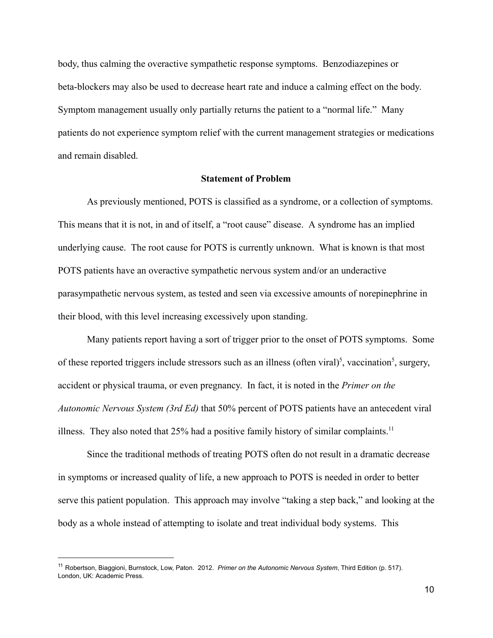body, thus calming the overactive sympathetic response symptoms. Benzodiazepines or beta-blockers may also be used to decrease heart rate and induce a calming effect on the body. Symptom management usually only partially returns the patient to a "normal life." Many patients do not experience symptom relief with the current management strategies or medications and remain disabled.

## **Statement of Problem**

As previously mentioned, POTS is classified as a syndrome, or a collection of symptoms. This means that it is not, in and of itself, a "root cause" disease. A syndrome has an implied underlying cause. The root cause for POTS is currently unknown. What is known is that most POTS patients have an overactive sympathetic nervous system and/or an underactive parasympathetic nervous system, as tested and seen via excessive amounts of norepinephrine in their blood, with this level increasing excessively upon standing.

Many patients report having a sort of trigger prior to the onset of POTS symptoms. Some of these reported triggers include stressors such as an illness (often viral)<sup>5</sup>, vaccination<sup>5</sup>, surgery, accident or physical trauma, or even pregnancy. In fact, it is noted in the *Primer* on the *Autonomic Nervous System (3rd Ed)* that 50% percent of POTS patients have an antecedent viral illness. They also noted that  $25%$  had a positive family history of similar complaints.<sup>11</sup>

Since the traditional methods of treating POTS often do not result in a dramatic decrease in symptoms or increased quality of life, a new approach to POTS is needed in order to better serve this patient population. This approach may involve "taking a step back," and looking at the body as a whole instead of attempting to isolate and treat individual body systems. This

<sup>11</sup> Robertson, Biaggioni, Burnstock, Low, Paton. 2012. *Primer on the Autonomic Nervous System*, Third Edition (p. 517). London, UK: Academic Press.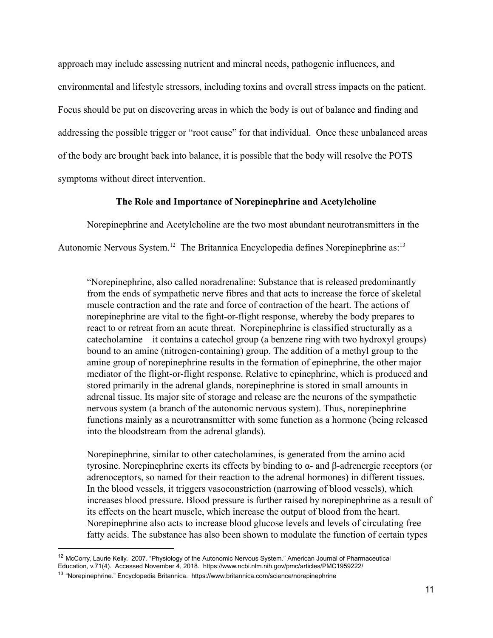approach may include assessing nutrient and mineral needs, pathogenic influences, and environmental and lifestyle stressors, including toxins and overall stress impacts on the patient. Focus should be put on discovering areas in which the body is out of balance and finding and addressing the possible trigger or "root cause" for that individual. Once these unbalanced areas of the body are brought back into balance, it is possible that the body will resolve the POTS symptoms without direct intervention.

## The Role and Importance of Norepinephrine and Acetylcholine

Norepinephrine and Acetylcholine are the two most abundant neurotransmitters in the Autonomic Nervous System.<sup>12</sup> The Britannica Encyclopedia defines Norepinephrine as:<sup>13</sup>

"Norepinephrine, also called noradrenaline: Substance that is released predominantly from the ends of sympathetic nerve fibres and that acts to increase the force of skeletal muscle contraction and the rate and force of contraction of the heart. The actions of norepinephrine are vital to the fight-or-flight response, whereby the body prepares to react to or retreat from an acute threat. Norepinephrine is classified structurally as a [catecholamine](https://www.britannica.com/science/catecholamine)—it contains a catechol group (a benzene ring with two hydroxyl groups) bound to an amine (nitrogen-containing) group. The addition of a methyl group to the amine group of norepinephrine results in the formation of epinephrine, the other major mediator of the flight-or-flight response. Relative to epinephrine, which is produced and stored primarily in the adrenal glands, norepinephrine is stored in small amounts in adrenal tissue. Its major site of storage and release are the neurons of the sympathetic nervous system (a branch of the autonomic nervous system). Thus, norepinephrine functions mainly as a neurotransmitter with some function as a hormone (being released into the bloodstream from the adrenal glands).

Norepinephrine, similar to other cate cholamines, is generated from the amino acid tyrosine. Norepinephrine exerts its effects by binding to  $\alpha$ - and  $\beta$ -adrenergic receptors (or adrenoceptors, so named for their reaction to the adrenal hormones) in different tissues. In the blood vessels, it triggers vasoconstriction (narrowing of blood vessels), which increases blood pressure. Blood pressure is further raised by norepinephrine as a result of its effects on the heart muscle, which increase the output of blood from the heart. Norepinephrine also acts to increase blood glucose levels and levels of circulating free fatty acids. The substance has also been shown to modulate the function of certain types

<sup>12</sup> McCorry, Laurie Kelly. 2007. "Physiology of the Autonomic Nervous System." American Journal of Pharmaceutical Education, v.71(4). Accessed November 4, 2018. https://www.ncbi.nlm.nih.gov/pmc/articles/PMC1959222/

<sup>&</sup>lt;sup>13</sup> "Norepinephrine." Encyclopedia Britannica. https://www.britannica.com/science/norepinephrine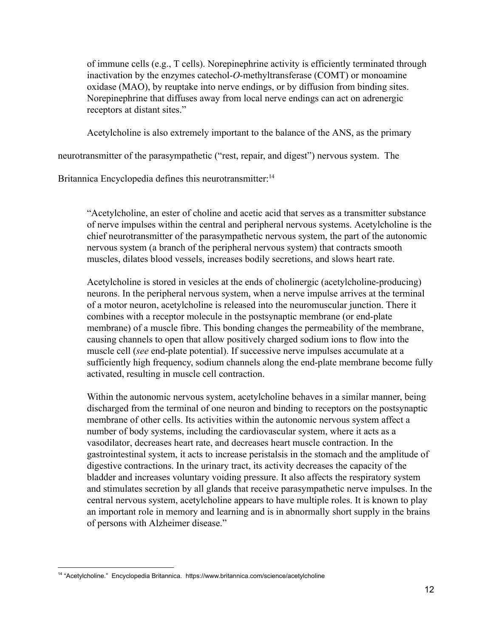of immune cells (e.g., T cells). Norepinephrine activity is efficiently terminated through inactivation by the enzymes catechol-*O*-methyltransferase (COMT) or monoamine oxidase (MAO), by reuptake into nerve endings, or by diffusion from binding sites. Norepinephrine that diffuses away from local nerve endings can act on adrenergic receptors at distant sites."

Acetylcholine is also extremely important to the balance of the ANS, as the primary

neurotransmitter of the parasympathetic ("rest, repair, and digest") nervous system. The

Britannica Encyclopedia defines this neurotransmitter:<sup>14</sup>

"Acetylcholine, an ester of choline and acetic acid that serves as a transmitter substance of nerve impulses within the central and peripheral nervous systems. Acetylcholine is the chief neurotransmitter of the parasympathetic nervous system, the part of the autonomic nervous system (a branch of the peripheral nervous system) that contracts smooth muscles, dilates blood vessels, increases bodily secretions, and slows heart rate.

Acetylcholine is stored in vesicles at the ends of cholinergic (acetylcholine-producing) neurons. In the peripheral nervous system, when a nerve impulse arrives at the terminal of a motor neuron, acetylcholine is released into the neuromuscular junction. There it combines with a receptor molecule in the postsynaptic membrane (or end-plate membrane) of a muscle fibre. This bonding changes the permeability of the membrane, causing channels to open that allow positively charged sodium ions to flow into the muscle cell (see end-plate potential). If successive nerve impulses accumulate at a sufficiently high frequency, sodium channels along the end-plate membrane become fully activated, resulting in muscle cell contraction.

Within the autonomic nervous system, acetylcholine behaves in a similar manner, being discharged from the terminal of one neuron and binding to receptors on the postsynaptic membrane of other cells. Its activities within the autonomic nervous system affect a number of body systems, including the cardiovascular system, where it acts as a [vasodilator](https://www.britannica.com/science/vasodilation), decreases heart rate, and decreases heart muscle contraction. In the gastrointestinal system, it acts to increase peristalsis in the stomach and the amplitude of digestive contractions. In the urinary tract, its activity decreases the capacity of the bladder and increases voluntary voiding pressure. It also affects the respiratory system and stimulates secretion by all glands that receive parasympathetic nerve impulses. In the central nervous system, acetylcholine appears to have multiple roles. It is known to play an important role in memory and learning and is in abnormally short supply in the brains of persons with Alzheimer disease."

<sup>&</sup>lt;sup>14</sup> "Acetylcholine." Encyclopedia Britannica. https://www.britannica.com/science/acetylcholine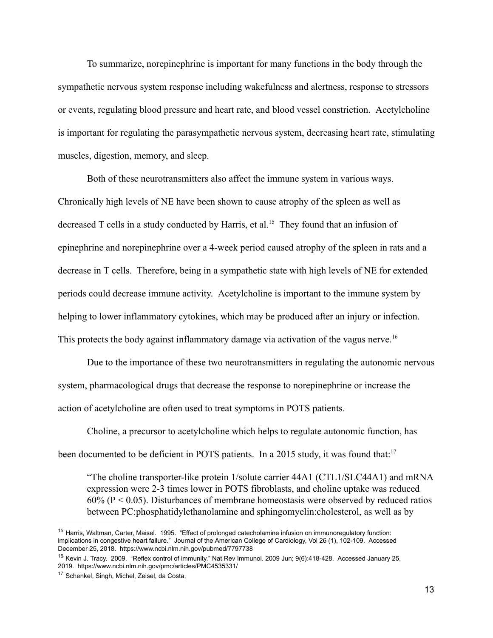To summarize, norepinephrine is important for many functions in the body through the sympathetic nervous system response including wakefulness and alertness, response to stressors or events, regulating blood pressure and heart rate, and blood vessel constriction. Acetylcholine is important for regulating the parasympathetic nervous system, decreasing heart rate, stimulating muscles, digestion, memory, and sleep.

Both of these neurotransmitters also affect the immune system in various ways. Chronically high levels of NE have been shown to cause atrophy of the spleen as well as decreased  $T$  cells in a study conducted by Harris, et al.<sup>15</sup> They found that an infusion of epinephrine and norepinephrine over a 4-week period caused atrophy of the spleen in rats and a decrease in T cells. Therefore, being in a sympathetic state with high levels of NE for extended periods could decrease immune activity. Acetylcholine is important to the immune system by helping to lower inflammatory cytokines, which may be produced after an injury or infection. This protects the body against inflammatory damage via activation of the vagus nerve.<sup>16</sup>

Due to the importance of these two neurotransmitters in regulating the autonomic nervous system, pharmacological drugs that decrease the response to norepinephrine or increase the action of acetylcholine are often used to treat symptoms in POTS patients.

Choline, a precursor to acetylcholine which helps to regulate autonomic function, has been documented to be deficient in POTS patients. In a 2015 study, it was found that:<sup>17</sup>

"The choline transporter-like protein  $1$ /solute carrier  $44A1$  (CTL1/SLC44A1) and mRNA expression were 2-3 times lower in POTS fibroblasts, and choline uptake was reduced  $60\%$  (P < 0.05). Disturbances of membrane homeostasis were observed by reduced ratios between PC:phosphatidylethanolamine and sphingomyelin:cholesterol, as well as by

<sup>&</sup>lt;sup>15</sup> Harris, Waltman, Carter, Maisel. 1995. "Effect of prolonged catecholamine infusion on immunoregulatory function: implications in congestive heart failure." Journal of the American College of Cardiology, Vol 26 (1), 102-109. Accessed December 25, 2018. https://www.ncbi.nlm.nih.gov/pubmed/7797738

<sup>&</sup>lt;sup>16</sup> Kevin J. Tracy. 2009. "Reflex control of immunity." Nat Rev Immunol. 2009 Jun; 9(6):418-428. Accessed January 25, 2019. https://www.ncbi.nlm.nih.gov/pmc/articles/PMC4535331/

<sup>17</sup> Schenkel, Singh, Michel, Zeisel, da Costa,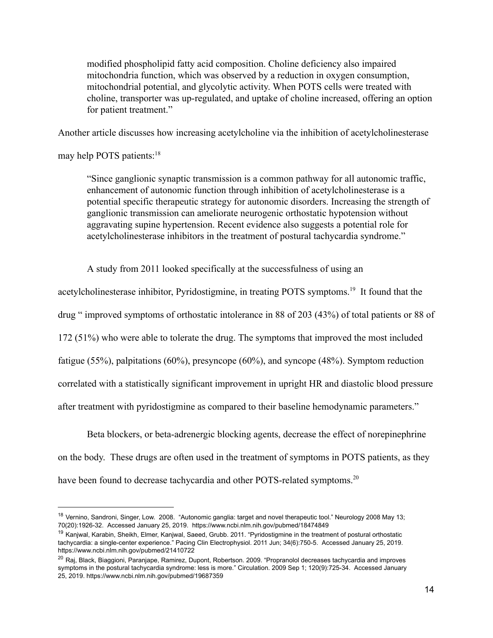modified phospholipid fatty acid composition. Choline deficiency also impaired mitochondria function, which was observed by a reduction in oxygen consumption, mitochondrial potential, and glycolytic activity. When POTS cells were treated with choline, transporter was up-regulated, and uptake of choline increased, offering an option for patient treatment."

Another article discusses how increasing acetylcholine via the inhibition of acetylcholinesterase

may help POTS patients:<sup>18</sup>

"Since ganglionic synaptic transmission is a common pathway for all autonomic traffic, enhancement of autonomic function through inhibition of acetylcholinesterase is a potential specific therapeutic strategy for autonomic disorders. Increasing the strength of ganglionic transmission can ameliorate neurogenic orthostatic hypotension without aggravating supine hypertension. Recent evidence also suggests a potential role for acetylcholinesterase inhibitors in the treatment of postural tachycardia syndrome."

A study from 2011 looked specifically at the successfulness of using an

acetylcholinesterase inhibitor, Pyridostigmine, in treating POTS symptoms.<sup>19</sup> It found that the

drug " improved symptoms of orthostatic intolerance in 88 of 203 (43%) of total patients or 88 of

 $172$  (51%) who were able to tolerate the drug. The symptoms that improved the most included

fatigue  $(55\%)$ , palpitations  $(60\%)$ , presyncope  $(60\%)$ , and syncope  $(48\%)$ . Symptom reduction

correlated with a statistically significant improvement in upright HR and diastolic blood pressure

after treatment with pyridostigmine as compared to their baseline hemodynamic parameters."

Beta blockers, or beta-adrenergic blocking agents, decrease the effect of norepinephrine on the body. These drugs are often used in the treatment of symptoms in POTS patients, as they have been found to decrease tachycardia and other POTS-related symptoms.<sup>20</sup>

<sup>&</sup>lt;sup>18</sup> Vernino, Sandroni, Singer, Low. 2008. "Autonomic ganglia: target and novel therapeutic tool." Neurology 2008 May 13; 70(20):1926-32. Accessed January 25, 2019. https://www.ncbi.nlm.nih.gov/pubmed/18474849

<sup>&</sup>lt;sup>19</sup> Kanjwal, Karabin, Sheikh, Elmer, Kanjwal, Saeed, Grubb. 2011. "Pyridostigmine in the treatment of postural orthostatic tachycardia: a single-center experience." Pacing Clin Electrophysiol. 2011 Jun; 34(6):750-5. Accessed January 25, 2019. https://www.ncbi.nlm.nih.gov/pubmed/21410722

<sup>&</sup>lt;sup>20</sup> Raj, Black, Biaggioni, Paranjape, Ramirez, Dupont, Robertson, 2009. "Propranolol decreases tachycardia and improves symptoms in the postural tachycardia syndrome: less is more." Circulation. 2009 Sep 1; 120(9):725-34. Accessed January 25, 2019. https://www.ncbi.nlm.nih.gov/pubmed/19687359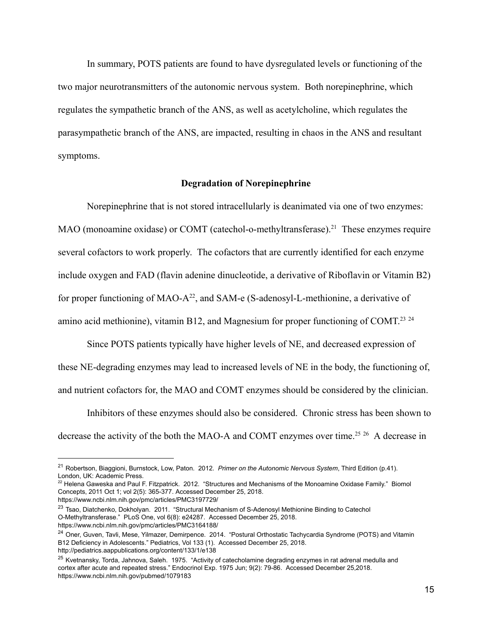In summary, POTS patients are found to have dysregulated levels or functioning of the two major neurotransmitters of the autonomic nervous system. Both norepinephrine, which regulates the sympathetic branch of the ANS, as well as acetylcholine, which regulates the parasympathetic branch of the ANS, are impacted, resulting in chaos in the ANS and resultant symptoms.

#### **Degradation of Norepinephrine**

Norepinephrine that is not stored intracellularly is deanimated via one of two enzymes: MAO (monoamine oxidase) or COMT (catechol-o-methyltransferase).<sup>21</sup> These enzymes require several cofactors to work properly. The cofactors that are currently identified for each enzyme include oxygen and  $FAD$  (flavin adenine dinucleotide, a derivative of Riboflavin or Vitamin B2) for proper functioning of MAO-A<sup>22</sup>, and SAM-e (S-adenosyl-L-methionine, a derivative of amino acid methionine), vitamin B12, and Magnesium for proper functioning of COMT.<sup>23</sup>  $24$ 

Since POTS patients typically have higher levels of NE, and decreased expression of these NE-degrading enzymes may lead to increased levels of NE in the body, the functioning of, and nutrient cofactors for, the MAO and COMT enzymes should be considered by the clinician.

Inhibitors of these enzymes should also be considered. Chronic stress has been shown to decrease the activity of the both the MAO-A and COMT enzymes over time.<sup>25 26</sup> A decrease in

<sup>21</sup> Robertson, Biaggioni, Burnstock, Low, Paton. 2012. *Primer on the Autonomic Nervous System*, Third Edition (p.41). London, UK: Academic Press.

 $^{22}$  Helena Gaweska and Paul F. Fitzpatrick. 2012. "Structures and Mechanisms of the Monoamine Oxidase Family." Biomol Concepts, 2011 Oct 1; vol 2(5): 365-377. Accessed December 25, 2018. https://www.ncbi.nlm.nih.gov/pmc/articles/PMC3197729/

<sup>&</sup>lt;sup>23</sup> Tsao, Diatchenko, Dokholyan. 2011. "Structural Mechanism of S-Adenosyl Methionine Binding to Catechol O-Methyltransferase." PLoS One, vol 6(8): e24287. Accessed December 25, 2018. https://www.ncbi.nlm.nih.gov/pmc/articles/PMC3164188/

<sup>&</sup>lt;sup>24</sup> Oner, Guven, Tavli, Mese, Yilmazer, Demirpence. 2014. "Postural Orthostatic Tachycardia Syndrome (POTS) and Vitamin B12 Deficiency in Adolescents." Pediatrics, Vol 133 (1). Accessed December 25, 2018.

http://pediatrics.aappublications.org/content/133/1/e138

<sup>&</sup>lt;sup>25</sup> Kvetnansky, Torda, Jahnova, Saleh. 1975. "Activity of catecholamine degrading enzymes in rat adrenal medulla and cortex after acute and repeated stress." Endocrinol Exp. 1975 Jun; 9(2): 79-86. Accessed December 25,2018. https://www.ncbi.nlm.nih.gov/pubmed/1079183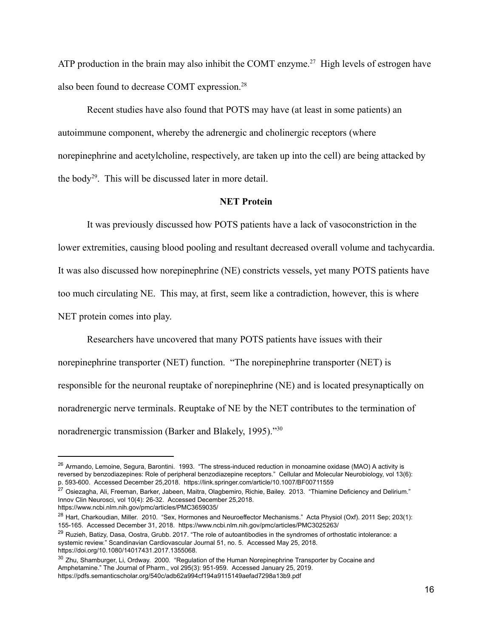ATP production in the brain may also inhibit the COMT enzyme.<sup>27</sup> High levels of estrogen have also been found to decrease COMT expression.<sup>28</sup>

Recent studies have also found that POTS may have (at least in some patients) an autoimmune component, whereby the adrenergic and cholinergic receptors (where norepinephrine and acetylcholine, respectively, are taken up into the cell) are being attacked by the body<sup>29</sup>. This will be discussed later in more detail.

### **NET** Protein

It was previously discussed how POTS patients have a lack of vasoconstriction in the lower extremities, causing blood pooling and resultant decreased overall volume and tachycardia. It was also discussed how norepinephrine (NE) constricts vessels, yet many POTS patients have too much circulating NE. This may, at first, seem like a contradiction, however, this is where NET protein comes into play.

Researchers have uncovered that many POTS patients have issues with their norepinephrine transporter (NET) function. "The norepinephrine transporter (NET) is responsible for the neuronal reuptake of norepinephrine (NE) and is located presynaptically on noradrenergic nerve terminals. Reuptake of NE by the NET contributes to the termination of noradrenergic transmission (Barker and Blakely, 1995)." $30$ 

<sup>&</sup>lt;sup>26</sup> Armando, Lemoine, Segura, Barontini. 1993. "The stress-induced reduction in monoamine oxidase (MAO) A activity is reversed by benzodiazepines: Role of peripheral benzodiazepine receptors." Cellular and Molecular Neurobiology, vol 13(6): p. 593-600. Accessed December 25,2018. https://link.springer.com/article/10.1007/BF00711559

<sup>&</sup>lt;sup>27</sup> Osiezagha, Ali, Freeman, Barker, Jabeen, Maitra, Olagbemiro, Richie, Bailey. 2013. "Thiamine Deficiency and Delirium." Innov Clin Neurosci, vol 10(4): 26-32. Accessed December 25,2018.

https://www.ncbi.nlm.nih.gov/pmc/articles/PMC3659035/

<sup>&</sup>lt;sup>28</sup> Hart, Charkoudian, Miller. 2010. "Sex, Hormones and Neuroeffector Mechanisms." Acta Physiol (Oxf). 2011 Sep; 203(1): 155-165. Accessed December 31, 2018. https://www.ncbi.nlm.nih.gov/pmc/articles/PMC3025263/

<sup>&</sup>lt;sup>29</sup> Ruzieh, Batizy, Dasa, Oostra, Grubb. 2017. "The role of autoantibodies in the syndromes of orthostatic intolerance: a systemic review." Scandinavian Cardiovascular Journal 51, no. 5. Accessed May 25, 2018. https://doi.org/10.1080/14017431.2017.1355068.

<sup>&</sup>lt;sup>30</sup> Zhu, Shamburger, Li, Ordway. 2000. "Regulation of the Human Norepinephrine Transporter by Cocaine and Amphetamine." The Journal of Pharm., vol 295(3): 951-959. Accessed January 25, 2019. https://pdfs.semanticscholar.org/540c/adb62a994cf194a9115149aefad7298a13b9.pdf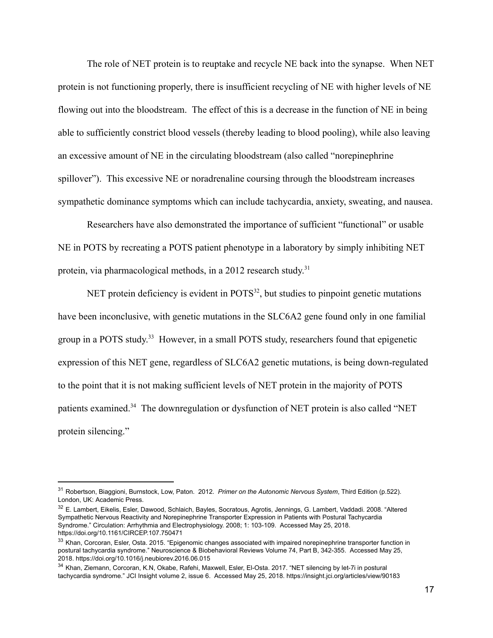The role of NET protein is to reuptake and recycle NE back into the synapse. When NET protein is not functioning properly, there is insufficient recycling of NE with higher levels of NE flowing out into the bloodstream. The effect of this is a decrease in the function of NE in being able to sufficiently constrict blood vessels (thereby leading to blood pooling), while also leaving an excessive amount of NE in the circulating bloodstream (also called "norepinephrine" spillover"). This excessive NE or noradrenaline coursing through the bloodstream increases sympathetic dominance symptoms which can include tachycardia, anxiety, sweating, and nausea.

Researchers have also demonstrated the importance of sufficient "functional" or usable NE in POTS by recreating a POTS patient phenotype in a laboratory by simply inhibiting NET protein, via pharmacological methods, in a 2012 research study.<sup>31</sup>

NET protein deficiency is evident in  $POTS<sup>32</sup>$ , but studies to pinpoint genetic mutations have been inconclusive, with genetic mutations in the SLC6A2 gene found only in one familial group in a POTS study.<sup>33</sup> However, in a small POTS study, researchers found that epigenetic expression of this NET gene, regardless of SLC6A2 genetic mutations, is being down-regulated to the point that it is not making sufficient levels of NET protein in the majority of POTS patients examined.<sup>34</sup> The downregulation or dysfunction of NET protein is also called "NET protein silencing."

<sup>31</sup> Robertson, Biaggioni, Burnstock, Low, Paton. 2012. *Primer on the Autonomic Nervous System*, Third Edition (p.522). London, UK: Academic Press.

<sup>32</sup> E. Lambert, Eikelis, Esler, Dawood, Schlaich, Bayles, Socratous, Agrotis, Jennings, G. Lambert, Vaddadi. 2008. "Altered Sympathetic Nervous Reactivity and Norepinephrine Transporter Expression in Patients with Postural Tachycardia Syndrome." Circulation: Arrhythmia and Electrophysiology. 2008; 1: 103-109. Accessed May 25, 2018. https://doi.org/10.1161/CIRCEP.107.750471

<sup>33</sup> Khan, Corcoran, Esler, Osta. 2015. "Epigenomic changes associated with impaired norepinephrine transporter function in postural tachycardia syndrome." Neuroscience & Biobehavioral Reviews Volume 74, Part B, 342-355. Accessed May 25, 2018. https://doi.org/10.1016/j.neubiorev.2016.06.015

<sup>34</sup> Khan, Ziemann, Corcoran, K.N, Okabe, Rafehi, Maxwell, Esler, El-Osta. 2017. "NET silencing by let-7i in postural tachycardia syndrome." JCI Insight volume 2, issue 6. Accessed May 25, 2018. https://insight.jci.org/articles/view/90183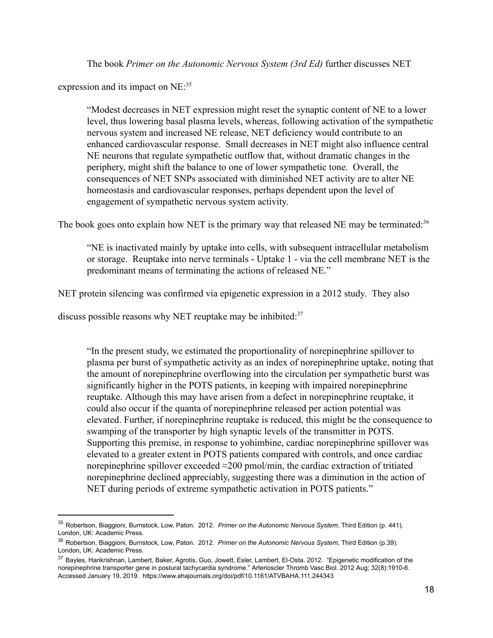The book *Primer on the Autonomic Nervous System (3rd Ed)* further discusses NET

expression and its impact on  $NE:35$ 

"Modest decreases in NET expression might reset the synaptic content of NE to a lower level, thus lowering basal plasma levels, whereas, following activation of the sympathetic nervous system and increased NE release, NET deficiency would contribute to an enhanced cardiovascular response. Small decreases in NET might also influence central NE neurons that regulate sympathetic outflow that, without dramatic changes in the periphery, might shift the balance to one of lower sympathetic tone. Overall, the consequences of NET SNPs associated with diminished NET activity are to alter NE homeostasis and cardiovascular responses, perhaps dependent upon the level of engagement of sympathetic nervous system activity.

The book goes onto explain how NET is the primary way that released NE may be terminated: $36$ 

"NE is inactivated mainly by uptake into cells, with subsequent intracellular metabolism or storage. Reuptake into nerve terminals - Uptake 1 - via the cell membrane NET is the predominant means of terminating the actions of released NE."

NET protein silencing was confirmed via epigenetic expression in a 2012 study. They also

discuss possible reasons why NET reuptake may be inhibited: $37$ 

"In the present study, we estimated the proportionality of norepinephrine spillover to plasma per burst of sympathetic activity as an index of norepinephrine uptake, noting that the amount of norepinephrine overflowing into the circulation per sympathetic burst was significantly higher in the POTS patients, in keeping with impaired norepinephrine reuptake. Although this may have arisen from a defect in norepinephrine reuptake, it could also occur if the quanta of norepinephrine released per action potential was elevated. Further, if norepinephrine reuptake is reduced, this might be the consequence to swamping of the transporter by high synaptic levels of the transmitter in POTS. Supporting this premise, in response to yohimbine, cardiac norepinephrine spillover was elevated to a greater extent in POTS patients compared with controls, and once cardiac norepinephrine spillover exceeded  $\approx$ 200 pmol/min, the cardiac extraction of tritiated norepinephrine declined appreciably, suggesting there was a diminution in the action of NET during periods of extreme sympathetic activation in POTS patients."

<sup>35</sup> Robertson, Biaggioni, Burnstock, Low, Paton. 2012. *Primer on the Autonomic Nervous System*, Third Edition (p. 441). London, UK: Academic Press.

<sup>36</sup> Robertson, Biaggioni, Burnstock, Low, Paton. 2012. *Primer on the Autonomic Nervous System*, Third Edition (p.39). London, UK: Academic Press.

<sup>&</sup>lt;sup>37</sup> Bayles, Harikrishnan, Lambert, Baker, Agrotis, Guo, Jowett, Esler, Lambert, El-Osta. 2012. "Epigenetic modification of the norepinephrine transporter gene in postural tachycardia syndrome." Arterioscler Thromb Vasc Biol. 2012 Aug; 32(8):1910-6. Accessed January 19, 2019. https://www.ahajournals.org/doi/pdf/10.1161/ATVBAHA.111.244343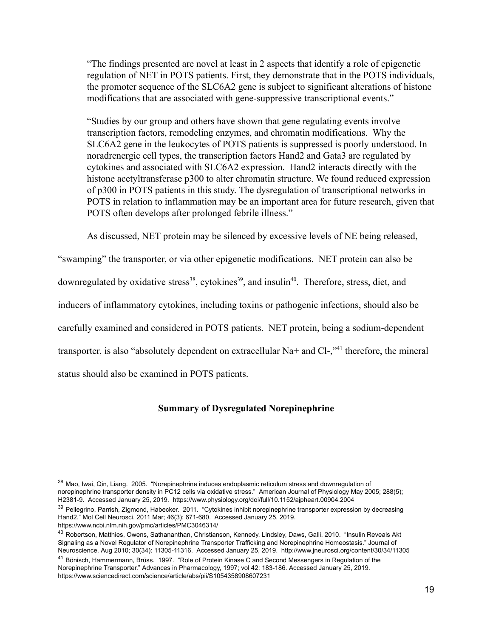"The findings presented are novel at least in 2 aspects that identify a role of epigenetic regulation of NET in POTS patients. First, they demonstrate that in the POTS individuals, the promoter sequence of the SLC6A2 gene is subject to significant alterations of histone modifications that are associated with gene-suppressive transcriptional events."

"Studies by our group and others have shown that gene regulating events involve transcription factors, remodeling enzymes, and chromatin modifications. Why the SLC6A2 gene in the leukocytes of POTS patients is suppressed is poorly understood. In noradrenergic cell types, the transcription factors Hand2 and Gata3 are regulated by cytokines and associated with SLC6A2 expression. Hand2 interacts directly with the histone acetyltransferase  $p300$  to alter chromatin structure. We found reduced expression of p300 in POTS patients in this study. The dysregulation of transcriptional networks in POTS in relation to inflammation may be an important area for future research, given that POTS often develops after prolonged febrile illness."

As discussed, NET protein may be silenced by excessive levels of NE being released,

"swamping" the transporter, or via other epigenetic modifications. NET protein can also be downregulated by oxidative stress<sup>38</sup>, cytokines<sup>39</sup>, and insulin<sup>40</sup>. Therefore, stress, diet, and inducers of inflammatory cytokines, including toxins or pathogenic infections, should also be carefully examined and considered in POTS patients. NET protein, being a sodium-dependent transporter, is also "absolutely dependent on extracellular  $Na+$  and  $Cl-$ ,"<sup>41</sup> therefore, the mineral status should also be examined in POTS patients.

## **Summary of Dysregulated Norepinephrine**

<sup>38</sup> Mao, Iwai, Qin, Liang. 2005. "Norepinephrine induces endoplasmic reticulum stress and downregulation of norepinephrine transporter density in PC12 cells via oxidative stress." American Journal of Physiology May 2005; 288(5); H2381-9. Accessed January 25, 2019. https://www.physiology.org/doi/full/10.1152/ajpheart.00904.2004

<sup>&</sup>lt;sup>39</sup> Pellegrino, Parrish, Zigmond, Habecker. 2011. "Cytokines inhibit norepinephrine transporter expression by decreasing Hand2." Mol Cell Neurosci. 2011 Mar; 46(3): 671-680. Accessed January 25, 2019. https://www.ncbi.nlm.nih.gov/pmc/articles/PMC3046314/

<sup>&</sup>lt;sup>40</sup> Robertson, Matthies, Owens, Sathananthan, Christianson, Kennedy, Lindsley, Daws, Galli. 2010. "Insulin Reveals Akt Signaling as a Novel Regulator of Norepinephrine Transporter Trafficking and Norepinephrine Homeostasis." Journal of Neuroscience. Aug 2010; 30(34): 11305-11316. Accessed January 25, 2019. http://www.jneurosci.org/content/30/34/11305

<sup>&</sup>lt;sup>41</sup> Bönisch, Hammermann, Brüss. 1997. "Role of Protein Kinase C and Second Messengers in Regulation of the Norepinephrine Transporter." Advances in Pharmacology, 1997; vol 42: 183-186. Accessed January 25, 2019. https://www.sciencedirect.com/science/article/abs/pii/S1054358908607231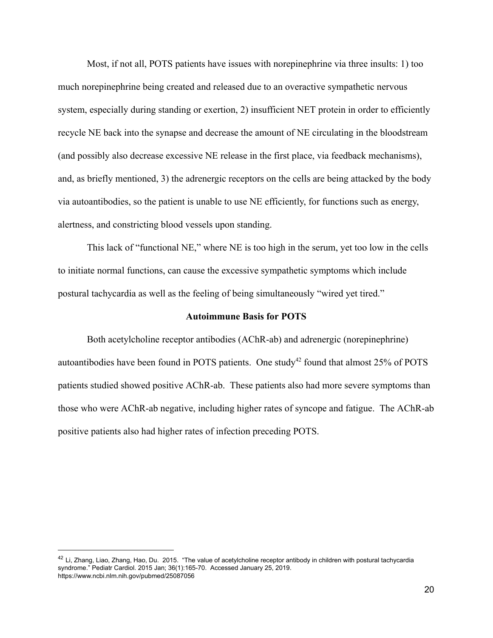Most, if not all, POTS patients have issues with norepinephrine via three insults: 1) too much norepinephrine being created and released due to an overactive sympathetic nervous system, especially during standing or exertion, 2) insufficient NET protein in order to efficiently recycle NE back into the synapse and decrease the amount of NE circulating in the bloodstream (and possibly also decrease excessive NE release in the first place, via feedback mechanisms), and, as briefly mentioned, 3) the adrenergic receptors on the cells are being attacked by the body via autoantibodies, so the patient is unable to use NE efficiently, for functions such as energy, alertness, and constricting blood vessels upon standing.

This lack of "functional NE," where NE is too high in the serum, yet too low in the cells to initiate normal functions, can cause the excessive sympathetic symptoms which include postural tachycardia as well as the feeling of being simultaneously "wired yet tired."

#### **Autoimmune Basis for POTS**

Both acetylcholine receptor antibodies (AChR-ab) and adrenergic (norepinephrine) autoantibodies have been found in POTS patients. One study<sup>42</sup> found that almost  $25\%$  of POTS patients studied showed positive AChR-ab. These patients also had more severe symptoms than those who were AChR-ab negative, including higher rates of syncope and fatigue. The AChR-ab positive patients also had higher rates of infection preceding POTS.

 $^{42}$  Li, Zhang, Liao, Zhang, Hao, Du. 2015. "The value of acetylcholine receptor antibody in children with postural tachycardia syndrome." Pediatr Cardiol. 2015 Jan; 36(1):165-70. Accessed January 25, 2019. https://www.ncbi.nlm.nih.gov/pubmed/25087056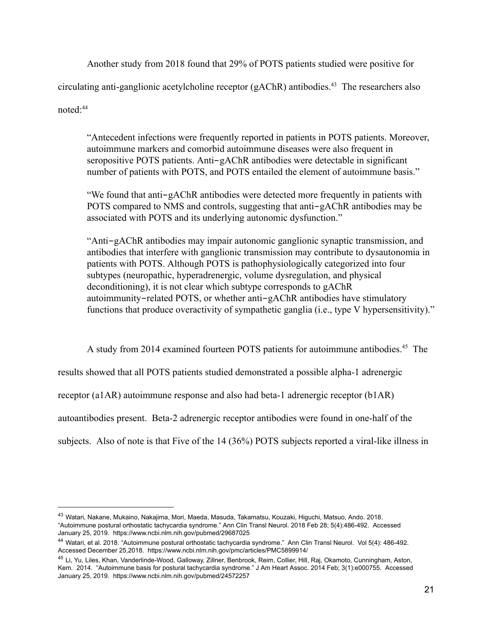Another study from 2018 found that 29% of POTS patients studied were positive for circulating anti-ganglionic acetylcholine receptor  $(gAChR)$  antibodies.<sup>43</sup> The researchers also noted:<sup>44</sup>

"Antecedent infections were frequently reported in patients in POTS patients. Moreover, autoimmune markers and comorbid autoimmune diseases were also frequent in seropositive POTS patients. Anti-gAChR antibodies were detectable in significant number of patients with POTS, and POTS entailed the element of autoimmune basis."

"We found that anti-gAChR antibodies were detected more frequently in patients with POTS compared to NMS and controls, suggesting that anti-gAChR antibodies may be associated with POTS and its underlying autonomic dysfunction."

"Anti-gAChR antibodies may impair autonomic ganglionic synaptic transmission, and antibodies that interfere with ganglionic transmission may contribute to dysautonomia in patients with POTS. Although POTS is pathophysiologically categorized into four subtypes (neuropathic, hyperadrenergic, volume dysregulation, and physical deconditioning), it is not clear which subtype corresponds to gAChR autoimmunity-related POTS, or whether anti-gAChR antibodies have stimulatory functions that produce overactivity of sympathetic ganglia (i.e., type V hypersensitivity)."

A study from 2014 examined fourteen POTS patients for autoimmune antibodies.<sup>45</sup> The

results showed that all POTS patients studied demonstrated a possible alpha-1 adrenergic

receptor  $(a1AR)$  autoimmune response and also had beta-1 adrenergic receptor  $(b1AR)$ 

autoantibodies present. Beta-2 adrenergic receptor antibodies were found in one-half of the

subjects. Also of note is that Five of the  $14(36%)$  POTS subjects reported a viral-like illness in

<sup>43</sup> Watari, Nakane, Mukaino, Nakajima, Mori, Maeda, Masuda, Takamatsu, Kouzaki, Higuchi, Matsuo, Ando. 2018. "Autoimmune postural orthostatic tachycardia syndrome." Ann Clin Transl Neurol. 2018 Feb 28; 5(4):486-492. Accessed January 25, 2019. https://www.ncbi.nlm.nih.gov/pubmed/29687025

<sup>44</sup> Watari, et al. 2018. "Autoimmune postural orthostatic tachycardia syndrome." Ann Clin Transl Neurol. Vol 5(4): 486-492. Accessed December 25,2018. https://www.ncbi.nlm.nih.gov/pmc/articles/PMC5899914/

<sup>&</sup>lt;sup>45</sup> Li, Yu, Liles, Khan, Vanderlinde-Wood, Galloway, Zillner, Benbrook, Reim, Collier, Hill, Raj, Okamoto, Cunningham, Aston, Kem. 2014. "Autoimmune basis for postural tachycardia syndrome." J Am Heart Assoc. 2014 Feb; 3(1):e000755. Accessed January 25, 2019. https://www.ncbi.nlm.nih.gov/pubmed/24572257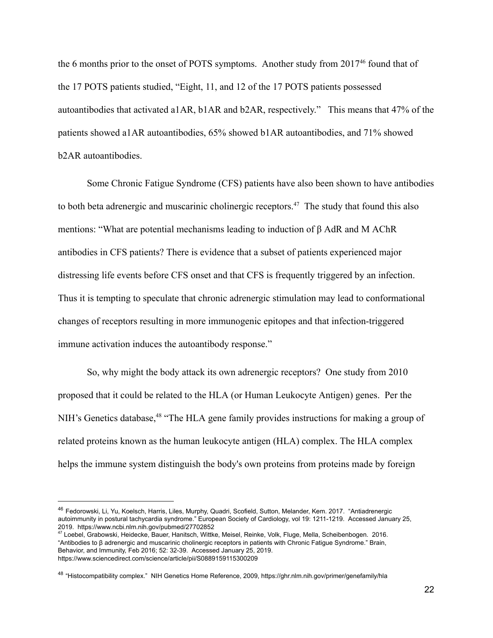the 6 months prior to the onset of POTS symptoms. Another study from  $2017<sup>46</sup>$  found that of the  $17$  POTS patients studied, "Eight,  $11$ , and  $12$  of the  $17$  POTS patients possessed autoantibodies that activated a1AR, b1AR and b2AR, respectively." This means that 47% of the patients showed a1AR autoantibodies, 65% showed b1AR autoantibodies, and 71% showed b<sub>2</sub>AR autoantibodies.

Some Chronic Fatigue Syndrome (CFS) patients have also been shown to have antibodies to both beta adrenergic and muscarinic cholinergic receptors.<sup>47</sup> The study that found this also mentions: "What are potential mechanisms leading to induction of  $\beta$  AdR and M AChR antibodies in CFS patients? There is evidence that a subset of patients experienced major distressing life events before CFS onset and that CFS is frequently triggered by an infection. Thus it is tempting to speculate that chronic adrenergic stimulation may lead to conformational changes of receptors resulting in more immunogenic epitopes and that infection-triggered immune activation induces the autoantibody response."

So, why might the body attack its own adrenergic receptors? One study from 2010 proposed that it could be related to the HLA (or Human Leukocyte Antigen) genes. Per the NIH's Genetics database,<sup>48</sup> "The HLA gene family provides instructions for making a group of related proteins known as the human leukocyte antigen (HLA) complex. The HLA complex helps the immune system distinguish the body's own proteins from proteins made by foreign

<sup>46</sup> Fedorowski, Li, Yu, Koelsch, Harris, Liles, Murphy, Quadri, Scofield, Sutton, Melander, Kem. 2017. "Antiadrenergic autoimmunity in postural tachycardia syndrome." European Society of Cardiology, vol 19: 1211-1219. Accessed January 25, 2019. https://www.ncbi.nlm.nih.gov/pubmed/27702852

<sup>47</sup> Loebel, Grabowski, Heidecke, Bauer, Hanitsch, Wittke, Meisel, Reinke, Volk, Fluge, Mella, Scheibenbogen. 2016. "Antibodies to β adrenergic and muscarinic cholinergic receptors in patients with Chronic Fatigue Syndrome." Brain, Behavior, and Immunity, Feb 2016; 52: 32-39. Accessed January 25, 2019. https://www.sciencedirect.com/science/article/pii/S0889159115300209

<sup>&</sup>lt;sup>48</sup> "Histocompatibility complex." NIH Genetics Home Reference, 2009, https://ghr.nlm.nih.gov/primer/genefamily/hla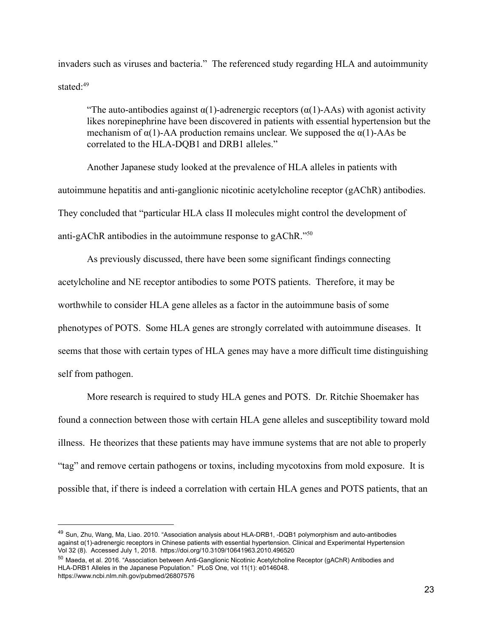invaders such as viruses and bacteria." The referenced study regarding HLA and autoimmunity stated $\cdot$ <sup>49</sup>

"The auto-antibodies against  $\alpha(1)$ -adrenergic receptors  $(\alpha(1)$ -AAs) with agonist activity likes norepinephrine have been discovered in patients with essential hypertension but the mechanism of  $\alpha(1)$ -AA production remains unclear. We supposed the  $\alpha(1)$ -AAs be correlated to the HLA-DQB1 and DRB1 alleles."

Another Japanese study looked at the prevalence of HLA alleles in patients with autoimmune hepatitis and anti-ganglionic nicotinic acetylcholine receptor (gAChR) antibodies. They concluded that "particular HLA class II molecules might control the development of anti-gAChR antibodies in the autoimmune response to gAChR." $50$ 

As previously discussed, there have been some significant findings connecting acetylcholine and NE receptor antibodies to some POTS patients. Therefore, it may be worthwhile to consider HLA gene alleles as a factor in the autoimmune basis of some phenotypes of POTS. Some HLA genes are strongly correlated with autoimmune diseases. It seems that those with certain types of HLA genes may have a more difficult time distinguishing self from pathogen.

More research is required to study HLA genes and POTS. Dr. Ritchie Shoemaker has found a connection between those with certain HLA gene alleles and susceptibility toward mold illness. He theorizes that these patients may have immune systems that are not able to properly "tag" and remove certain pathogens or toxins, including mycotoxins from mold exposure. It is possible that, if there is indeed a correlation with certain HLA genes and POTS patients, that an

<sup>49</sup> Sun, Zhu, Wang, Ma, Liao. 2010. "Association analysis about HLA-DRB1, -DQB1 polymorphism and auto-antibodies against α(1)-adrenergic receptors in Chinese patients with essential hypertension. Clinical and Experimental Hypertension Vol 32 (8). Accessed July 1, 2018. https://doi.org/10.3109/10641963.2010.496520

<sup>50</sup> Maeda, et al. 2016. "Association between Anti-Ganglionic Nicotinic Acetylcholine Receptor (gAChR) Antibodies and HLA-DRB1 Alleles in the Japanese Population." PLoS One, vol 11(1): e0146048. https://www.ncbi.nlm.nih.gov/pubmed/26807576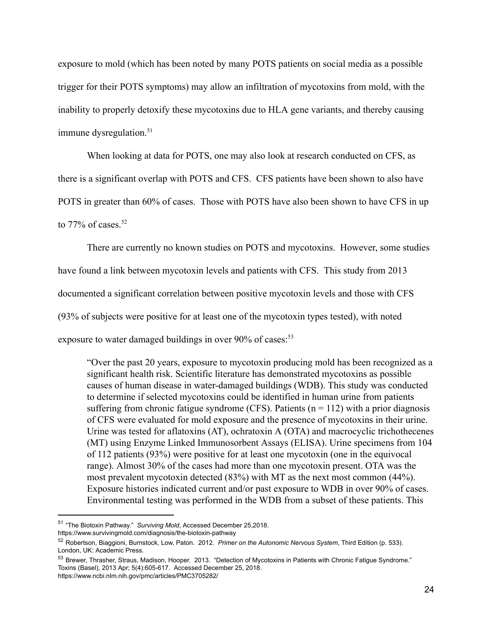exposure to mold (which has been noted by many POTS patients on social media as a possible trigger for their POTS symptoms) may allow an infiltration of mycotoxins from mold, with the inability to properly detoxify these mycotoxins due to HLA gene variants, and thereby causing immune dysregulation.<sup>51</sup>

When looking at data for POTS, one may also look at research conducted on CFS, as there is a significant overlap with POTS and CFS. CFS patients have been shown to also have POTS in greater than 60% of cases. Those with POTS have also been shown to have CFS in up to  $77\%$  of cases.<sup>52</sup>

There are currently no known studies on POTS and mycotoxins. However, some studies have found a link between mycotoxin levels and patients with CFS. This study from 2013 documented a significant correlation between positive mycotoxin levels and those with CFS (93% of subjects were positive for at least one of the mycotoxin types tested), with noted

exposure to water damaged buildings in over  $90\%$  of cases:<sup>53</sup>

"Over the past 20 years, exposure to mycotoxin producing mold has been recognized as a significant health risk. Scientific literature has demonstrated mycotoxins as possible causes of human disease in water-damaged buildings (WDB). This study was conducted to determine if selected mycotoxins could be identified in human urine from patients suffering from chronic fatigue syndrome (CFS). Patients  $(n = 112)$  with a prior diagnosis of CFS were evaluated for mold exposure and the presence of mycotoxins in their urine. Urine was tested for aflatoxins  $(AT)$ , ochratoxin A  $(OTA)$  and macrocyclic trichothecenes (MT) using Enzyme Linked Immunosorbent Assays (ELISA). Urine specimens from 104 of  $112$  patients  $(93%)$  were positive for at least one mycotoxin (one in the equivocal range). Almost 30% of the cases had more than one mycotoxin present. OTA was the most prevalent mycotoxin detected  $(83%)$  with MT as the next most common  $(44%)$ . Exposure histories indicated current and/or past exposure to WDB in over 90% of cases. Environmental testing was performed in the WDB from a subset of these patients. This

https://www.survivingmold.com/diagnosis/the-biotoxin-pathway

<sup>51</sup> "The Biotoxin Pathway." *Surviving Mold*, Accessed December 25,2018.

<sup>52</sup> Robertson, Biaggioni, Burnstock, Low, Paton. 2012. *Primer on the Autonomic Nervous System*, Third Edition (p. 533). London, UK: Academic Press.

<sup>53</sup> Brewer, Thrasher, Straus, Madison, Hooper. 2013. "Detection of Mycotoxins in Patients with Chronic Fatigue Syndrome." Toxins (Basel), 2013 Apr; 5(4):605-617. Accessed December 25, 2018. https://www.ncbi.nlm.nih.gov/pmc/articles/PMC3705282/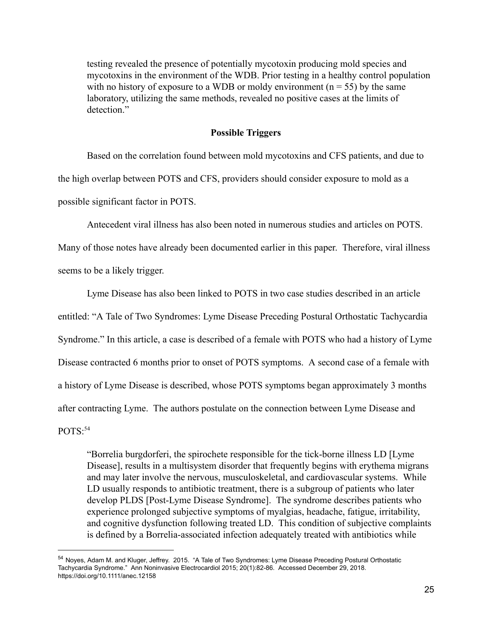testing revealed the presence of potentially mycotoxin producing mold species and mycotoxins in the environment of the WDB. Prior testing in a healthy control population with no history of exposure to a WDB or moldy environment  $(n = 55)$  by the same laboratory, utilizing the same methods, revealed no positive cases at the limits of detection."

## **Possible Triggers**

Based on the correlation found between mold mycotoxins and CFS patients, and due to the high overlap between POTS and CFS, providers should consider exposure to mold as a possible significant factor in POTS.

Antecedent viral illness has also been noted in numerous studies and articles on POTS.

Many of those notes have already been documented earlier in this paper. Therefore, viral illness seems to be a likely trigger.

Lyme Disease has also been linked to POTS in two case studies described in an article entitled: "A Tale of Two Syndromes: Lyme Disease Preceding Postural Orthostatic Tachycardia Syndrome." In this article, a case is described of a female with POTS who had a history of Lyme Disease contracted 6 months prior to onset of POTS symptoms. A second case of a female with a history of Lyme Disease is described, whose POTS symptoms began approximately 3 months after contracting Lyme. The authors postulate on the connection between Lyme Disease and  $POTS.54$ 

"Borrelia burgdorferi, the spirochete responsible for the tick-borne illness LD [Lyme] Disease], results in a multisystem disorder that frequently begins with erythema migrans and may later involve the nervous, musculoskeletal, and cardiovascular systems. While LD usually responds to antibiotic treatment, there is a subgroup of patients who later develop PLDS [Post-Lyme Disease Syndrome]. The syndrome describes patients who experience prolonged subjective symptoms of myalgias, headache, fatigue, irritability, and cognitive dysfunction following treated LD. This condition of subjective complaints is defined by a Borrelia-associated infection adequately treated with antibiotics while

<sup>54</sup> Noyes, Adam M. and Kluger, Jeffrey. 2015. "A Tale of Two Syndromes: Lyme Disease Preceding Postural Orthostatic Tachycardia Syndrome." Ann Noninvasive Electrocardiol 2015; 20(1):82-86. Accessed December 29, 2018. https://doi.org/10.1111/anec.12158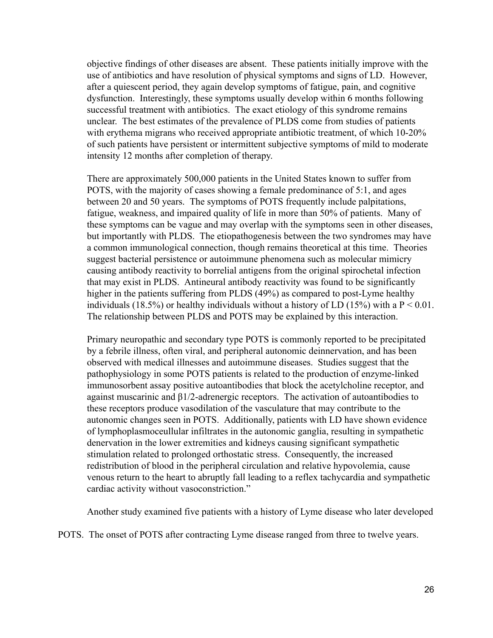objective findings of other diseases are absent. These patients initially improve with the use of antibiotics and have resolution of physical symptoms and signs of LD. However, after a quiescent period, they again develop symptoms of fatigue, pain, and cognitive dysfunction. Interestingly, these symptoms usually develop within 6 months following successful treatment with antibiotics. The exact etiology of this syndrome remains unclear. The best estimates of the prevalence of PLDS come from studies of patients with erythema migrans who received appropriate antibiotic treatment, of which 10-20% of such patients have persistent or intermittent subjective symptoms of mild to moderate intensity 12 months after completion of therapy.

There are approximately 500,000 patients in the United States known to suffer from POTS, with the majority of cases showing a female predominance of 5:1, and ages between 20 and 50 years. The symptoms of POTS frequently include palpitations, fatigue, weakness, and impaired quality of life in more than 50% of patients. Many of these symptoms can be vague and may overlap with the symptoms seen in other diseases, but importantly with PLDS. The etiopathogenesis between the two syndromes may have a common immunological connection, though remains theoretical at this time. Theories suggest bacterial persistence or autoimmune phenomena such as molecular mimicry causing antibody reactivity to borrelial antigens from the original spirochetal infection that may exist in PLDS. Antineural antibody reactivity was found to be significantly higher in the patients suffering from PLDS  $(49%)$  as compared to post-Lyme healthy individuals (18.5%) or healthy individuals without a history of LD (15%) with a  $P < 0.01$ . The relationship between PLDS and POTS may be explained by this interaction.

Primary neuropathic and secondary type POTS is commonly reported to be precipitated by a febrile illness, often viral, and peripheral autonomic deinnervation, and has been observed with medical illnesses and autoimmune diseases. Studies suggest that the pathophysiology in some POTS patients is related to the production of enzyme-linked immunosorbent assay positive autoantibodies that block the acetylcholine receptor, and against muscarinic and  $\beta$ 1/2-adrenergic receptors. The activation of autoantibodies to these receptors produce vasodilation of the vasculature that may contribute to the autonomic changes seen in POTS. Additionally, patients with LD have shown evidence of lymphoplasmoceullular infiltrates in the autonomic ganglia, resulting in sympathetic denervation in the lower extremities and kidneys causing significant sympathetic stimulation related to prolonged orthostatic stress. Consequently, the increased redistribution of blood in the peripheral circulation and relative hypovolemia, cause venous return to the heart to abruptly fall leading to a reflex tachycardia and sympathetic cardiac activity without vasoconstriction."

Another study examined five patients with a history of Lyme disease who later developed

POTS. The onset of POTS after contracting Lyme disease ranged from three to twelve years.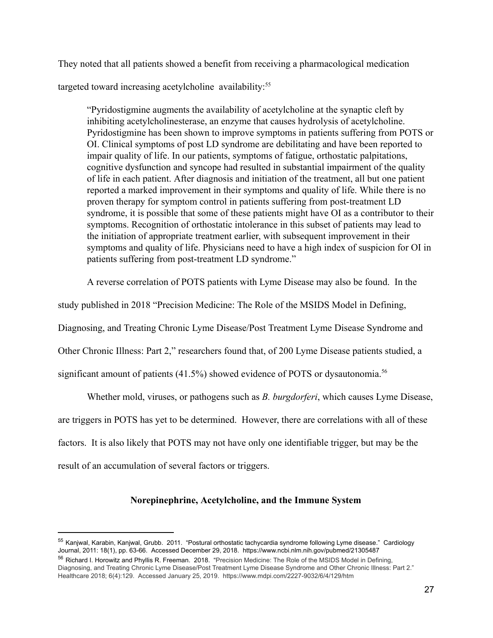They noted that all patients showed a benefit from receiving a pharmacological medication

targeted toward increasing acetylcholine  $a$ vailability:<sup>55</sup>

"Pyridostigmine augments the availability of acetylcholine at the synaptic cleft by inhibiting acetylcholinesterase, an enzyme that causes hydrolysis of acetylcholine. Pyridostigmine has been shown to improve symptoms in patients suffering from POTS or OI. Clinical symptoms of post LD syndrome are debilitating and have been reported to impair quality of life. In our patients, symptoms of fatigue, orthostatic palpitations, cognitive dysfunction and syncope had resulted in substantial impairment of the quality of life in each patient. After diagnosis and initiation of the treatment, all but one patient reported a marked improvement in their symptoms and quality of life. While there is no proven therapy for symptom control in patients suffering from post-treatment LD syndrome, it is possible that some of these patients might have OI as a contributor to their symptoms. Recognition of orthostatic intolerance in this subset of patients may lead to the initiation of appropriate treatment earlier, with subsequent improvement in their symptoms and quality of life. Physicians need to have a high index of suspicion for OI in patients suffering from post-treatment LD syndrome."

A reverse correlation of POTS patients with Lyme Disease may also be found. In the

study published in 2018 "Precision Medicine: The Role of the MSIDS Model in Defining,

Diagnosing, and Treating Chronic Lyme Disease/Post Treatment Lyme Disease Syndrome and

Other Chronic Illness: Part 2," researchers found that, of 200 Lyme Disease patients studied, a

significant amount of patients  $(41.5\%)$  showed evidence of POTS or dysautonomia.<sup>56</sup>

Whether mold, viruses, or pathogens such as *B. burgdorferi*, which causes Lyme Disease, are triggers in POTS has yet to be determined. However, there are correlations with all of these factors. It is also likely that POTS may not have only one identifiable trigger, but may be the result of an accumulation of several factors or triggers.

# Norepinephrine, Acetylcholine, and the Immune System

<sup>55</sup> Kaniwal, Karabin, Kanjwal, Grubb. 2011. "Postural orthostatic tachycardia syndrome following Lyme disease." Cardiology Journal, 2011: 18(1), pp. 63-66. Accessed December 29, 2018. https://www.ncbi.nlm.nih.gov/pubmed/21305487

<sup>&</sup>lt;sup>56</sup> Richard I. Horowitz and Phyllis R. Freeman. 2018. "Precision Medicine: The Role of the MSIDS Model in Defining, Diagnosing, and Treating Chronic Lyme Disease/Post Treatment Lyme Disease Syndrome and Other Chronic Illness: Part 2." Healthcare 2018; 6(4):129. Accessed January 25, 2019. https://www.mdpi.com/2227-9032/6/4/129/htm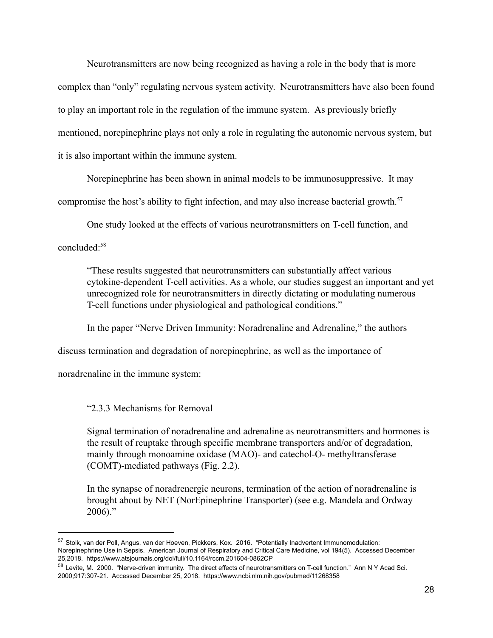Neurotransmitters are now being recognized as having a role in the body that is more complex than "only" regulating nervous system activity. Neurotransmitters have also been found to play an important role in the regulation of the immune system. As previously briefly mentioned, norepinephrine plays not only a role in regulating the autonomic nervous system, but it is also important within the immune system.

Norepinephrine has been shown in animal models to be immunosuppressive. It may

compromise the host's ability to fight infection, and may also increase bacterial growth.<sup>57</sup>

One study looked at the effects of various neurotransmitters on T-cell function, and

concluded:<sup>58</sup>

"These results suggested that neurotransmitters can substantially affect various cytokine-dependent T-cell activities. As a whole, our studies suggest an important and yet unrecognized role for neurotransmitters in directly dictating or modulating numerous T-cell functions under physiological and pathological conditions."

In the paper "Nerve Driven Immunity: Noradrenaline and Adrenaline," the authors

discuss termination and degradation of norepinephrine, as well as the importance of

noradrenaline in the immune system:

"2.3.3 Mechanisms for Removal

Signal termination of noradrenaline and adrenaline as neurotransmitters and hormones is the result of reuptake through specific membrane transporters and/or of degradation, mainly through monoamine oxidase (MAO)- and catechol-O- methyltransferase (COMT)-mediated pathways (Fig. 2.2).

In the synapse of noradrenergic neurons, termination of the action of noradrenaline is brought about by NET (NorEpinephrine Transporter) (see e.g. Mandela and Ordway  $2006$ )."

<sup>57</sup> Stolk, van der Poll, Angus, van der Hoeven, Pickkers, Kox. 2016. "Potentially Inadvertent Immunomodulation: Norepinephrine Use in Sepsis. American Journal of Respiratory and Critical Care Medicine, vol 194(5). Accessed December 25,2018. https://www.atsjournals.org/doi/full/10.1164/rccm.201604-0862CP

<sup>58</sup> Levite, M. 2000. "Nerve-driven immunity. The direct effects of neurotransmitters on T-cell function." Ann N Y Acad Sci. 2000;917:307-21. Accessed December 25, 2018. https://www.ncbi.nlm.nih.gov/pubmed/11268358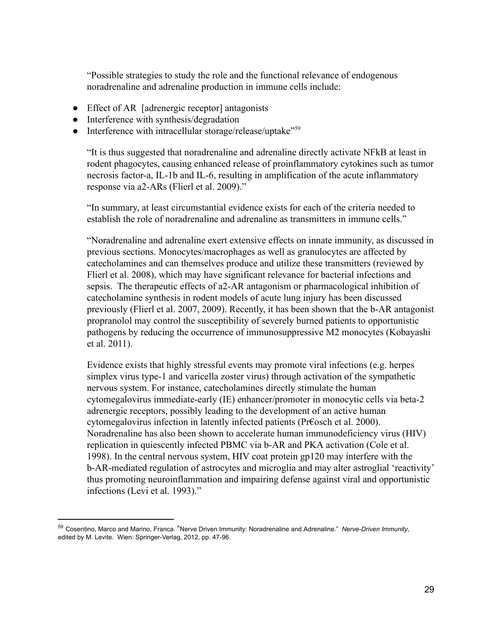"Possible strategies to study the role and the functional relevance of endogenous noradrenaline and adrenaline production in immune cells include:

- Effect of AR [adrenergic receptor] antagonists
- Interference with synthesis/degradation
- Interference with intracellular storage/release/uptake"<sup>59</sup>

"It is thus suggested that noradrenaline and adrenaline directly activate NFkB at least in rodent phagocytes, causing enhanced release of proinflammatory cytokines such as tumor necrosis factor-a, IL-1b and IL-6, resulting in amplification of the acute inflammatory response via a2-ARs (Flierl et al. 2009)."

"In summary, at least circumstantial evidence exists for each of the criteria needed to establish the role of noradrenaline and adrenaline as transmitters in immune cells."

"Noradrenaline and adrenaline exert extensive effects on innate immunity, as discussed in previous sections. Monocytes/macrophages as well as granulocytes are affected by catecholamines and can themselves produce and utilize these transmitters (reviewed by Flierl et al. 2008), which may have significant relevance for bacterial infections and sepsis. The therapeutic effects of a2-AR antagonism or pharmacological inhibition of catecholamine synthesis in rodent models of acute lung injury has been discussed previously (Flierl et al. 2007, 2009). Recently, it has been shown that the b-AR antagonist propranolol may control the susceptibility of severely burned patients to opportunistic pathogens by reducing the occurrence of immunosuppressive M2 monocytes (Kobayashi et al. 2011).

Evidence exists that highly stressful events may promote viral infections (e.g. herpes simplex virus type-1 and varicella zoster virus) through activation of the sympathetic nervous system. For instance, catecholamines directly stimulate the human cytomegalovirus immediate-early (IE) enhancer/promoter in monocytic cells via beta-2 adrenergic receptors, possibly leading to the development of an active human cytomegalovirus infection in latently infected patients (Pr $\epsilon$ osch et al. 2000). Noradrenaline has also been shown to accelerate human immunodeficiency virus (HIV) replication in quiescently infected PBMC via b-AR and PKA activation (Cole et al. 1998). In the central nervous system, HIV coat protein gp120 may interfere with the b-AR-mediated regulation of astrocytes and microglia and may alter astroglial 'reactivity' thus promoting neuroinflammation and impairing defense against viral and opportunistic infections (Levi et al. 1993)."

<sup>59</sup> Cosentino, Marco and Marino, Franca. "Nerve Driven Immunity: Noradrenaline and Adrenaline." *Nerve-Driven Immunity*, edited by M. Levite. Wien: Springer-Verlag, 2012, pp. 47-96.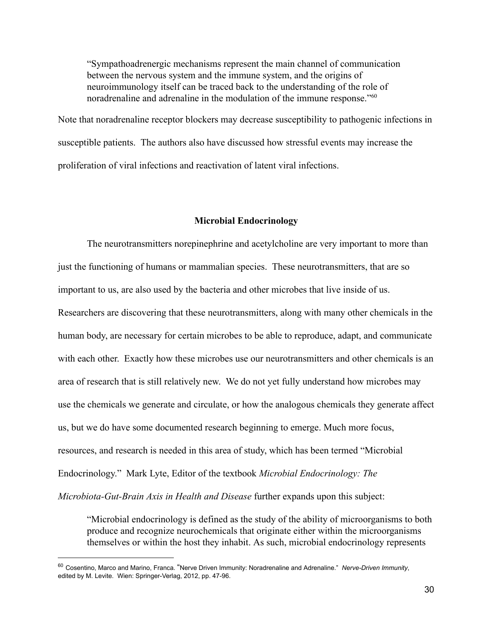"Sympathoadrenergic mechanisms represent the main channel of communication between the nervous system and the immune system, and the origins of neuroimmunology itself can be traced back to the understanding of the role of noradrenaline and adrenaline in the modulation of the immune response."<sup>60</sup>

Note that noradrenaline receptor blockers may decrease susceptibility to pathogenic infections in susceptible patients. The authors also have discussed how stressful events may increase the proliferation of viral infections and reactivation of latent viral infections.

### **Microbial Endocrinology**

The neurotransmitters norepinephrine and acetylcholine are very important to more than just the functioning of humans or mammalian species. These neurotransmitters, that are so important to us, are also used by the bacteria and other microbes that live inside of us. Researchers are discovering that these neurotransmitters, along with many other chemicals in the human body, are necessary for certain microbes to be able to reproduce, adapt, and communicate with each other. Exactly how these microbes use our neurotransmitters and other chemicals is an area of research that is still relatively new. We do not yet fully understand how microbes may use the chemicals we generate and circulate, or how the analogous chemicals they generate affect us, but we do have some documented research beginning to emerge. Much more focus, resources, and research is needed in this area of study, which has been termed "Microbial Endocrinology." Mark Lyte, Editor of the textbook *Microbial Endocrinology: The Microbiota-Gut-Brain Axis in Health and Disease further expands upon this subject:* 

"Microbial endocrinology is defined as the study of the ability of microorganisms to both produce and recognize neurochemicals that originate either within the microorganisms themselves or within the host they inhabit. As such, microbial endocrinology represents

<sup>60</sup> Cosentino, Marco and Marino, Franca. "Nerve Driven Immunity: Noradrenaline and Adrenaline." *Nerve-Driven Immunity*, edited by M. Levite. Wien: Springer-Verlag, 2012, pp. 47-96.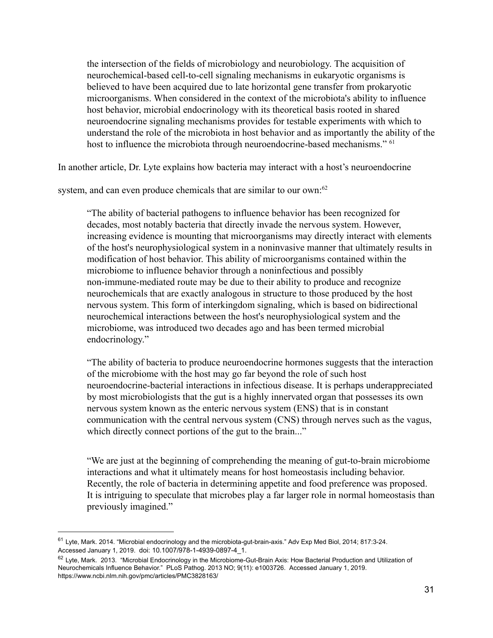the intersection of the fields of microbiology and neurobiology. The acquisition of neurochemical-based cell-to-cell signaling mechanisms in eukaryotic organisms is believed to have been acquired due to late horizontal gene transfer from prokaryotic microorganisms. When considered in the context of the microbiota's ability to influence host behavior, microbial endocrinology with its theoretical basis rooted in shared neuroendocrine signaling mechanisms provides for testable experiments with which to understand the role of the microbiota in host behavior and as importantly the ability of the host to influence the microbiota through neuroendocrine-based mechanisms." <sup>61</sup>

In another article, Dr. Lyte explains how bacteria may interact with a host's neuroendocrine

system, and can even produce chemicals that are similar to our own: $62$ 

"The ability of bacterial pathogens to influence behavior has been recognized for decades, most notably bacteria that directly invade the nervous system. However, increasing evidence is mounting that microorganisms may directly interact with elements of the host's neurophysiological system in a noninvasive manner that ultimately results in modification of host behavior. This ability of microorganisms contained within the microbiome to influence behavior through a noninfectious and possibly non-immune-mediated route may be due to their ability to produce and recognize neurochemicals that are exactly analogous in structure to those produced by the host nervous system. This form of interkingdom signaling, which is based on bidirectional neurochemical interactions between the host's neurophysiological system and the microbiome, was introduced two decades ago and has been termed microbial endocrinology."

"The ability of bacteria to produce neuroendocrine hormones suggests that the interaction of the microbiome with the host may go far beyond the role of such host neuroendocrine-bacterial interactions in infectious disease. It is perhaps underappreciated by most microbiologists that the gut is a highly innervated organ that possesses its own nervous system known as the enteric nervous system (ENS) that is in constant communication with the central nervous system (CNS) through nerves such as the vagus, which directly connect portions of the gut to the brain..."

"We are just at the beginning of comprehending the meaning of gut-to-brain microbiome interactions and what it ultimately means for host homeostasis including behavior. Recently, the role of bacteria in determining appetite and food preference was proposed. It is intriguing to speculate that microbes play a far larger role in normal homeostasis than previously imagined."

<sup>61</sup> Lyte, Mark. 2014. "Microbial endocrinology and the microbiota-gut-brain-axis." Adv Exp Med Biol, 2014; 817:3-24. Accessed January 1, 2019. doi: 10.1007/978-1-4939-0897-4\_1.

 $62$  Lyte, Mark. 2013. "Microbial Endocrinology in the Microbiome-Gut-Brain Axis: How Bacterial Production and Utilization of Neurochemicals Influence Behavior." PLoS Pathog. 2013 NO; 9(11): e1003726. Accessed January 1, 2019. https://www.ncbi.nlm.nih.gov/pmc/articles/PMC3828163/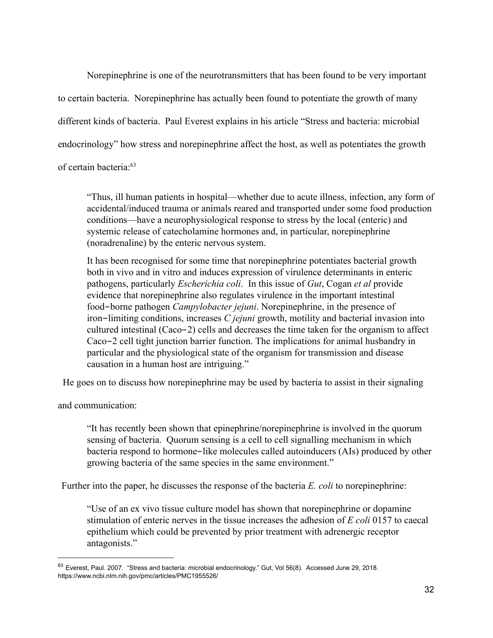Norepinephrine is one of the neurotransmitters that has been found to be very important to certain bacteria. Norepinephrine has actually been found to potentiate the growth of many different kinds of bacteria. Paul Everest explains in his article "Stress and bacteria: microbial endocrinology" how stress and norepinephrine affect the host, as well as potentiates the growth of certain bacteria:<sup>63</sup>

"Thus, ill human patients in hospital—whether due to acute illness, infection, any form of accidental/induced trauma or animals reared and transported under some food production conditions—have a neurophysiological response to stress by the local (enteric) and systemic release of catecholamine hormones and, in particular, norepinephrine (noradrenaline) by the enteric nervous system.

It has been recognised for some time that norepinephrine potentiates bacterial growth both in vivo and in vitro and induces expression of virulence determinants in enteric pathogens, particularly *Escherichia coli*. In this issue of *Gut*, Cogan *et al* provide evidence that norepinephrine also regulates virulence in the important intestinal food-borne pathogen *Campylobacter jejuni*. Norepinephrine, in the presence of iron-limiting conditions, increases *C jejuni* growth, motility and bacterial invasion into cultured intestinal  $(Caco-2)$  cells and decreases the time taken for the organism to affect Caco-2 cell tight junction barrier function. The implications for animal husbandry in particular and the physiological state of the organism for transmission and disease causation in a human host are intriguing."

He goes on to discuss how norepinephrine may be used by bacteria to assist in their signaling

and communication:

"It has recently been shown that epinephrine/norepinephrine is involved in the quorum sensing of bacteria. Quorum sensing is a cell to cell signalling mechanism in which bacteria respond to hormone-like molecules called autoinducers (AIs) produced by other growing bacteria of the same species in the same environment."

Further into the paper, he discusses the response of the bacteria *E. coli* to norepinephrine:

"Use of an ex vivo tissue culture model has shown that norepinephrine or dopamine stimulation of enteric nerves in the tissue increases the adhesion of *E coli* 0157 to caecal epithelium which could be prevented by prior treatment with adrenergic receptor antagonists."

<sup>63</sup> Everest, Paul. 2007. "Stress and bacteria: microbial endocrinology." Gut, Vol 56(8). Accessed June 29, 2018. https://www.ncbi.nlm.nih.gov/pmc/articles/PMC1955526/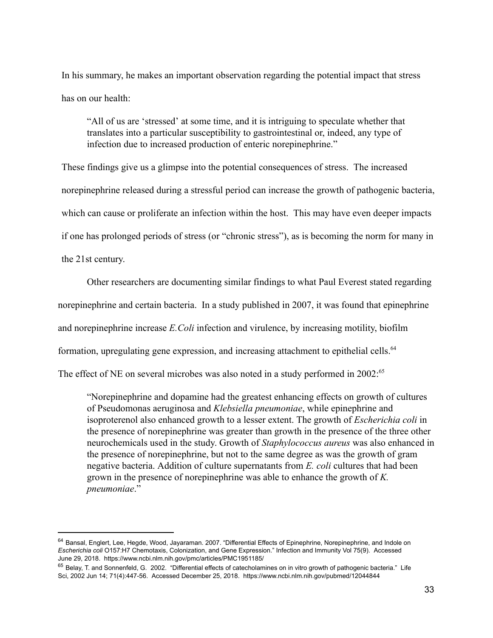In his summary, he makes an important observation regarding the potential impact that stress has on our health:

"All of us are 'stressed' at some time, and it is intriguing to speculate whether that translates into a particular susceptibility to gastrointestinal or, indeed, any type of infection due to increased production of enteric norepinephrine."

These findings give us a glimpse into the potential consequences of stress. The increased norepinephrine released during a stressful period can increase the growth of pathogenic bacteria, which can cause or proliferate an infection within the host. This may have even deeper impacts if one has prolonged periods of stress (or "chronic stress"), as is becoming the norm for many in the 21st century.

Other researchers are documenting similar findings to what Paul Everest stated regarding

norepinephrine and certain bacteria. In a study published in 2007, it was found that epinephrine

and norepinephrine increase *E.Coli* infection and virulence, by increasing motility, biofilm

formation, upregulating gene expression, and increasing attachment to epithelial cells.<sup>64</sup>

The effect of NE on several microbes was also noted in a study performed in 2002:<sup>65</sup>

"Norepinephrine and dopamine had the greatest enhancing effects on growth of cultures of Pseudomonas aeruginosa and *Klebsiella pneumoniae*, while epinephrine and isoproterenol also enhanced growth to a lesser extent. The growth of *Escherichia coli* in the presence of norepinephrine was greater than growth in the presence of the three other neurochemicals used in the study. Growth of *Staphylococcus aureus* was also enhanced in the presence of norepinephrine, but not to the same degree as was the growth of gram negative bacteria. Addition of culture supernatants from *E. coli* cultures that had been grown in the presence of norepinephrine was able to enhance the growth of  $K$ . *pneumoniae* ."

<sup>&</sup>lt;sup>64</sup> Bansal, Englert, Lee, Hegde, Wood, Jayaraman. 2007. "Differential Effects of Epinephrine, Norepinephrine, and Indole on *Escherichia coli* O157:H7 Chemotaxis, Colonization, and Gene Expression." Infection and Immunity Vol 75(9). Accessed June 29, 2018. https://www.ncbi.nlm.nih.gov/pmc/articles/PMC1951185/

<sup>65</sup> Belay, T. and Sonnenfeld, G. 2002. "Differential effects of catecholamines on in vitro growth of pathogenic bacteria." Life Sci, 2002 Jun 14; 71(4):447-56. Accessed December 25, 2018. https://www.ncbi.nlm.nih.gov/pubmed/12044844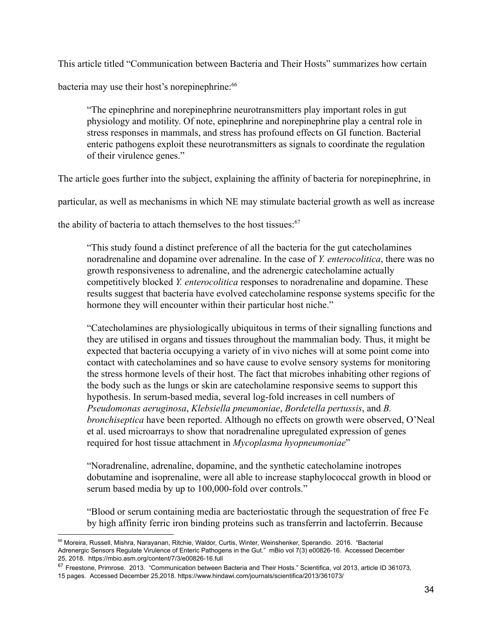This article titled "Communication between Bacteria and Their Hosts" summarizes how certain

bacteria may use their host's norepinephrine:<sup>66</sup>

"The epinephrine and norepinephrine neurotransmitters play important roles in gut physiology and motility. Of note, epinephrine and norepinephrine play a central role in stress responses in mammals, and stress has profound effects on GI function. Bacterial enteric pathogens exploit these neurotransmitters as signals to coordinate the regulation of their virulence genes."

The article goes further into the subject, explaining the affinity of bacteria for norepinephrine, in

particular, as well as mechanisms in which NE may stimulate bacterial growth as well as increase

the ability of bacteria to attach themselves to the host tissues: $67$ 

"This study found a distinct preference of all the bacteria for the gut catecholamines noradrenaline and dopamine over adrenaline. In the case of *Y. enterocolitica*, there was no growth responsiveness to adrenaline, and the adrenergic catecholamine actually competitively blocked *Y. enterocolitica* responses to noradrenaline and dopamine. These results suggest that bacteria have evolved catecholamine response systems specific for the hormone they will encounter within their particular host niche."

"Catecholamines are physiologically ubiquitous in terms of their signalling functions and they are utilised in organs and tissues throughout the mammalian body. Thus, it might be expected that bacteria occupying a variety of in vivo niches will at some point come into contact with cate cholamines and so have cause to evolve sensory systems for monitoring the stress hormone levels of their host. The fact that microbes inhabiting other regions of the body such as the lungs or skin are catecholamine responsive seems to support this hypothesis. In serum-based media, several log-fold increases in cell numbers of **Pseudomonas aeruginosa, Klebsiella pneumoniae, Bordetella pertussis, and B.** *bronchiseptica* have been reported. Although no effects on growth were observed, O'Neal et al. used microarrays to show that noradrenaline upregulated expression of genes required for host tissue attachment in *Mycoplasma hyopneumoniae*"

"Noradrenaline, adrenaline, dopamine, and the synthetic catecholamine inotropes dobutamine and isoprenaline, were all able to increase staphylococcal growth in blood or serum based media by up to 100,000-fold over controls."

"Blood or serum containing media are bacteriostatic through the sequestration of free Fe by high affinity ferric iron binding proteins such as transferrin and lactoferrin. Because

<sup>66</sup> Moreira, Russell, Mishra, Narayanan, Ritchie, Waldor, Curtis, Winter, Weinshenker, Sperandio. 2016. "Bacterial Adrenergic Sensors Regulate Virulence of Enteric Pathogens in the Gut." mBio vol 7(3) e00826-16. Accessed December 25, 2018. https://mbio.asm.org/content/7/3/e00826-16.full

<sup>67</sup> Freestone, Primrose. 2013. "Communication between Bacteria and Their Hosts." Scientifica, vol 2013, article ID 361073, 15 pages. Accessed December 25,2018. https://www.hindawi.com/journals/scientifica/2013/361073/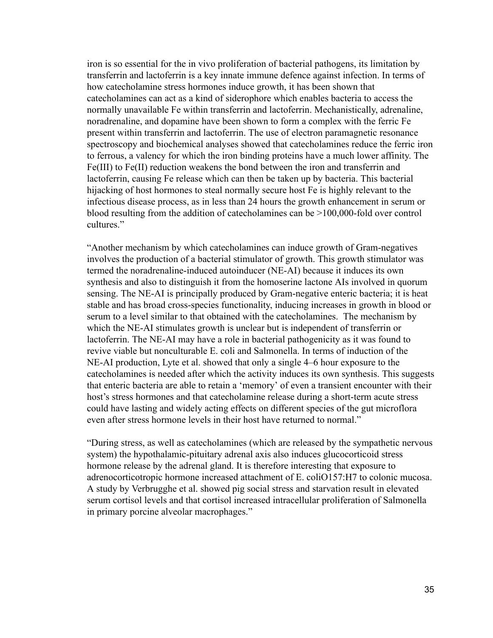iron is so essential for the in vivo proliferation of bacterial pathogens, its limitation by transferrin and lactoferrin is a key innate immune defence against infection. In terms of how catecholamine stress hormones induce growth, it has been shown that catecholamines can act as a kind of siderophore which enables bacteria to access the normally unavailable Fe within transferrin and lactoferrin. Mechanistically, adrenaline, noradrenaline, and dopamine have been shown to form a complex with the ferric Fe present within transferrin and lactoferrin. The use of electron paramagnetic resonance spectroscopy and biochemical analyses showed that catecholamines reduce the ferric iron to ferrous, a valency for which the iron binding proteins have a much lower affinity. The  $Fe(III)$  to  $Fe(II)$  reduction weakens the bond between the iron and transferrin and lactoferrin, causing Fe release which can then be taken up by bacteria. This bacterial hijacking of host hormones to steal normally secure host Fe is highly relevant to the infectious disease process, as in less than 24 hours the growth enhancement in serum or blood resulting from the addition of catecholamines can be  $>100,000$ -fold over control cultures."

"Another mechanism by which catecholamines can induce growth of Gram-negatives involves the production of a bacterial stimulator of growth. This growth stimulator was termed the noradrenaline-induced autoinducer (NE-AI) because it induces its own synthesis and also to distinguish it from the homoserine lactone AIs involved in quorum sensing. The NE-AI is principally produced by Gram-negative enteric bacteria; it is heat stable and has broad cross-species functionality, inducing increases in growth in blood or serum to a level similar to that obtained with the catecholamines. The mechanism by which the NE-AI stimulates growth is unclear but is independent of transferrin or lactoferrin. The NE-AI may have a role in bacterial pathogenicity as it was found to revive viable but nonculturable E. coli and Salmonella. In terms of induction of the NE-AI production, Lyte et al. showed that only a single 4–6 hour exposure to the catecholamines is needed after which the activity induces its own synthesis. This suggests that enteric bacteria are able to retain a 'memory' of even a transient encounter with their host's stress hormones and that catecholamine release during a short-term acute stress could have lasting and widely acting effects on different species of the gut microflora even after stress hormone levels in their host have returned to normal."

"During stress, as well as catecholamines (which are released by the sympathetic nervous system) the hypothalamic-pituitary adrenal axis also induces glucocorticoid stress hormone release by the adrenal gland. It is therefore interesting that exposure to adrenocorticotropic hormone increased attachment of E. coliO157:H7 to colonic mucosa. A study by Verbrugghe et al. showed pig social stress and starvation result in elevated serum cortisol levels and that cortisol increased intracellular proliferation of Salmonella in primary porcine alveolar macrophages."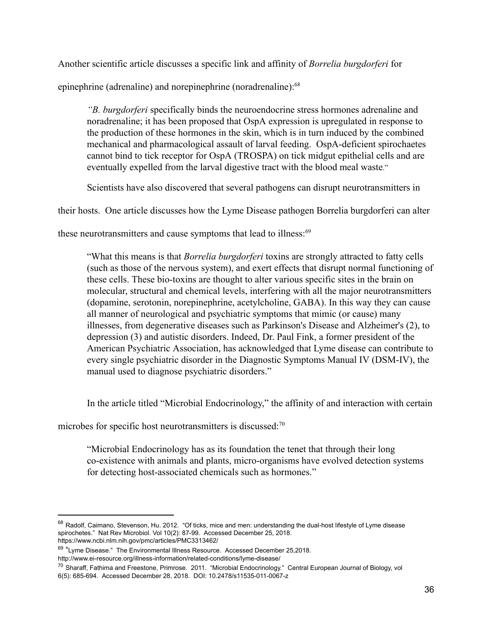Another scientific article discusses a specific link and affinity of *Borrelia burgdorferi* for

epinephrine (adrenaline) and norepinephrine (noradrenaline): $68$ 

*"B.* burgdorferi specifically binds the neuroendocrine stress hormones adrenaline and noradrenaline; it has been proposed that OspA expression is upregulated in response to the production of these hormones in the skin, which is in turn induced by the combined mechanical and pharmacological assault of larval feeding. OspA-deficient spirochaetes cannot bind to tick receptor for OspA (TROSPA) on tick midgut epithelial cells and are eventually expelled from the larval digestive tract with the blood meal waste."

Scientists have also discovered that several pathogens can disrupt neurotransmitters in

their hosts. One article discusses how the Lyme Disease pathogen Borrelia burgdorferi can alter

these neurotransmitters and cause symptoms that lead to illness: $69$ 

"What this means is that *Borrelia burgdorferi* toxins are strongly attracted to fatty cells (such as those of the nervous system), and exert effects that disrupt normal functioning of these cells. These bio-toxins are thought to alter various specific sites in the brain on molecular, structural and chemical levels, interfering with all the major neurotransmitters (dopamine, serotonin, norepinephrine, acetylcholine, GABA). In this way they can cause all manner of neurological and psychiatric symptoms that mimic (or cause) many illnesses, from degenerative diseases such as Parkinson's Disease and Alzheimer's (2), to depression  $(3)$  and autistic disorders. Indeed, Dr. Paul Fink, a former president of the American Psychiatric Association, has acknowledged that Lyme disease can contribute to every single psychiatric disorder in the Diagnostic Symptoms Manual IV (DSM-IV), the manual used to diagnose psychiatric disorders."

In the article titled "Microbial Endocrinology," the affinity of and interaction with certain

microbes for specific host neurotransmitters is discussed: $70$ 

"Microbial Endocrinology has as its foundation the tenet that through their long co-existence with animals and plants, micro-organisms have evolved detection systems for detecting host-associated chemicals such as hormones."

<sup>68</sup> Radolf, Caimano, Stevenson, Hu. 2012. "Of ticks, mice and men: understanding the dual-host lifestyle of Lyme disease spirochetes." Nat Rev Microbiol. Vol 10(2): 87-99. Accessed December 25, 2018. https://www.ncbi.nlm.nih.gov/pmc/articles/PMC3313462/

<sup>&</sup>lt;sup>69</sup> "Lyme Disease." The Environmental Illness Resource. Accessed December 25,2018.

http://www.ei-resource.org/illness-information/related-conditions/lyme-disease/

<sup>&</sup>lt;sup>70</sup> Sharaff, Fathima and Freestone, Primrose. 2011. "Microbial Endocrinology." Central European Journal of Biology, vol 6(5): 685-694. Accessed December 28, 2018. DOI: 10.2478/s11535-011-0067-z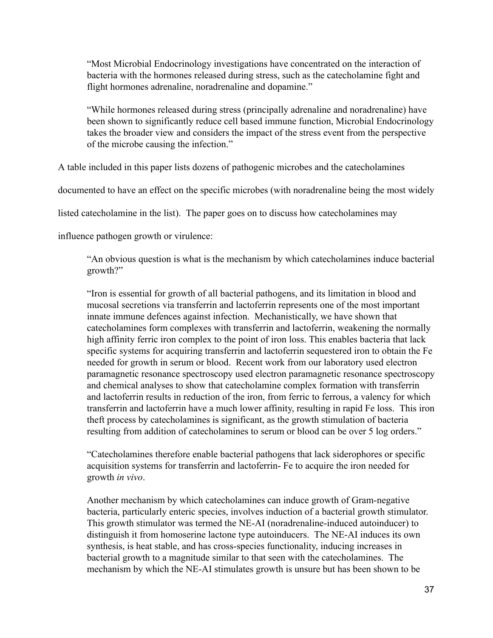"Most Microbial Endocrinology investigations have concentrated on the interaction of bacteria with the hormones released during stress, such as the catecholamine fight and flight hormones adrenaline, noradrenaline and dopamine."

"While hormones released during stress (principally adrenaline and noradrenaline) have been shown to significantly reduce cell based immune function, Microbial Endocrinology takes the broader view and considers the impact of the stress event from the perspective of the microbe causing the infection."

A table included in this paper lists dozens of pathogenic microbes and the catecholamines

documented to have an effect on the specific microbes (with noradrenaline being the most widely

listed catecholamine in the list). The paper goes on to discuss how catecholamines may

influence pathogen growth or virulence:

"An obvious question is what is the mechanism by which cate cholamines induce bacterial growth?"

"Iron is essential for growth of all bacterial pathogens, and its limitation in blood and mucosal secretions via transferrin and lactoferrin represents one of the most important innate immune defences against infection. Mechanistically, we have shown that catecholamines form complexes with transferrin and lactoferrin, weakening the normally high affinity ferric iron complex to the point of iron loss. This enables bacteria that lack specific systems for acquiring transferrin and lactoferrin sequestered iron to obtain the Fe needed for growth in serum or blood. Recent work from our laboratory used electron paramagnetic resonance spectroscopy used electron paramagnetic resonance spectroscopy and chemical analyses to show that catecholamine complex formation with transferrin and lactoferrin results in reduction of the iron, from ferric to ferrous, a valency for which transferrin and lactoferrin have a much lower affinity, resulting in rapid Fe loss. This iron theft process by catecholamines is significant, as the growth stimulation of bacteria resulting from addition of catecholamines to serum or blood can be over 5 log orders."

"Catecholamines therefore enable bacterial pathogens that lack siderophores or specific acquisition systems for transferrin and lactoferrin- Fe to acquire the iron needed for growth *in vivo*.

Another mechanism by which catecholamines can induce growth of Gram-negative bacteria, particularly enteric species, involves induction of a bacterial growth stimulator. This growth stimulator was termed the NE-AI (noradrenaline-induced autoinducer) to distinguish it from homoserine lactone type autoinducers. The NE-AI induces its own synthesis, is heat stable, and has cross-species functionality, inducing increases in bacterial growth to a magnitude similar to that seen with the catecholamines. The mechanism by which the NE-AI stimulates growth is unsure but has been shown to be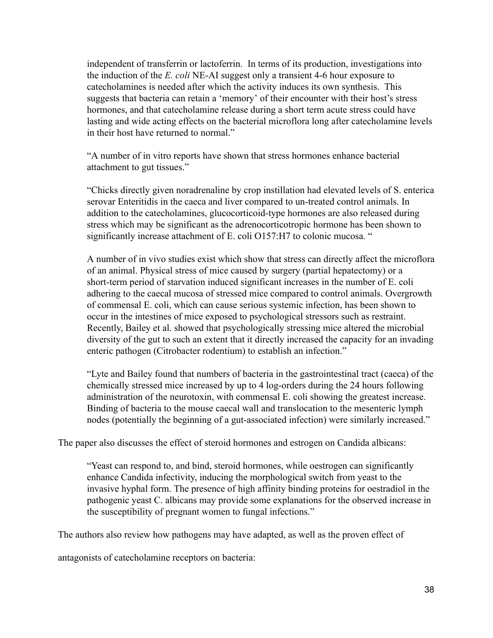independent of transferrin or lactoferrin. In terms of its production, investigations into the induction of the *E. coli* NE-AI suggest only a transient 4-6 hour exposure to catecholamines is needed after which the activity induces its own synthesis. This suggests that bacteria can retain a 'memory' of their encounter with their host's stress hormones, and that catecholamine release during a short term acute stress could have lasting and wide acting effects on the bacterial microflora long after catecholamine levels in their host have returned to normal."

"A number of in vitro reports have shown that stress hormones enhance bacterial attachment to gut tissues."

"Chicks directly given noradrenaline by crop instillation had elevated levels of S. enterica serovar Enteritidis in the caeca and liver compared to un-treated control animals. In addition to the catecholamines, glucocorticoid-type hormones are also released during stress which may be significant as the adrenocorticotropic hormone has been shown to significantly increase attachment of E. coli O157:H7 to colonic mucosa. "

A number of in vivo studies exist which show that stress can directly affect the microflora of an animal. Physical stress of mice caused by surgery (partial hepatectomy) or a short-term period of starvation induced significant increases in the number of E. coli adhering to the caecal mucosa of stressed mice compared to control animals. Overgrowth of commensal E. coli, which can cause serious systemic infection, has been shown to occur in the intestines of mice exposed to psychological stressors such as restraint. Recently, Bailey et al. showed that psychologically stressing mice altered the microbial diversity of the gut to such an extent that it directly increased the capacity for an invading enteric pathogen (Citrobacter rodentium) to establish an infection."

"Lyte and Bailey found that numbers of bacteria in the gastrointestinal tract (caeca) of the chemically stressed mice increased by up to 4 log-orders during the 24 hours following administration of the neurotoxin, with commensal E. coli showing the greatest increase. Binding of bacteria to the mouse caecal wall and translocation to the mesenteric lymph nodes (potentially the beginning of a gut-associated infection) were similarly increased."

The paper also discusses the effect of steroid hormones and estrogen on Candida albicans:

"Yeast can respond to, and bind, steroid hormones, while oestrogen can significantly enhance Candida infectivity, inducing the morphological switch from yeast to the invasive hyphal form. The presence of high affinity binding proteins for oestradiol in the pathogenic yeast C. albicans may provide some explanations for the observed increase in the susceptibility of pregnant women to fungal infections."

The authors also review how pathogens may have adapted, as well as the proven effect of

antagonists of catecholamine receptors on bacteria: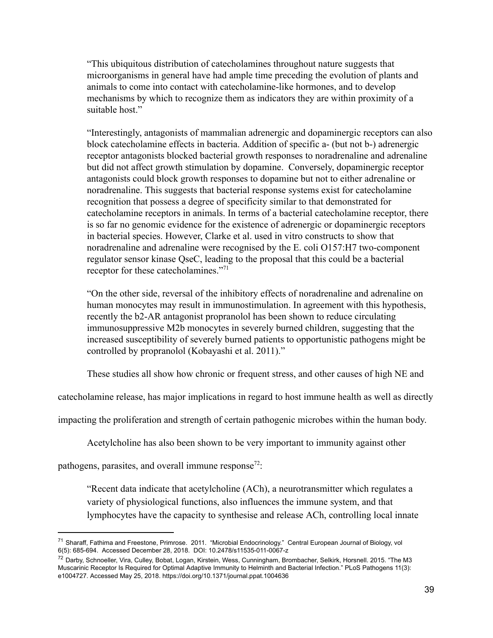"This ubiquitous distribution of catecholamines throughout nature suggests that microorganisms in general have had ample time preceding the evolution of plants and animals to come into contact with catecholamine-like hormones, and to develop mechanisms by which to recognize them as indicators they are within proximity of a suitable host."

"Interestingly, antagonists of mammalian adrenergic and dopaminergic receptors can also block catecholamine effects in bacteria. Addition of specific a- (but not b-) adrenergic receptor antagonists blocked bacterial growth responses to noradrenaline and adrenaline but did not affect growth stimulation by dopamine. Conversely, dopaminergic receptor antagonists could block growth responses to dopamine but not to either adrenaline or noradrenaline. This suggests that bacterial response systems exist for catecholamine recognition that possess a degree of specificity similar to that demonstrated for catecholamine receptors in animals. In terms of a bacterial catecholamine receptor, there is so far no genomic evidence for the existence of adrenergic or dopaminergic receptors in bacterial species. However, Clarke et al. used in vitro constructs to show that noradrenaline and adrenaline were recognised by the E. coli  $O157:H7$  two-component regulator sensor kinase QseC, leading to the proposal that this could be a bacterial receptor for these catecholamines."<sup>71</sup>

"On the other side, reversal of the inhibitory effects of noradrenaline and adrenaline on human monocytes may result in immunostimulation. In agreement with this hypothesis, recently the b2-AR antagonist propranolol has been shown to reduce circulating immunosuppressive M2b monocytes in severely burned children, suggesting that the increased susceptibility of severely burned patients to opportunistic pathogens might be controlled by propranolol (Kobayashi et al. 2011)."

These studies all show how chronic or frequent stress, and other causes of high NE and

cate cholamine release, has major implications in regard to host immune health as well as directly

impacting the proliferation and strength of certain pathogenic microbes within the human body.

Acetylcholine has also been shown to be very important to immunity against other

pathogens, parasites, and overall immune response<sup>72</sup>:

"Recent data indicate that acetylcholine (ACh), a neurotransmitter which regulates a variety of physiological functions, also influences the immune system, and that lymphocytes have the capacity to synthesise and release ACh, controlling local innate

<sup>&</sup>lt;sup>71</sup> Sharaff, Fathima and Freestone, Primrose. 2011. "Microbial Endocrinology." Central European Journal of Biology, vol 6(5): 685-694. Accessed December 28, 2018. DOI: 10.2478/s11535-011-0067-z

<sup>72</sup> Darby, Schnoeller, Vira, Culley, Bobat, Logan, Kirstein, Wess, Cunningham, Brombacher, Selkirk, Horsnell. 2015. "The M3 Muscarinic Receptor Is Required for Optimal Adaptive Immunity to Helminth and Bacterial Infection." PLoS Pathogens 11(3): e1004727. Accessed May 25, 2018. https://doi.org/10.1371/journal.ppat.1004636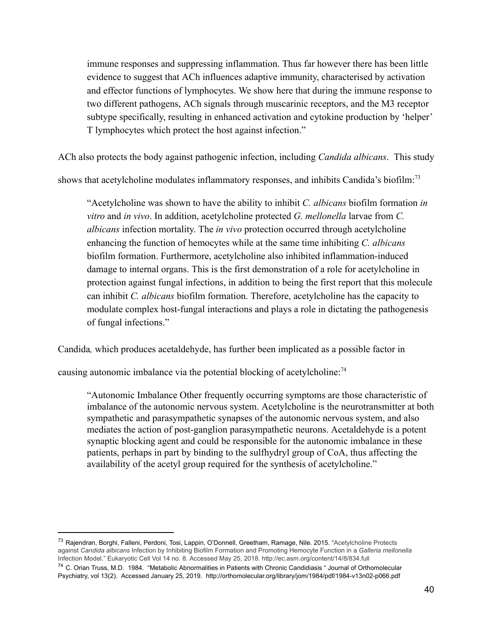immune responses and suppressing inflammation. Thus far however there has been little evidence to suggest that ACh influences adaptive immunity, characterised by activation and effector functions of lymphocytes. We show here that during the immune response to two different pathogens, ACh signals through muscarinic receptors, and the M3 receptor subtype specifically, resulting in enhanced activation and cytokine production by 'helper' T lymphocytes which protect the host against infection."

ACh also protects the body against pathogenic infection, including *Candida albicans*. This study

shows that acetylcholine modulates inflammatory responses, and inhibits Candida's biofilm:<sup>73</sup>

"Acetylcholine was shown to have the ability to inhibit *C. albicans* biofilm formation *in vitro* and *in vivo*. In addition, acetylcholine protected *G. mellonella* larvae from *C. albicans* infection mortality. The *in vivo* protection occurred through acetylcholine enhancing the function of hemocytes while at the same time inhibiting *C. albicans* biofilm formation. Furthermore, acetylcholine also inhibited inflammation-induced damage to internal organs. This is the first demonstration of a role for acetylcholine in protection against fungal infections, in addition to being the first report that this molecule can inhibit *C. albicans* biofilm formation. Therefore, acetylcholine has the capacity to modulate complex host-fungal interactions and plays a role in dictating the pathogenesis of fungal infections."

Candida, which produces acetaldehyde, has further been implicated as a possible factor in

causing autonomic imbalance via the potential blocking of acetylcholine:<sup>74</sup>

"Autonomic Imbalance Other frequently occurring symptoms are those characteristic of imbalance of the autonomic nervous system. Acetylcholine is the neurotransmitter at both sympathetic and parasympathetic synapses of the autonomic nervous system, and also mediates the action of post-ganglion parasympathetic neurons. Acetaldehyde is a potent synaptic blocking agent and could be responsible for the autonomic imbalance in these patients, perhaps in part by binding to the sulfhydryl group of CoA, thus affecting the availability of the acetyl group required for the synthesis of acetylcholine."

<sup>73</sup> Rajendran, Borghi, Falleni, Perdoni, Tosi, Lappin, O'Donnell, Greetham, Ramage, Nile. 2015. "Acetylcholine Protects against *Candida albicans* Infection by Inhibiting Biofilm Formation and Promoting Hemocyte Function in a *Galleria mellonella* Infection Model." Eukaryotic Cell Vol 14 no. 8. Accessed May 25, 2018. http://ec.asm.org/content/14/8/834.full <sup>74</sup> C. Orian Truss, M.D. 1984. "Metabolic Abnormalities in Patients with Chronic Candidiasis " Journal of Orthomolecular

Psychiatry, vol 13(2). Accessed January 25, 2019. http://orthomolecular.org/library/jom/1984/pdf/1984-v13n02-p066.pdf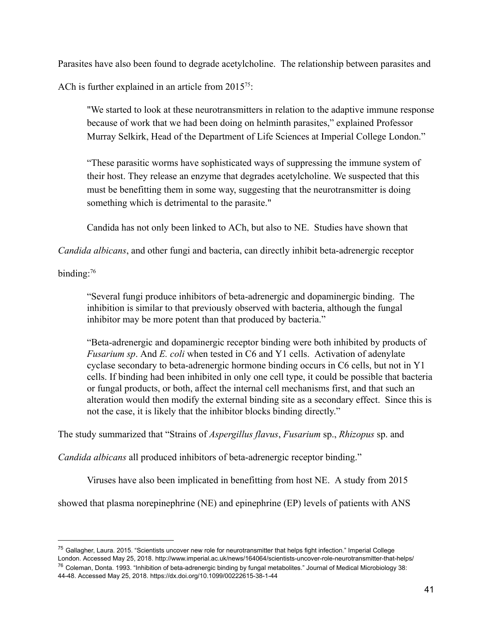Parasites have also been found to degrade acetylcholine. The relationship between parasites and

ACh is further explained in an article from  $2015^{75}$ .

"We started to look at these neurotransmitters in relation to the adaptive immune response because of work that we had been doing on helminth parasites," explained Professor Murray Selkirk, Head of the Department of Life Sciences at Imperial College London."

"These parasitic worms have sophisticated ways of suppressing the immune system of their host. They release an enzyme that degrades acetylcholine. We suspected that this must be benefitting them in some way, suggesting that the neurotransmitter is doing something which is detrimental to the parasite."

Candida has not only been linked to ACh, but also to NE. Studies have shown that

*Candida albicans*, and other fungi and bacteria, can directly inhibit beta-adrenergic receptor

binding:<sup>76</sup>

"Several fungi produce inhibitors of beta-adrenergic and dopaminergic binding. The inhibition is similar to that previously observed with bacteria, although the fungal inhibitor may be more potent than that produced by bacteria."

"Beta-adrenergic and dopaminergic receptor binding were both inhibited by products of *Fusarium sp.* And *E. coli* when tested in C6 and Y1 cells. Activation of adenylate cyclase secondary to beta-adrenergic hormone binding occurs in C6 cells, but not in Y1 cells. If binding had been inhibited in only one cell type, it could be possible that bacteria or fungal products, or both, affect the internal cell mechanisms first, and that such an alteration would then modify the external binding site as a secondary effect. Since this is not the case, it is likely that the inhibitor blocks binding directly."

The study summarized that "Strains of *Aspergillus flavus*, *Fusarium* sp., *Rhizopus* sp. and

*Candida albicans* all produced inhibitors of beta-adrenergic receptor binding."

Viruses have also been implicated in benefitting from host NE. A study from 2015

showed that plasma norepinephrine (NE) and epinephrine (EP) levels of patients with ANS

<sup>&</sup>lt;sup>75</sup> Gallagher, Laura. 2015. "Scientists uncover new role for neurotransmitter that helps fight infection." Imperial College London. Accessed May 25, 2018. http://www.imperial.ac.uk/news/164064/scientists-uncover-role-neurotransmitter-that-helps/ <sup>76</sup> Coleman, Donta. 1993. "Inhibition of beta-adrenergic binding by fungal metabolites." Journal of Medical Microbiology 38:

<sup>44-48.</sup> Accessed May 25, 2018. https://dx.doi.org/10.1099/00222615-38-1-44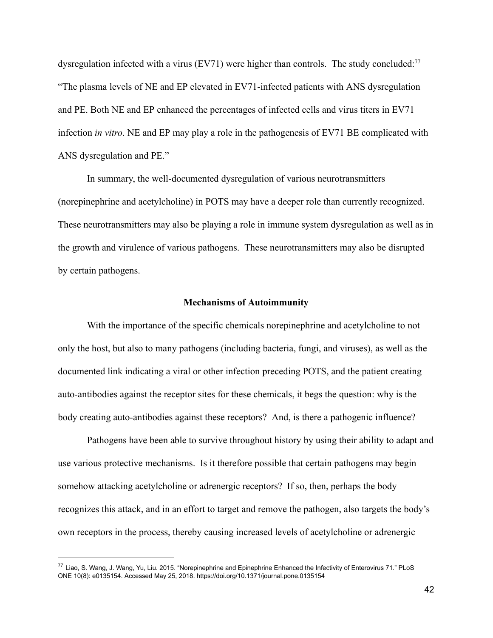dysregulation infected with a virus (EV71) were higher than controls. The study concluded:<sup>77</sup> "The plasma levels of  $NE$  and  $EP$  elevated in  $EV71$ -infected patients with ANS dysregulation and PE. Both NE and EP enhanced the percentages of infected cells and virus titers in EV71 infection *in vitro*. NE and EP may play a role in the pathogenesis of EV71 BE complicated with ANS dysregulation and PE."

In summary, the well-documented dysregulation of various neurotransmitters (norepinephrine and acetylcholine) in POTS may have a deeper role than currently recognized. These neurotransmitters may also be playing a role in immune system dysregulation as well as in the growth and virulence of various pathogens. These neurotransmitters may also be disrupted by certain pathogens.

#### **Mechanisms of Autoimmunity**

With the importance of the specific chemicals norepinephrine and acetylcholine to not only the host, but also to many pathogens (including bacteria, fungi, and viruses), as well as the documented link indicating a viral or other infection preceding POTS, and the patient creating auto-antibodies against the receptor sites for these chemicals, it begs the question: why is the body creating auto-antibodies against these receptors? And, is there a pathogenic influence?

Pathogens have been able to survive throughout history by using their ability to adapt and use various protective mechanisms. Is it therefore possible that certain pathogens may begin somehow attacking acetylcholine or adrenergic receptors? If so, then, perhaps the body recognizes this attack, and in an effort to target and remove the pathogen, also targets the body's own receptors in the process, thereby causing increased levels of acetylcholine or adrenergic

<sup>77</sup> Liao, S. Wang, J. Wang, Yu, Liu. 2015. "Norepinephrine and Epinephrine Enhanced the Infectivity of Enterovirus 71." PLoS ONE 10(8): e0135154. Accessed May 25, 2018. https://doi.org/10.1371/journal.pone.0135154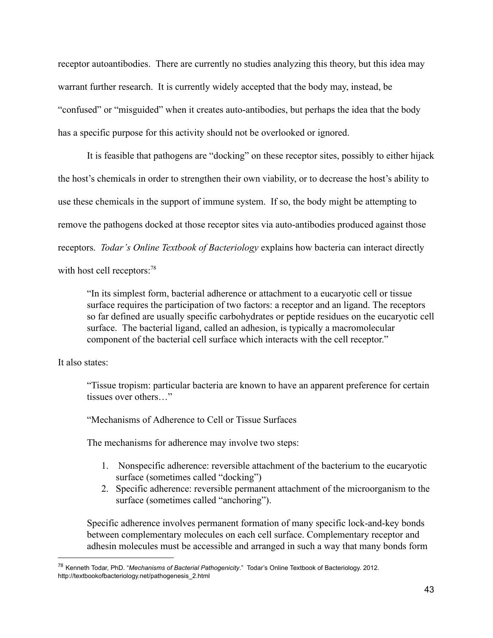receptor autoantibodies. There are currently no studies analyzing this theory, but this idea may warrant further research. It is currently widely accepted that the body may, instead, be "confused" or "misguided" when it creates auto-antibodies, but perhaps the idea that the body has a specific purpose for this activity should not be overlooked or ignored.

It is feasible that pathogens are "docking" on these receptor sites, possibly to either hijack the host's chemicals in order to strengthen their own viability, or to decrease the host's ability to use these chemicals in the support of immune system. If so, the body might be attempting to remove the pathogens docked at those receptor sites via auto-antibodies produced against those receptors. *Todar's Online Textbook of Bacteriology* explains how bacteria can interact directly with host cell receptors:<sup>78</sup>

"In its simplest form, bacterial adherence or attachment to a eucaryotic cell or tissue surface requires the participation of two factors: a receptor and an ligand. The receptors so far defined are usually specific carbohydrates or peptide residues on the eucaryotic cell surface. The bacterial ligand, called an adhesion, is typically a macromolecular component of the bacterial cell surface which interacts with the cell receptor."

It also states:

"Tissue tropism: particular bacteria are known to have an apparent preference for certain tissues over others "

"Mechanisms of Adherence to Cell or Tissue Surfaces

The mechanisms for adherence may involve two steps:

- 1. Nonspecific adherence: reversible attachment of the bacterium to the eucaryotic surface (sometimes called "docking")
- 2. Specific adherence: reversible permanent attachment of the microorganism to the surface (sometimes called "anchoring").

Specific adherence involves permanent formation of many specific lock-and-key bonds between complementary molecules on each cell surface. Complementary receptor and adhesin molecules must be accessible and arranged in such a way that many bonds form

<sup>78</sup> Kenneth Todar, PhD. "*Mechanisms of Bacterial Pathogenicity*." Todar's Online Textbook of Bacteriology. 2012. http://textbookofbacteriology.net/pathogenesis\_2.html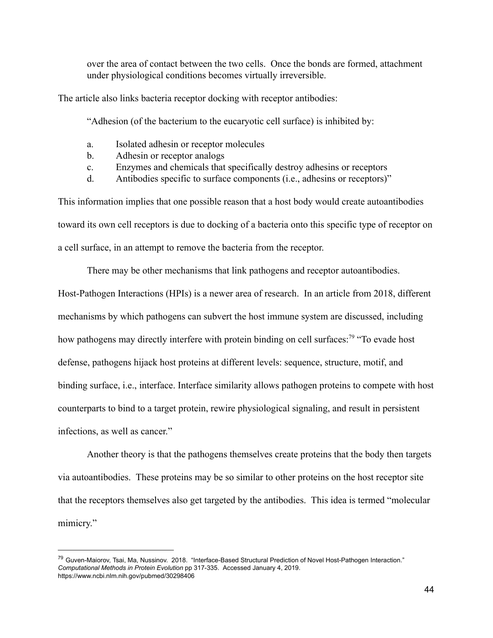over the area of contact between the two cells. Once the bonds are formed, attachment under physiological conditions becomes virtually irreversible.

The article also links bacteria receptor docking with receptor antibodies:

"Adhesion (of the bacterium to the eucaryotic cell surface) is inhibited by:

- a. Isolated adhesin or receptor molecules
- b. Adhesin or receptor analogs
- c. Enzymes and chemicals that specifically destroy adhesins or receptors
- d. Antibodies specific to surface components (i.e., adhesins or receptors)"

This information implies that one possible reason that a host body would create autoantibodies toward its own cell receptors is due to docking of a bacteria onto this specific type of receptor on a cell surface, in an attempt to remove the bacteria from the receptor.

There may be other mechanisms that link pathogens and receptor autoantibodies. Host-Pathogen Interactions (HPIs) is a newer area of research. In an article from 2018, different mechanisms by which pathogens can subvert the host immune system are discussed, including how pathogens may directly interfere with protein binding on cell surfaces:<sup>79</sup> "To evade host defense, pathogens hijack host proteins at different levels: sequence, structure, motif, and binding surface, i.e., interface. Interface similarity allows pathogen proteins to compete with host counterparts to bind to a target protein, rewire physiological signaling, and result in persistent infections, as well as cancer."

Another theory is that the pathogens themselves create proteins that the body then targets via autoantibodies. These proteins may be so similar to other proteins on the host receptor site that the receptors themselves also get targeted by the antibodies. This idea is termed "molecular" mimicry."

<sup>&</sup>lt;sup>79</sup> Guven-Maiorov, Tsai, Ma, Nussinov, 2018. "Interface-Based Structural Prediction of Novel Host-Pathogen Interaction." *Computational Methods in Protein Evolution* pp 317-335. Accessed January 4, 2019. https://www.ncbi.nlm.nih.gov/pubmed/30298406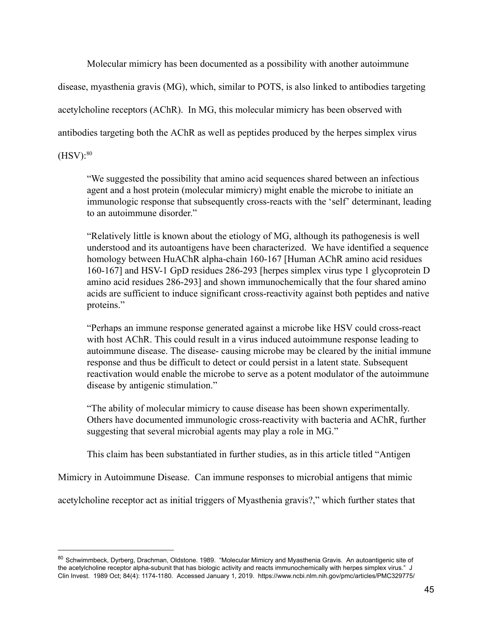Molecular mimicry has been documented as a possibility with another autoimmune

disease, myasthenia gravis  $(MG)$ , which, similar to POTS, is also linked to antibodies targeting

acetylcholine receptors (AChR). In MG, this molecular mimicry has been observed with

antibodies targeting both the AChR as well as peptides produced by the herpes simplex virus

 $(HSV):^{80}$ 

"We suggested the possibility that amino acid sequences shared between an infectious agent and a host protein (molecular mimicry) might enable the microbe to initiate an immunologic response that subsequently cross-reacts with the 'self' determinant, leading to an autoimmune disorder."

"Relatively little is known about the etiology of  $MG$ , although its pathogenesis is well understood and its autoantigens have been characterized. We have identified a sequence homology between HuAChR alpha-chain 160-167 [Human AChR amino acid residues 160-167] and HSV-1 GpD residues 286-293 [herpes simplex virus type 1 glycoprotein D amino acid residues 286-293] and shown immunochemically that the four shared amino acids are sufficient to induce significant cross-reactivity against both peptides and native proteins."

"Perhaps an immune response generated against a microbe like HSV could cross-react with host AChR. This could result in a virus induced autoimmune response leading to autoimmune disease. The disease- causing microbe may be cleared by the initial immune response and thus be difficult to detect or could persist in a latent state. Subsequent reactivation would enable the microbe to serve as a potent modulator of the autoimmune disease by antigenic stimulation."

"The ability of molecular mimicry to cause disease has been shown experimentally. Others have documented immunologic cross-reactivity with bacteria and AChR, further suggesting that several microbial agents may play a role in MG."

This claim has been substantiated in further studies, as in this article titled "Antigen"

Mimicry in Autoimmune Disease. Can immune responses to microbial antigens that mimic

acetylcholine receptor act as initial triggers of Myasthenia gravis?," which further states that

<sup>80</sup> Schwimmbeck, Dyrberg, Drachman, Oldstone. 1989. "Molecular Mimicry and Myasthenia Gravis. An autoantigenic site of the acetylcholine receptor alpha-subunit that has biologic activity and reacts immunochemically with herpes simplex virus." J Clin Invest. 1989 Oct; 84(4): 1174-1180. Accessed January 1, 2019. https://www.ncbi.nlm.nih.gov/pmc/articles/PMC329775/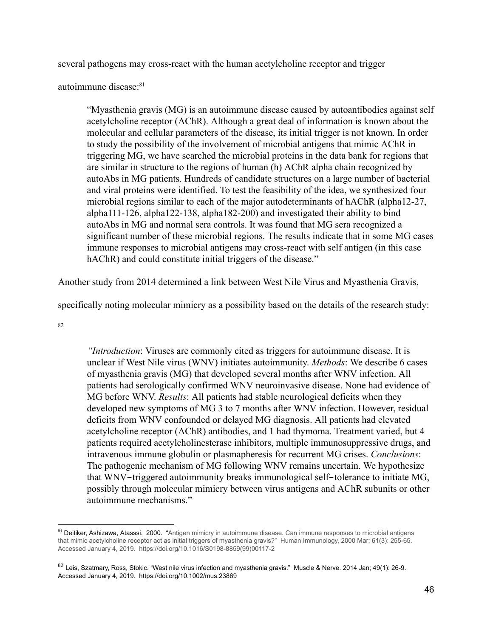several pathogens may cross-react with the human acetylcholine receptor and trigger

autoimmune disease:<sup>81</sup>

"Myasthenia gravis  $(MG)$  is an autoimmune disease caused by autoantibodies against self acetylcholine receptor (AChR). Although a great deal of information is known about the molecular and cellular parameters of the disease, its initial trigger is not known. In order to study the possibility of the involvement of microbial antigens that mimic AChR in triggering MG, we have searched the microbial proteins in the data bank for regions that are similar in structure to the regions of human  $(h)$  AChR alpha chain recognized by autoAbs in MG patients. Hundreds of candidate structures on a large number of bacterial and viral proteins were identified. To test the feasibility of the idea, we synthesized four microbial regions similar to each of the major autodeterminants of hAChR (alpha12-27, alpha111-126, alpha122-138, alpha182-200) and investigated their ability to bind autoAbs in MG and normal sera controls. It was found that MG sera recognized a significant number of these microbial regions. The results indicate that in some MG cases immune responses to microbial antigens may cross-react with self antigen (in this case hAChR) and could constitute initial triggers of the disease."

Another study from 2014 determined a link between West Nile Virus and Myasthenia Gravis,

specifically noting molecular mimicry as a possibility based on the details of the research study:

82

*"Introduction*: Viruses are commonly cited as triggers for autoimmune disease. It is unclear if West Nile virus (WNV) initiates autoimmunity. *Methods*: We describe 6 cases of myasthenia gravis (MG) that developed several months after WNV infection. All patients had serologically confirmed WNV neuroinvasive disease. None had evidence of MG before WNV. *Results*: All patients had stable neurological deficits when they developed new symptoms of MG 3 to 7 months after WNV infection. However, residual deficits from WNV confounded or delayed MG diagnosis. All patients had elevated acetylcholine receptor (AChR) antibodies, and 1 had thymoma. Treatment varied, but 4 patients required acetylcholinesterase inhibitors, multiple immunosuppressive drugs, and intravenous immune globulin or plasmapheresis for recurrent MG crises. *Conclusions*: The pathogenic mechanism of MG following WNV remains uncertain. We hypothesize that WNV-triggered autoimmunity breaks immunological self-tolerance to initiate MG, possibly through molecular mimicry between virus antigens and AChR subunits or other autoimmune mechanisms."

<sup>&</sup>lt;sup>81</sup> Deitiker, Ashizawa, Atasssi. 2000. "Antigen mimicry in autoimmune disease. Can immune responses to microbial antigens that mimic acetylcholine receptor act as initial triggers of myasthenia gravis?" Human Immunology, 2000 Mar; 61(3): 255-65. Accessed January 4, 2019. https://doi.org/10.1016/S0198-8859(99)00117-2

<sup>82</sup> Leis, Szatmary, Ross, Stokic. "West nile virus infection and myasthenia gravis." Muscle & Nerve. 2014 Jan; 49(1): 26-9. Accessed January 4, 2019. https://doi.org/10.1002/mus.23869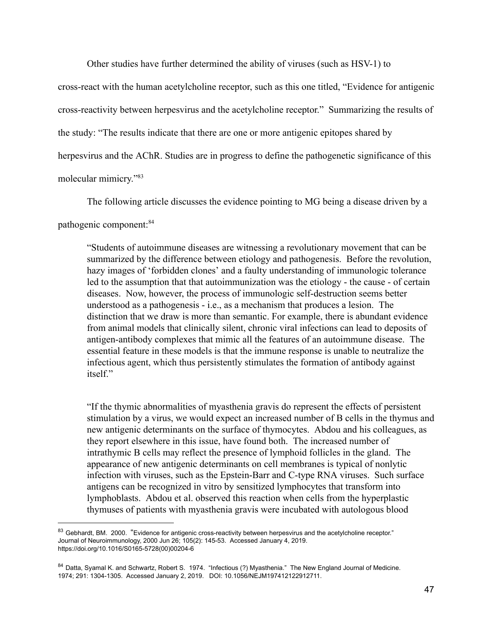Other studies have further determined the ability of viruses (such as  $HSV-1$ ) to

cross-react with the human acetylcholine receptor, such as this one titled, "Evidence for antigenic cross-reactivity between herpesvirus and the acetylcholine receptor." Summarizing the results of the study: "The results indicate that there are one or more antigenic epitopes shared by herpesvirus and the AChR. Studies are in progress to define the pathogenetic significance of this molecular mimicry."83

The following article discusses the evidence pointing to MG being a disease driven by a

pathogenic component: <sup>84</sup>

"Students of autoimmune diseases are witnessing a revolutionary movement that can be summarized by the difference between etiology and pathogenesis. Before the revolution, hazy images of 'forbidden clones' and a faulty understanding of immunologic tolerance led to the assumption that that autoimmunization was the etiology - the cause - of certain diseases. Now, however, the process of immunologic self-destruction seems better understood as a pathogenesis - i.e., as a mechanism that produces a lesion. The distinction that we draw is more than semantic. For example, there is abundant evidence from animal models that clinically silent, chronic viral infections can lead to deposits of antigen-antibody complexes that mimic all the features of an autoimmune disease. The essential feature in these models is that the immune response is unable to neutralize the infectious agent, which thus persistently stimulates the formation of antibody against itself"

"If the thymic abnormalities of myasthenia gravis do represent the effects of persistent stimulation by a virus, we would expect an increased number of B cells in the thymus and new antigenic determinants on the surface of thymocytes. Abdou and his colleagues, as they report elsewhere in this issue, have found both. The increased number of intrathymic B cells may reflect the presence of lymphoid follicles in the gland. The appearance of new antigenic determinants on cell membranes is typical of nonlytic infection with viruses, such as the Epstein-Barr and C-type RNA viruses. Such surface antigens can be recognized in vitro by sensitized lymphocytes that transform into lymphoblasts. Abdou et al. observed this reaction when cells from the hyperplastic thymuses of patients with myasthenia gravis were incubated with autologous blood

<sup>83</sup> Gebhardt, BM. 2000. "Evidence for antigenic cross-reactivity between herpesvirus and the acetylcholine receptor." Journal of Neuroimmunology, 2000 Jun 26; 105(2): 145-53. Accessed January 4, 2019. https://doi.org/10.1016/S0165-5728(00)00204-6

<sup>84</sup> Datta, Svamal K. and Schwartz, Robert S. 1974. "Infectious (?) Myasthenia." The New England Journal of Medicine. 1974; 291: 1304-1305. Accessed January 2, 2019. DOI: 10.1056/NEJM197412122912711.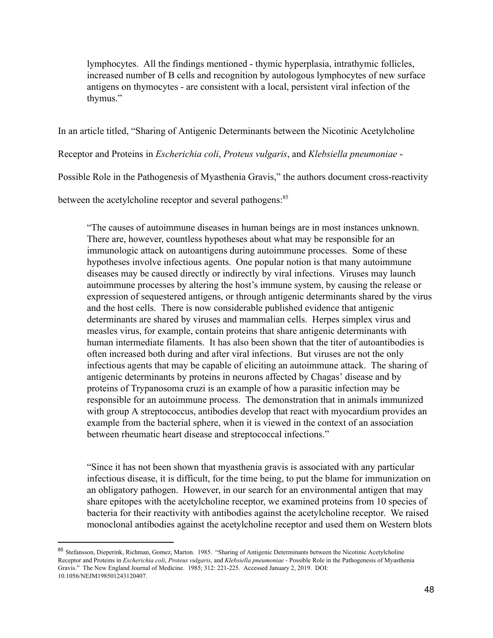lymphocytes. All the findings mentioned - thymic hyperplasia, intrathymic follicles, increased number of B cells and recognition by autologous lymphocytes of new surface antigens on thymocytes - are consistent with a local, persistent viral infection of the thymus."

In an article titled, "Sharing of Antigenic Determinants between the Nicotinic Acetylcholine

Receptor and Proteins in *Escherichia coli*, *Proteus vulgaris*, and *Klebsiella pneumoniae* -

Possible Role in the Pathogenesis of Myasthenia Gravis," the authors document cross-reactivity

between the acetylcholine receptor and several pathogens:<sup>85</sup>

"The causes of autoimmune diseases in human beings are in most instances unknown. There are, however, countless hypotheses about what may be responsible for an immunologic attack on autoantigens during autoimmune processes. Some of these hypotheses involve infectious agents. One popular notion is that many autoimmune diseases may be caused directly or indirectly by viral infections. Viruses may launch autoimmune processes by altering the host's immune system, by causing the release or expression of sequestered antigens, or through antigenic determinants shared by the virus and the host cells. There is now considerable published evidence that antigenic determinants are shared by viruses and mammalian cells. Herpes simplex virus and measles virus, for example, contain proteins that share antigenic determinants with human intermediate filaments. It has also been shown that the titer of autoantibodies is often increased both during and after viral infections. But viruses are not the only infectious agents that may be capable of eliciting an autoimmune attack. The sharing of antigenic determinants by proteins in neurons affected by Chagas' disease and by proteins of Trypanosoma cruzi is an example of how a parasitic infection may be responsible for an autoimmune process. The demonstration that in animals immunized with group A streptococcus, antibodies develop that react with myocardium provides an example from the bacterial sphere, when it is viewed in the context of an association between rheumatic heart disease and streptococcal infections."

"Since it has not been shown that myasthenia gravis is associated with any particular infectious disease, it is difficult, for the time being, to put the blame for immunization on an obligatory pathogen. However, in our search for an environmental antigen that may share epitopes with the acetylcholine receptor, we examined proteins from 10 species of bacteria for their reactivity with antibodies against the acetylcholine receptor. We raised monoclonal antibodies against the acetylcholine receptor and used them on Western blots

<sup>85</sup> Stefansson, Dieperink, Richman, Gomez, Marton. 1985. "Sharing of Antigenic Determinants between the Nicotinic Acetylcholine Receptor and Proteins in *Escherichia coli*, *Proteus vulgaris*, and *Klebsiella pneumoniae* - Possible Role in the Pathogenesis of Myasthenia Gravis." The New England Journal of Medicine. 1985; 312: 221-225. Accessed January 2, 2019. DOI: 10.1056/NEJM198501243120407.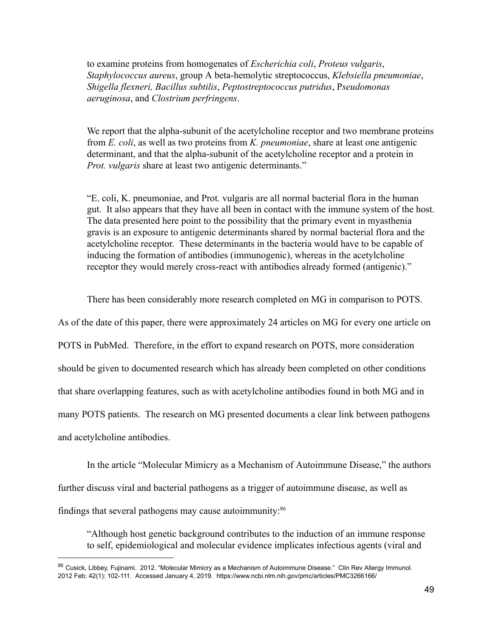to examine proteins from homogenates of *Escherichia coli*, *Proteus vulgaris*, *Staphylococcus aureus*, group A beta-hemolytic streptococcus, *Klebsiella pneumoniae*, *Shigella flexneri, Bacillus subtilis* , *Peptostreptococcus putridus* , P *seudomonas aeruginosa* , and *Clostrium perfringens* .

We report that the alpha-subunit of the acetylcholine receptor and two membrane proteins from *E. coli*, as well as two proteins from *K. pneumoniae*, share at least one antigenic determinant, and that the alpha-subunit of the acetylcholine receptor and a protein in *Prot. vulgaris* share at least two antigenic determinants."

"E. coli, K. pneumoniae, and Prot. vulgaris are all normal bacterial flora in the human gut. It also appears that they have all been in contact with the immune system of the host. The data presented here point to the possibility that the primary event in myasthenia gravis is an exposure to antigenic determinants shared by normal bacterial flora and the acetylcholine receptor. These determinants in the bacteria would have to be capable of inducing the formation of antibodies (immunogenic), whereas in the acetylcholine receptor they would merely cross-react with antibodies already formed (antigenic)."

There has been considerably more research completed on MG in comparison to POTS.

As of the date of this paper, there were approximately 24 articles on MG for every one article on POTS in PubMed. Therefore, in the effort to expand research on POTS, more consideration should be given to documented research which has already been completed on other conditions that share overlapping features, such as with acetylcholine antibodies found in both MG and in many POTS patients. The research on MG presented documents a clear link between pathogens and acetylcholine antibodies.

In the article "Molecular Mimicry as a Mechanism of Autoimmune Disease," the authors further discuss viral and bacterial pathogens as a trigger of autoimmune disease, as well as findings that several pathogens may cause autoimmunity: $86$ 

"Although host genetic background contributes to the induction of an immune response to self, epidemiological and molecular evidence implicates infectious agents (viral and

<sup>86</sup> Cusick, Libbey, Fujinami. 2012. "Molecular Mimicry as a Mechanism of Autoimmune Disease." Clin Rev Allergy Immunol. 2012 Feb; 42(1): 102-111. Accessed January 4, 2019. https://www.ncbi.nlm.nih.gov/pmc/articles/PMC3266166/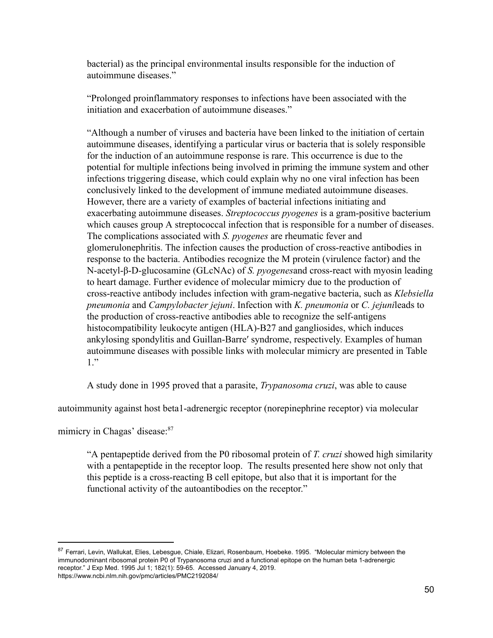bacterial) as the principal environmental insults responsible for the induction of autoimmune diseases."

"Prolonged proinflammatory responses to infections have been associated with the initiation and exacerbation of autoimmune diseases."

"Although a number of viruses and bacteria have been linked to the initiation of certain autoimmune diseases, identifying a particular virus or bacteria that is solely responsible for the induction of an autoimmune response is rare. This occurrence is due to the potential for multiple infections being involved in priming the immune system and other infections triggering disease, which could explain why no one viral infection has been conclusively linked to the development of immune mediated autoimmune diseases. However, there are a variety of examples of bacterial infections initiating and exacerbating autoimmune diseases. *Streptococcus pyogenes* is a gram-positive bacterium which causes group A streptococcal infection that is responsible for a number of diseases. The complications associated with *S. pyogenes* are rheumatic fever and glomerulonephritis. The infection causes the production of cross-reactive antibodies in response to the bacteria. Antibodies recognize the M protein (virulence factor) and the N-acetyl-β-D-glucosamine (GLcNAc) of *S. pyogenes* and cross-react with myosin leading to heart damage. Further evidence of molecular mimicry due to the production of cross-reactive antibody includes infection with gram-negative bacteria, such as *Klebsiella pneumonia* and *Campylobacter jejuni*. Infection with *K. pneumonia* or *C. jejunileads* to the production of cross-reactive antibodies able to recognize the self-antigens histocompatibility leukocyte antigen (HLA)-B27 and gangliosides, which induces ankylosing spondylitis and Guillan-Barre' syndrome, respectively. Examples of human autoimmune diseases with possible links with molecular mimicry are presented in Table 1."

A study done in 1995 proved that a parasite, *Trypanosoma cruzi*, was able to cause

autoimmunity against host beta1-adrenergic receptor (norepinephrine receptor) via molecular

mimicry in Chagas' disease:<sup>87</sup>

"A pentapeptide derived from the P0 ribosomal protein of *T. cruzi* showed high similarity with a pentapeptide in the receptor loop. The results presented here show not only that this peptide is a cross-reacting  $B$  cell epitope, but also that it is important for the functional activity of the autoantibodies on the receptor."

<sup>87</sup> Ferrari, Levin, Wallukat, Elies, Lebesgue, Chiale, Elizari, Rosenbaum, Hoebeke. 1995. "Molecular mimicry between the immunodominant ribosomal protein P0 of Trypanosoma cruzi and a functional epitope on the human beta 1-adrenergic receptor." J Exp Med. 1995 Jul 1; 182(1): 59-65. Accessed January 4, 2019. https://www.ncbi.nlm.nih.gov/pmc/articles/PMC2192084/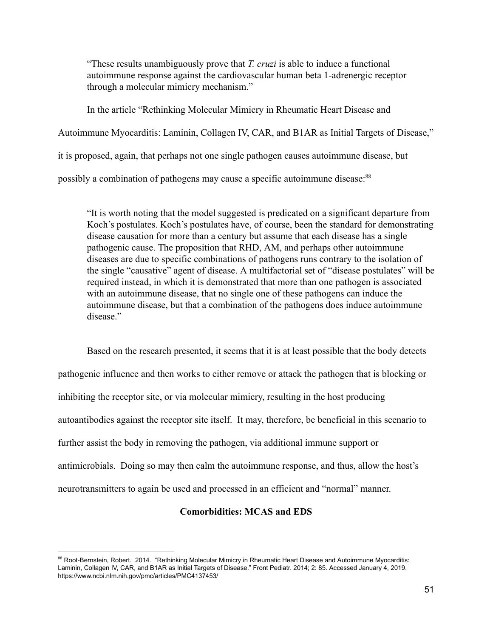"These results unambiguously prove that *T. cruzi* is able to induce a functional autoimmune response against the cardiovascular human beta 1-adrenergic receptor through a molecular mimicry mechanism."

In the article "Rethinking Molecular Mimicry in Rheumatic Heart Disease and Autoimmune Myocarditis: Laminin, Collagen IV, CAR, and B1AR as Initial Targets of Disease," it is proposed, again, that perhaps not one single pathogen causes autoimmune disease, but possibly a combination of pathogens may cause a specific autoimmune disease:<sup>88</sup>

"It is worth noting that the model suggested is predicated on a significant departure from Koch's postulates. Koch's postulates have, of course, been the standard for demonstrating disease causation for more than a century but assume that each disease has a single pathogenic cause. The proposition that RHD, AM, and perhaps other autoimmune diseases are due to specific combinations of pathogens runs contrary to the isolation of the single "causative" agent of disease. A multifactorial set of "disease postulates" will be required instead, in which it is demonstrated that more than one pathogen is associated with an autoimmune disease, that no single one of these pathogens can induce the autoimmune disease, but that a combination of the pathogens does induce autoimmune disease"

Based on the research presented, it seems that it is at least possible that the body detects pathogenic influence and then works to either remove or attack the pathogen that is blocking or inhibiting the receptor site, or via molecular mimicry, resulting in the host producing autoantibodies against the receptor site itself. It may, therefore, be beneficial in this scenario to further assist the body in removing the pathogen, via additional immune support or antimicrobials. Doing so may then calm the autoimmune response, and thus, allow the host's neurotransmitters to again be used and processed in an efficient and "normal" manner.

## **Comorbidities: MCAS and EDS**

<sup>88</sup> Root-Bernstein, Robert. 2014. "Rethinking Molecular Mimicry in Rheumatic Heart Disease and Autoimmune Myocarditis: Laminin, Collagen IV, CAR, and B1AR as Initial Targets of Disease." Front Pediatr. 2014; 2: 85. Accessed January 4, 2019. https://www.ncbi.nlm.nih.gov/pmc/articles/PMC4137453/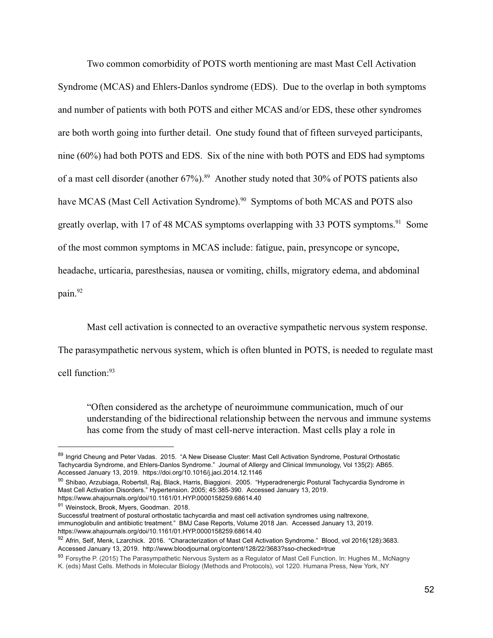Two common comorbidity of POTS worth mentioning are mast Mast Cell Activation Syndrome (MCAS) and Ehlers-Danlos syndrome (EDS). Due to the overlap in both symptoms and number of patients with both POTS and either MCAS and/or EDS, these other syndromes are both worth going into further detail. One study found that of fifteen surveyed participants, nine  $(60\%)$  had both POTS and EDS. Six of the nine with both POTS and EDS had symptoms of a mast cell disorder (another  $67\%$ ).<sup>89</sup> Another study noted that 30% of POTS patients also have MCAS (Mast Cell Activation Syndrome).<sup>90</sup> Symptoms of both MCAS and POTS also greatly overlap, with 17 of 48 MCAS symptoms overlapping with 33 POTS symptoms.<sup>91</sup> Some of the most common symptoms in MCAS include: fatigue, pain, presyncope or syncope, headache, urticaria, paresthesias, nausea or vomiting, chills, migratory edema, and abdominal pain.<sup>92</sup>

Mast cell activation is connected to an overactive sympathetic nervous system response.

The parasympathetic nervous system, which is often blunted in POTS, is needed to regulate mast

cell function:<sup>93</sup>

"Often considered as the archetype of neuroimmune communication, much of our understanding of the bidirectional relationship between the nervous and immune systems has come from the study of mast cell-nerve interaction. Mast cells play a role in

<sup>89</sup> Ingrid Cheung and Peter Vadas. 2015. "A New Disease Cluster: Mast Cell Activation Syndrome, Postural Orthostatic Tachycardia Syndrome, and Ehlers-Danlos Syndrome." Journal of Allergy and Clinical Immunology, Vol 135(2): AB65. Accessed January 13, 2019. https://doi.org/10.1016/j.jaci.2014.12.1146

<sup>90</sup> Shibao, Arzubiaga, Robertsll, Raj, Black, Harris, Biaggioni. 2005. "Hyperadrenergic Postural Tachycardia Syndrome in Mast Cell Activation Disorders." Hypertension. 2005; 45:385-390. Accessed January 13, 2019. https://www.ahajournals.org/doi/10.1161/01.HYP.0000158259.68614.40

<sup>91</sup> Weinstock, Brook, Myers, Goodman. 2018.

Successful treatment of postural orthostatic tachycardia and mast cell activation syndromes using naltrexone, immunoglobulin and antibiotic treatment." BMJ Case Reports, Volume 2018 Jan. Accessed January 13, 2019. https://www.ahajournals.org/doi/10.1161/01.HYP.0000158259.68614.40

<sup>92</sup> Afrin, Self, Menk, Lzarchick. 2016. "Characterization of Mast Cell Activation Syndrome." Blood, vol 2016(128):3683. Accessed January 13, 2019. http://www.bloodjournal.org/content/128/22/3683?sso-checked=true

<sup>93</sup> Forsythe P. (2015) The Parasympathetic Nervous System as a Regulator of Mast Cell Function. In: Hughes M., McNagny K. (eds) Mast Cells. Methods in Molecular Biology (Methods and Protocols), vol 1220. Humana Press, New York, NY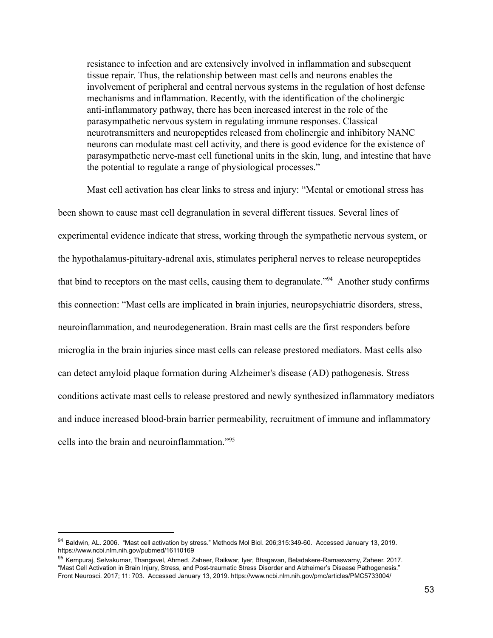resistance to infection and are extensively involved in inflammation and subsequent tissue repair. Thus, the relationship between mast cells and neurons enables the involvement of peripheral and central nervous systems in the regulation of host defense mechanisms and inflammation. Recently, with the identification of the cholinergic anti-inflammatory pathway, there has been increased interest in the role of the parasympathetic nervous system in regulating immune responses. Classical neurotransmitters and neuropeptides released from cholinergic and inhibitory NANC neurons can modulate mast cell activity, and there is good evidence for the existence of parasympathetic nerve-mast cell functional units in the skin, lung, and intestine that have the potential to regulate a range of physiological processes."

Mast cell activation has clear links to stress and injury: "Mental or emotional stress has been shown to cause mast cell degranulation in several different tissues. Several lines of experimental evidence indicate that stress, working through the sympathetic nervous system, or the hypothalamus-pituitary-adrenal axis, stimulates peripheral nerves to release neuropeptides that bind to receptors on the mast cells, causing them to degranulate."<sup>94</sup> Another study confirms this connection: "Mast cells are implicated in brain injuries, neuropsychiatric disorders, stress, neuroinflammation, and neurodegeneration. Brain mast cells are the first responders before microglia in the brain injuries since mast cells can release prestored mediators. Mast cells also can detect amyloid plaque formation during Alzheimer's disease (AD) pathogenesis. Stress conditions activate mast cells to release prestored and newly synthesized inflammatory mediators and induce increased blood-brain barrier permeability, recruitment of immune and inflammatory cells into the brain and neuroinflammation."<sup>95</sup>

<sup>94</sup> Baldwin, AL. 2006. "Mast cell activation by stress." Methods Mol Biol. 206;315:349-60. Accessed January 13, 2019. https://www.ncbi.nlm.nih.gov/pubmed/16110169

<sup>95</sup> Kempurai, Selvakumar, Thangavel, Ahmed, Zaheer, Raikwar, Iyer, Bhagavan, Beladakere-Ramaswamy, Zaheer. 2017. "Mast Cell Activation in Brain Injury, Stress, and Post-traumatic Stress Disorder and Alzheimer's Disease Pathogenesis." Front Neurosci. 2017; 11: 703. Accessed January 13, 2019. https://www.ncbi.nlm.nih.gov/pmc/articles/PMC5733004/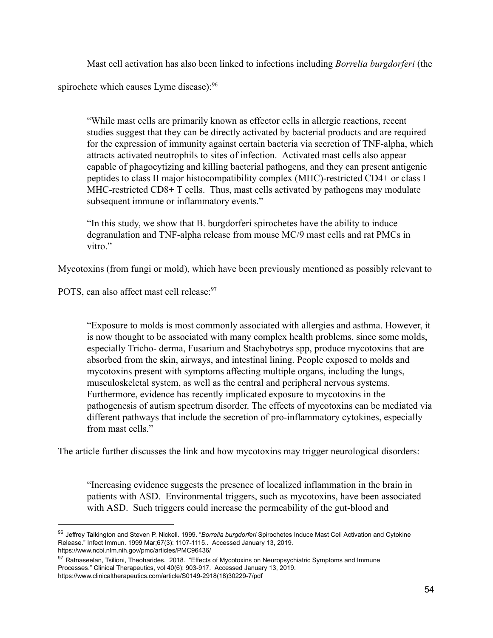Mast cell activation has also been linked to infections including *Borrelia burgdorferi* (the spirochete which causes Lyme disease):<sup>96</sup>

"While mast cells are primarily known as effector cells in allergic reactions, recent studies suggest that they can be directly activated by bacterial products and are required for the expression of immunity against certain bacteria via secretion of TNF-alpha, which attracts activated neutrophils to sites of infection. Activated mast cells also appear capable of phagocytizing and killing bacterial pathogens, and they can present antigenic peptides to class II major histocompatibility complex (MHC)-restricted CD4+ or class I MHC-restricted  $CD8+T$  cells. Thus, mast cells activated by pathogens may modulate subsequent immune or inflammatory events."

"In this study, we show that B. burgdorferi spirochetes have the ability to induce degranulation and TNF-alpha release from mouse MC/9 mast cells and rat PMCs in vitro."

Mycotoxins (from fungi or mold), which have been previously mentioned as possibly relevant to

POTS, can also affect mast cell release:<sup>97</sup>

"Exposure to molds is most commonly associated with allergies and asthma. However, it is now thought to be associated with many complex health problems, since some molds, especially Tricho- derma, Fusarium and Stachybotrys spp, produce mycotoxins that are absorbed from the skin, airways, and intestinal lining. People exposed to molds and mycotoxins present with symptoms affecting multiple organs, including the lungs, musculoskeletal system, as well as the central and peripheral nervous systems. Furthermore, evidence has recently implicated exposure to mycotoxins in the pathogenesis of autism spectrum disorder. The effects of mycotoxins can be mediated via different pathways that include the secretion of pro-inflammatory cytokines, especially from mast cells."

The article further discusses the link and how mycotoxins may trigger neurological disorders:

"Increasing evidence suggests the presence of localized inflammation in the brain in patients with ASD. Environmental triggers, such as mycotoxins, have been associated with ASD. Such triggers could increase the permeability of the gut-blood and

<sup>96</sup> Jeffrey Talkington and Steven P. Nickell. 1999. "*Borrelia burgdorferi* Spirochetes Induce Mast Cell Activation and Cytokine Release." Infect Immun. 1999 Mar;67(3): 1107-1115.. Accessed January 13, 2019. https://www.ncbi.nlm.nih.gov/pmc/articles/PMC96436/

<sup>97</sup> Ratnaseelan, Tsilioni, Theoharides. 2018. "Effects of Mycotoxins on Neuropsychiatric Symptoms and Immune Processes." Clinical Therapeutics, vol 40(6): 903-917. Accessed January 13, 2019. https://www.clinicaltherapeutics.com/article/S0149-2918(18)30229-7/pdf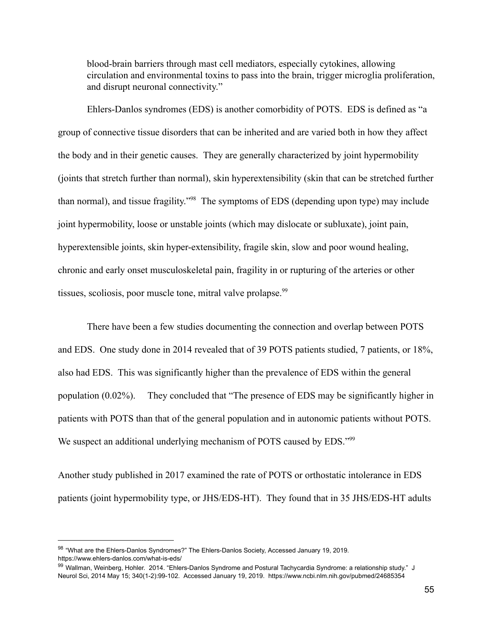blood-brain barriers through mast cell mediators, especially cytokines, allowing circulation and environmental toxins to pass into the brain, trigger microglia proliferation, and disrupt neuronal connectivity."

Ehlers-Danlos syndromes (EDS) is another comorbidity of POTS. EDS is defined as "a group of connective tissue disorders that can be inherited and are varied both in how they affect the body and in their genetic causes. They are generally characterized by joint hypermobility (joints that stretch further than normal), skin hyperextensibility (skin that can be stretched further than normal), and tissue fragility."<sup>98</sup> The symptoms of EDS (depending upon type) may include joint hypermobility, loose or unstable joints (which may dislocate or subluxate), joint pain, hyperextensible joints, skin hyper-extensibility, fragile skin, slow and poor wound healing, chronic and early onset musculoskeletal pain, fragility in or rupturing of the arteries or other tissues, scoliosis, poor muscle tone, mitral valve prolapse.  $99$ 

There have been a few studies documenting the connection and overlap between POTS and EDS. One study done in 2014 revealed that of 39 POTS patients studied, 7 patients, or 18%, also had EDS. This was significantly higher than the prevalence of EDS within the general population  $(0.02\%)$ . They concluded that "The presence of EDS may be significantly higher in patients with POTS than that of the general population and in autonomic patients without POTS. We suspect an additional underlying mechanism of POTS caused by EDS."99

Another study published in 2017 examined the rate of POTS or orthostatic intolerance in EDS patients (joint hypermobility type, or JHS/EDS-HT). They found that in 35 JHS/EDS-HT adults

<sup>&</sup>lt;sup>98</sup> "What are the Ehlers-Danlos Syndromes?" The Ehlers-Danlos Society, Accessed January 19, 2019. https://www.ehlers-danlos.com/what-is-eds/

<sup>99</sup> Wallman, Weinberg, Hohler. 2014. "Ehlers-Danlos Syndrome and Postural Tachycardia Syndrome: a relationship study." J Neurol Sci, 2014 May 15; 340(1-2):99-102. Accessed January 19, 2019. https://www.ncbi.nlm.nih.gov/pubmed/24685354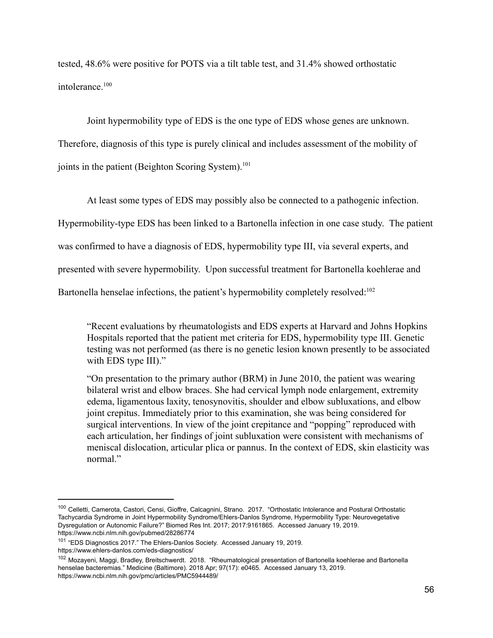tested,  $48.6\%$  were positive for POTS via a tilt table test, and  $31.4\%$  showed orthostatic intolerance.<sup>100</sup>

Joint hypermobility type of EDS is the one type of EDS whose genes are unknown.

Therefore, diagnosis of this type is purely clinical and includes assessment of the mobility of joints in the patient (Beighton Scoring System).<sup>101</sup>

At least some types of EDS may possibly also be connected to a pathogenic infection.

Hypermobility-type EDS has been linked to a Bartonella infection in one case study. The patient

was confirmed to have a diagnosis of EDS, hypermobility type III, via several experts, and

presented with severe hypermobility. Upon successful treatment for Bartonella koehlerae and

Bartonella henselae infections, the patient's hypermobility completely resolved:<sup>102</sup>

"Recent evaluations by rheumatologists and EDS experts at Harvard and Johns Hopkins Hospitals reported that the patient met criteria for EDS, hypermobility type III. Genetic testing was not performed (as there is no genetic lesion known presently to be associated with EDS type III)."

"On presentation to the primary author  $(BRM)$  in June 2010, the patient was wearing bilateral wrist and elbow braces. She had cervical lymph node enlargement, extremity edema, ligamentous laxity, tenosynovitis, shoulder and elbow subluxations, and elbow joint crepitus. Immediately prior to this examination, she was being considered for surgical interventions. In view of the joint crepitance and "popping" reproduced with each articulation, her findings of joint subluxation were consistent with mechanisms of meniscal dislocation, articular plica or pannus. In the context of EDS, skin elasticity was normal"

<sup>100</sup> Celletti, Camerota, Castori, Censi, Gioffre, Calcagnini, Strano. 2017. "Orthostatic Intolerance and Postural Orthostatic Tachycardia Syndrome in Joint Hypermobility Syndrome/Ehlers-Danlos Syndrome, Hypermobility Type: Neurovegetative Dysregulation or Autonomic Failure?" Biomed Res Int. 2017; 2017:9161865. Accessed January 19, 2019. https://www.ncbi.nlm.nih.gov/pubmed/28286774

<sup>&</sup>lt;sup>101</sup> "EDS Diagnostics 2017." The Ehlers-Danlos Society. Accessed January 19, 2019. https://www.ehlers-danlos.com/eds-diagnostics/

<sup>102</sup> Mozayeni, Maggi, Bradley, Breitschwerdt. 2018. "Rheumatological presentation of Bartonella koehlerae and Bartonella henselae bacteremias." Medicine (Baltimore). 2018 Apr; 97(17): e0465. Accessed January 13, 2019. https://www.ncbi.nlm.nih.gov/pmc/articles/PMC5944489/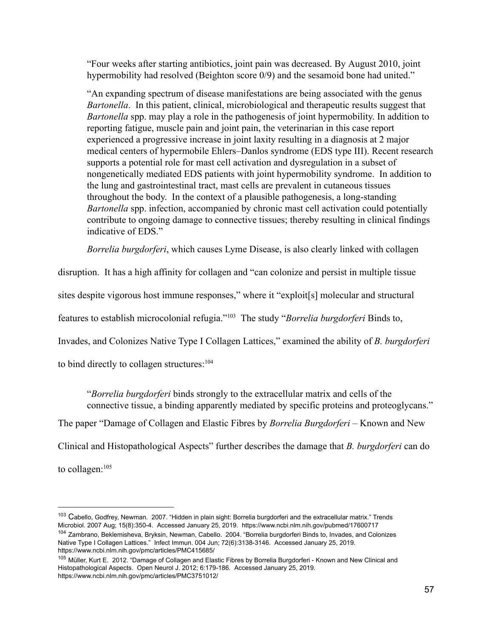"Four weeks after starting antibiotics, joint pain was decreased. By August 2010, joint hypermobility had resolved (Beighton score 0/9) and the sesamoid bone had united."

"An expanding spectrum of disease manifestations are being associated with the genus *Bartonella*. In this patient, clinical, microbiological and therapeutic results suggest that *Bartonella* spp. may play a role in the pathogenesis of joint hypermobility. In addition to reporting fatigue, muscle pain and joint pain, the veterinarian in this case report experienced a progressive increase in joint laxity resulting in a diagnosis at 2 major medical centers of hypermobile Ehlers–Danlos syndrome (EDS type III). Recent research supports a potential role for mast cell activation and dysregulation in a subset of nongenetically mediated EDS patients with joint hypermobility syndrome. In addition to the lung and gastrointestinal tract, mast cells are prevalent in cutaneous tissues throughout the body. In the context of a plausible pathogenesis, a long-standing *Bartonella* spp. infection, accompanied by chronic mast cell activation could potentially contribute to ongoing damage to connective tissues; thereby resulting in clinical findings indicative of EDS."

*Borrelia burgdorferi*, which causes Lyme Disease, is also clearly linked with collagen

disruption. It has a high affinity for collagen and "can colonize and persist in multiple tissue

sites despite vigorous host immune responses," where it "exploit[s] molecular and structural

features to establish microcolonial refugia."<sup>103</sup> The study "*Borrelia burgdorferi* Binds to,

Invades, and Colonizes Native Type I Collagen Lattices," examined the ability of *B. burgdorferi* 

to bind directly to collagen structures:  $104$ 

*"Borrelia burgdorferi* binds strongly to the extracellular matrix and cells of the connective tissue, a binding apparently mediated by specific proteins and proteoglycans."

The paper "Damage of Collagen and Elastic Fibres by *Borrelia Burgdorferi* – Known and New

Clinical and Histopathological Aspects" further describes the damage that *B. burgdorferi* can do

to collagen: $105$ 

<sup>&</sup>lt;sup>103</sup> Cabello, Godfrey, Newman. 2007. "Hidden in plain sight: Borrelia burgdorferi and the extracellular matrix." Trends Microbiol. 2007 Aug; 15(8):350-4. Accessed January 25, 2019. https://www.ncbi.nlm.nih.gov/pubmed/17600717 <sup>104</sup> Zambrano, Beklemisheva, Bryksin, Newman, Cabello. 2004. "Borrelia burgdorferi Binds to, Invades, and Colonizes

Native Type I Collagen Lattices." Infect Immun. 004 Jun; 72(6):3138-3146. Accessed January 25, 2019. https://www.ncbi.nlm.nih.gov/pmc/articles/PMC415685/

<sup>105</sup> Müller, Kurt E. 2012. "Damage of Collagen and Elastic Fibres by Borrelia Burgdorferi - Known and New Clinical and Histopathological Aspects. Open Neurol J. 2012; 6:179-186. Accessed January 25, 2019. https://www.ncbi.nlm.nih.gov/pmc/articles/PMC3751012/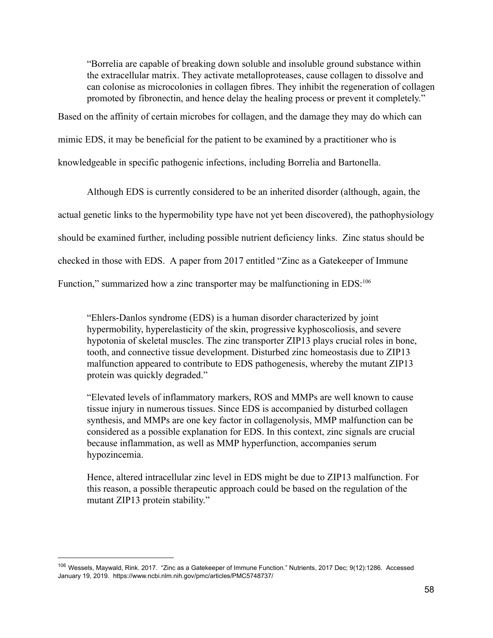"Borrelia are capable of breaking down soluble and insoluble ground substance within the extracellular matrix. They activate metalloproteases, cause collagen to dissolve and can colonise as microcolonies in collagen fibres. They inhibit the regeneration of collagen promoted by fibronectin, and hence delay the healing process or prevent it completely."

Based on the affinity of certain microbes for collagen, and the damage they may do which can

mimic EDS, it may be beneficial for the patient to be examined by a practitioner who is

knowledgeable in specific pathogenic infections, including Borrelia and Bartonella.

Although EDS is currently considered to be an inherited disorder (although, again, the actual genetic links to the hypermobility type have not yet been discovered), the pathophysiology should be examined further, including possible nutrient deficiency links. Zinc status should be checked in those with EDS. A paper from 2017 entitled "Zinc as a Gatekeeper of Immune" Function," summarized how a zinc transporter may be malfunctioning in  $EDS$ :<sup>106</sup>

"Ehlers-Danlos syndrome (EDS) is a human disorder characterized by joint hypermobility, hyperelasticity of the skin, progressive kyphoscoliosis, and severe hypotonia of skeletal muscles. The zinc transporter ZIP13 plays crucial roles in bone, tooth, and connective tissue development. Disturbed zinc homeostasis due to ZIP13 malfunction appeared to contribute to EDS pathogenesis, whereby the mutant ZIP13 protein was quickly degraded."

"Elevated levels of inflammatory markers, ROS and MMPs are well known to cause tissue injury in numerous tissues. Since EDS is accompanied by disturbed collagen synthesis, and MMPs are one key factor in collagenolysis, MMP malfunction can be considered as a possible explanation for EDS. In this context, zinc signals are crucial because inflammation, as well as MMP hyperfunction, accompanies serum hypozincemia.

Hence, altered intracellular zinc level in EDS might be due to ZIP13 malfunction. For this reason, a possible therapeutic approach could be based on the regulation of the mutant ZIP13 protein stability."

<sup>106</sup> Wessels, Maywald, Rink. 2017. "Zinc as a Gatekeeper of Immune Function." Nutrients, 2017 Dec; 9(12):1286. Accessed January 19, 2019. https://www.ncbi.nlm.nih.gov/pmc/articles/PMC5748737/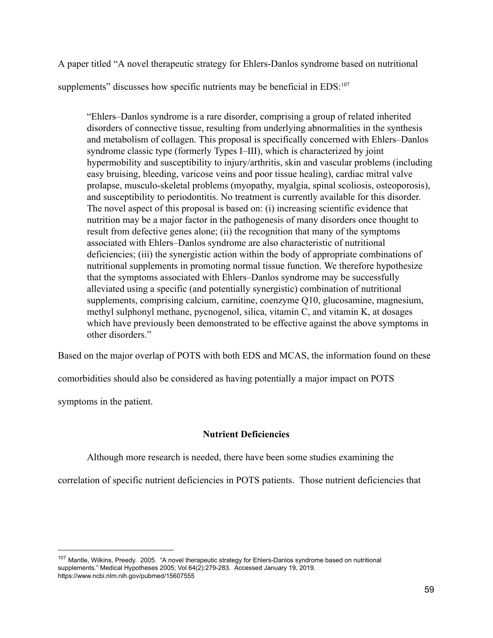A paper titled "A novel therapeutic strategy for Ehlers-Danlos syndrome based on nutritional supplements" discusses how specific nutrients may be beneficial in  $EDS$ :<sup>107</sup>

"Ehlers–Danlos syndrome is a rare disorder, comprising a group of related inherited disorders of connective tissue, resulting from underlying abnormalities in the synthesis and metabolism of collagen. This proposal is specifically concerned with Ehlers–Danlos syndrome classic type (formerly Types I–III), which is characterized by joint hypermobility and susceptibility to injury/arthritis, skin and vascular problems (including easy bruising, bleeding, varicose veins and poor tissue healing), cardiac mitral valve prolapse, musculo-skeletal problems (myopathy, myalgia, spinal scoliosis, osteoporosis), and susceptibility to periodontitis. No treatment is currently available for this disorder. The novel aspect of this proposal is based on: (i) increasing scientific evidence that nutrition may be a major factor in the pathogenesis of many disorders once thought to result from defective genes alone; (ii) the recognition that many of the symptoms associated with Ehlers–Danlos syndrome are also characteristic of nutritional deficiencies; (iii) the synergistic action within the body of appropriate combinations of nutritional supplements in promoting normal tissue function. We therefore hypothesize that the symptoms associated with Ehlers–Danlos syndrome may be successfully alleviated using a specific (and potentially synergistic) combination of nutritional supplements, comprising calcium, carnitine, coenzyme Q10, glucosamine, magnesium, methyl sulphonyl methane, pycnogenol, silica, vitamin  $C$ , and vitamin  $K$ , at dosages which have previously been demonstrated to be effective against the above symptoms in other disorders."

Based on the major overlap of POTS with both EDS and MCAS, the information found on these

comorbidities should also be considered as having potentially a major impact on POTS

symptoms in the patient.

# **Nutrient Deficiencies**

Although more research is needed, there have been some studies examining the

correlation of specific nutrient deficiencies in POTS patients. Those nutrient deficiencies that

<sup>107</sup> Mantle, Wilkins, Preedy. 2005. "A novel therapeutic strategy for Ehlers-Danlos syndrome based on nutritional supplements." Medical Hypotheses 2005; Vol 64(2):279-283. Accessed January 19, 2019. https://www.ncbi.nlm.nih.gov/pubmed/15607555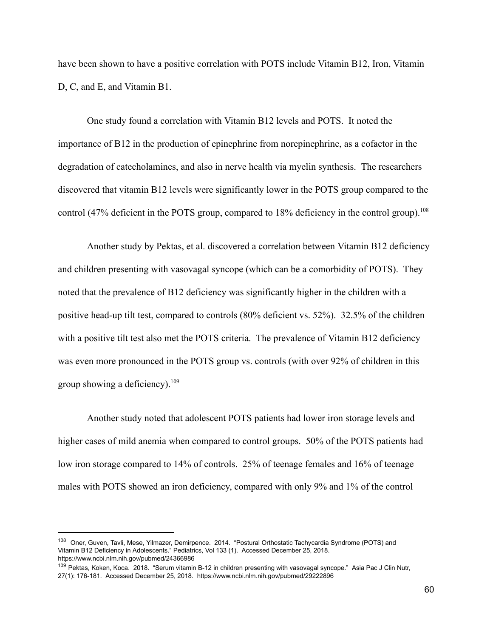have been shown to have a positive correlation with POTS include Vitamin B12, Iron, Vitamin D, C, and E, and Vitamin B1.

One study found a correlation with Vitamin B12 levels and POTS. It noted the importance of  $B12$  in the production of epinephrine from norepinephrine, as a cofactor in the degradation of catecholamines, and also in nerve health via myelin synthesis. The researchers discovered that vitamin B12 levels were significantly lower in the POTS group compared to the control (47% deficient in the POTS group, compared to  $18%$  deficiency in the control group).<sup>108</sup>

Another study by Pektas, et al. discovered a correlation between Vitamin B12 deficiency and children presenting with vasovagal syncope (which can be a comorbidity of POTS). They noted that the prevalence of B12 deficiency was significantly higher in the children with a positive head-up tilt test, compared to controls  $(80\%$  deficient vs.  $52\%$ ). 32.5% of the children with a positive tilt test also met the POTS criteria. The prevalence of Vitamin B12 deficiency was even more pronounced in the POTS group vs. controls (with over 92% of children in this group showing a deficiency).<sup>109</sup>

Another study noted that adolescent POTS patients had lower iron storage levels and higher cases of mild anemia when compared to control groups. 50% of the POTS patients had low iron storage compared to 14% of controls. 25% of teenage females and 16% of teenage males with POTS showed an iron deficiency, compared with only 9% and 1% of the control

<sup>108</sup> Oner, Guven, Tavli, Mese, Yilmazer, Demirpence. 2014. "Postural Orthostatic Tachycardia Syndrome (POTS) and Vitamin B12 Deficiency in Adolescents." Pediatrics, Vol 133 (1). Accessed December 25, 2018. https://www.ncbi.nlm.nih.gov/pubmed/24366986

<sup>&</sup>lt;sup>109</sup> Pektas, Koken, Koca. 2018. "Serum vitamin B-12 in children presenting with vasovagal syncope." Asia Pac J Clin Nutr, 27(1): 176-181. Accessed December 25, 2018. https://www.ncbi.nlm.nih.gov/pubmed/29222896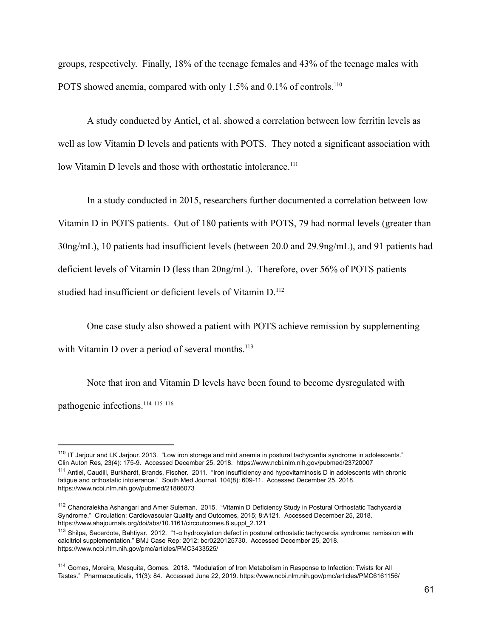groups, respectively. Finally,  $18%$  of the teenage females and  $43%$  of the teenage males with POTS showed anemia, compared with only 1.5% and 0.1% of controls.<sup>110</sup>

A study conducted by Antiel, et al. showed a correlation between low ferritin levels as well as low Vitamin D levels and patients with POTS. They noted a significant association with low Vitamin D levels and those with orthostatic intolerance.<sup>111</sup>

In a study conducted in 2015, researchers further documented a correlation between low Vitamin D in POTS patients. Out of 180 patients with POTS, 79 had normal levels (greater than  $30\,\text{ng/mL}$ ), 10 patients had insufficient levels (between 20.0 and 29.9ng/mL), and 91 patients had deficient levels of Vitamin D (less than  $20$ ng/mL). Therefore, over  $56\%$  of POTS patients studied had insufficient or deficient levels of Vitamin D.<sup>112</sup>

One case study also showed a patient with POTS achieve remission by supplementing with Vitamin D over a period of several months. $^{113}$ 

Note that iron and Vitamin D levels have been found to become dysregulated with pathogenic infections.<sup>114 115</sup> 116

<sup>&</sup>lt;sup>110</sup> IT Jarjour and LK Jarjour. 2013. "Low iron storage and mild anemia in postural tachycardia syndrome in adolescents." Clin Auton Res, 23(4): 175-9. Accessed December 25, 2018. https://www.ncbi.nlm.nih.gov/pubmed/23720007 <sup>111</sup> Antiel, Caudill, Burkhardt, Brands, Fischer. 2011. "Iron insufficiency and hypovitaminosis D in adolescents with chronic fatigue and orthostatic intolerance." South Med Journal, 104(8): 609-11. Accessed December 25, 2018. https://www.ncbi.nlm.nih.gov/pubmed/21886073

<sup>112</sup> Chandralekha Ashangari and Amer Suleman. 2015. "Vitamin D Deficiency Study in Postural Orthostatic Tachycardia Syndrome." Circulation: Cardiovascular Quality and Outcomes, 2015; 8:A121. Accessed December 25, 2018. https://www.ahajournals.org/doi/abs/10.1161/circoutcomes.8.suppl\_2.121

<sup>113</sup> Shilpa, Sacerdote, Bahtiyar. 2012. "1-α hydroxylation defect in postural orthostatic tachycardia syndrome: remission with calcitriol supplementation." BMJ Case Rep; 2012: bcr0220125730. Accessed December 25, 2018. https://www.ncbi.nlm.nih.gov/pmc/articles/PMC3433525/

<sup>114</sup> Gomes, Moreira, Mesquita, Gomes. 2018. "Modulation of Iron Metabolism in Response to Infection: Twists for All Tastes." Pharmaceuticals, 11(3): 84. Accessed June 22, 2019. https://www.ncbi.nlm.nih.gov/pmc/articles/PMC6161156/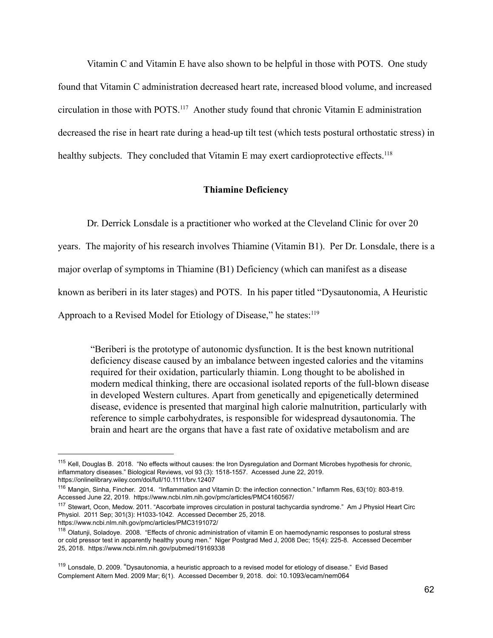Vitamin  $C$  and Vitamin  $E$  have also shown to be helpful in those with POTS. One study found that Vitamin C administration decreased heart rate, increased blood volume, and increased circulation in those with POTS.<sup>117</sup> Another study found that chronic Vitamin E administration decreased the rise in heart rate during a head-up tilt test (which tests postural orthostatic stress) in healthy subjects. They concluded that Vitamin E may exert cardioprotective effects.<sup>118</sup>

#### **Thiamine Deficiency**

Dr. Derrick Lonsdale is a practitioner who worked at the Cleveland Clinic for over 20

years. The majority of his research involves Thiamine (Vitamin B1). Per Dr. Lonsdale, there is a

major overlap of symptoms in Thiamine  $(B1)$  Deficiency (which can manifest as a disease

known as beriberi in its later stages) and POTS. In his paper titled "Dysautonomia, A Heuristic

Approach to a Revised Model for Etiology of Disease," he states: $^{119}$ 

"Beriberi is the prototype of autonomic dysfunction. It is the best known nutritional deficiency disease caused by an imbalance between ingested calories and the vitamins required for their oxidation, particularly thiamin. Long thought to be abolished in modern medical thinking, there are occasional isolated reports of the full-blown disease in developed Western cultures. Apart from genetically and epigenetically determined disease, evidence is presented that marginal high calorie malnutrition, particularly with reference to simple carbohydrates, is responsible for widespread dysautonomia. The brain and heart are the organs that have a fast rate of oxidative metabolism and are

<sup>&</sup>lt;sup>115</sup> Kell, Douglas B. 2018. "No effects without causes: the Iron Dysregulation and Dormant Microbes hypothesis for chronic, inflammatory diseases." Biological Reviews, vol 93 (3): 1518-1557. Accessed June 22, 2019. https://onlinelibrary.wiley.com/doi/full/10.1111/brv.12407

<sup>116</sup> Mangin, Sinha, Fincher. 2014. "Inflammation and Vitamin D: the infection connection." Inflamm Res, 63(10): 803-819. Accessed June 22, 2019. https://www.ncbi.nlm.nih.gov/pmc/articles/PMC4160567/

<sup>&</sup>lt;sup>117</sup> Stewart, Ocon, Medow. 2011. "Ascorbate improves circulation in postural tachycardia syndrome." Am J Physiol Heart Circ Physiol. 2011 Sep; 301(3): H1033-1042. Accessed December 25, 2018. https://www.ncbi.nlm.nih.gov/pmc/articles/PMC3191072/

<sup>118</sup> Olatunji, Soladoye. 2008. "Effects of chronic administration of vitamin E on haemodynamic responses to postural stress or cold pressor test in apparently healthy young men." Niger Postgrad Med J, 2008 Dec; 15(4): 225-8. Accessed December 25, 2018. https://www.ncbi.nlm.nih.gov/pubmed/19169338

<sup>&</sup>lt;sup>119</sup> Lonsdale, D. 2009. "Dysautonomia, a heuristic approach to a revised model for etiology of disease." Evid Based Complement Altern Med. 2009 Mar; 6(1). Accessed December 9, 2018. doi: 10.1093/ecam/nem064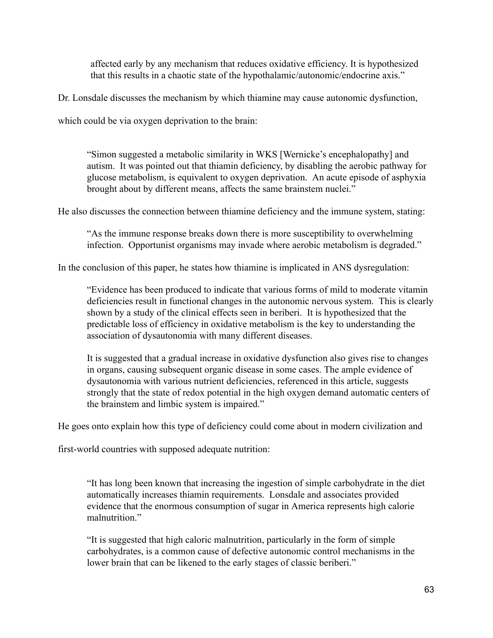affected early by any mechanism that reduces oxidative efficiency. It is hypothesized that this results in a chaotic state of the hypothalamic/autonomic/endocrine axis."

Dr. Lonsdale discusses the mechanism by which thiamine may cause autonomic dysfunction,

which could be via oxygen deprivation to the brain:

"Simon suggested a metabolic similarity in WKS [Wernicke's encephalopathy] and autism. It was pointed out that thiamin deficiency, by disabling the aerobic pathway for glucose metabolism, is equivalent to oxygen deprivation. An acute episode of asphyxia brought about by different means, affects the same brainstem nuclei."

He also discusses the connection between thiamine deficiency and the immune system, stating:

"As the immune response breaks down there is more susceptibility to overwhelming infection. Opportunist organisms may invade where aerobic metabolism is degraded."

In the conclusion of this paper, he states how thiamine is implicated in ANS dysregulation:

"Evidence has been produced to indicate that various forms of mild to moderate vitamin deficiencies result in functional changes in the autonomic nervous system. This is clearly shown by a study of the clinical effects seen in beriberi. It is hypothesized that the predictable loss of efficiency in oxidative metabolism is the key to understanding the association of dysautonomia with many different diseases.

It is suggested that a gradual increase in oxidative dysfunction also gives rise to changes in organs, causing subsequent organic disease in some cases. The ample evidence of dysautonomia with various nutrient deficiencies, referenced in this article, suggests strongly that the state of redox potential in the high oxygen demand automatic centers of the brainstem and limbic system is impaired."

He goes onto explain how this type of deficiency could come about in modern civilization and

first-world countries with supposed adequate nutrition:

"It has long been known that increasing the ingestion of simple carbohydrate in the diet automatically increases thiamin requirements. Lonsdale and associates provided evidence that the enormous consumption of sugar in America represents high calorie malnutrition<sup>"</sup>

"It is suggested that high caloric malnutrition, particularly in the form of simple carbohydrates, is a common cause of defective autonomic control mechanisms in the lower brain that can be likened to the early stages of classic beriberi."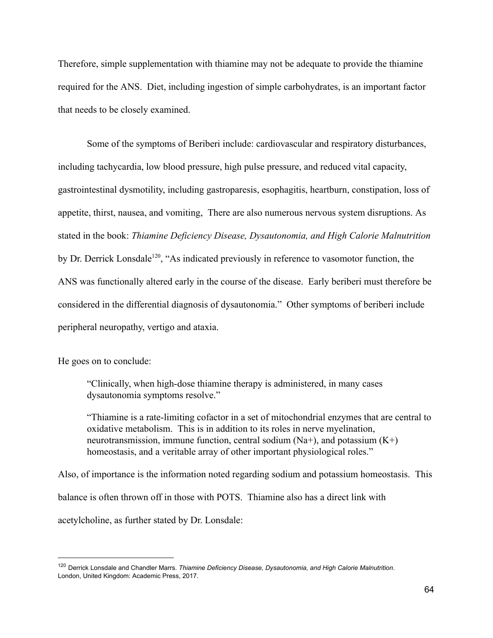Therefore, simple supplementation with thiamine may not be adequate to provide the thiamine required for the ANS. Diet, including ingestion of simple carbohydrates, is an important factor that needs to be closely examined.

Some of the symptoms of Beriberi include: cardiovascular and respiratory disturbances, including tachycardia, low blood pressure, high pulse pressure, and reduced vital capacity, gastrointestinal dysmotility, including gastroparesis, esophagitis, heartburn, constipation, loss of appetite, thirst, nausea, and vomiting, There are also numerous nervous system disruptions. As stated in the book: *Thiamine Deficiency Disease, Dysautonomia, and High Calorie Malnutrition* by Dr. Derrick Lonsdale<sup>120</sup>, "As indicated previously in reference to vasomotor function, the ANS was functionally altered early in the course of the disease. Early beriberi must therefore be considered in the differential diagnosis of dysautonomia." Other symptoms of beriberi include peripheral neuropathy, vertigo and ataxia.

He goes on to conclude:

"Clinically, when high-dose thiamine therapy is administered, in many cases dysautonomia symptoms resolve."

"Thiamine is a rate-limiting cofactor in a set of mitochondrial enzymes that are central to oxidative metabolism. This is in addition to its roles in nerve myelination, neurotransmission, immune function, central sodium  $(Na+)$ , and potassium  $(K+)$ homeostasis, and a veritable array of other important physiological roles."

Also, of importance is the information noted regarding sodium and potassium homeostasis. This balance is often thrown off in those with POTS. Thiamine also has a direct link with acetylcholine, as further stated by Dr. Lonsdale:

<sup>120</sup> Derrick Lonsdale and Chandler Marrs. *Thiamine Deficiency Disease, Dysautonomia, and High Calorie Malnutrition*. London, United Kingdom: Academic Press, 2017.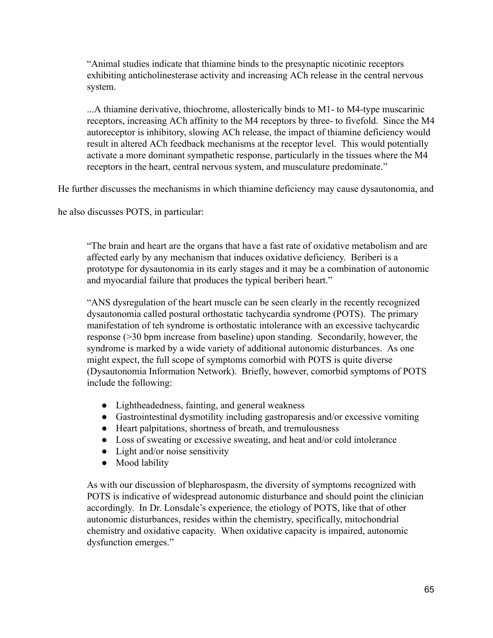"Animal studies indicate that thiamine binds to the presynaptic nicotinic receptors exhibiting anticholinesterase activity and increasing ACh release in the central nervous system.

...A thiamine derivative, thiochrome, allosterically binds to M1- to M4-type muscarinic receptors, increasing ACh affinity to the M4 receptors by three- to fivefold. Since the M4 autoreceptor is inhibitory, slowing ACh release, the impact of thiamine deficiency would result in altered ACh feedback mechanisms at the receptor level. This would potentially activate a more dominant sympathetic response, particularly in the tissues where the M4 receptors in the heart, central nervous system, and musculature predominate."

He further discusses the mechanisms in which thiamine deficiency may cause dysautonomia, and

he also discusses POTS, in particular:

"The brain and heart are the organs that have a fast rate of oxidative metabolism and are affected early by any mechanism that induces oxidative deficiency. Beriberi is a prototype for dysautonomia in its early stages and it may be a combination of autonomic and myocardial failure that produces the typical beriberi heart."

"ANS dysregulation of the heart muscle can be seen clearly in the recently recognized dysautonomia called postural orthostatic tachycardia syndrome (POTS). The primary manifestation of teh syndrome is orthostatic intolerance with an excessive tachycardic response  $(>= 30$  bpm increase from baseline) upon standing. Secondarily, however, the syndrome is marked by a wide variety of additional autonomic disturbances. As one might expect, the full scope of symptoms comorbid with POTS is quite diverse (Dysautonomia Information Network). Briefly, however, comorbid symptoms of POTS include the following:

- Lightheadedness, fainting, and general weakness
- Gastrointestinal dysmotility including gastroparesis and/or excessive vomiting
- Heart palpitations, shortness of breath, and tremulousness
- Loss of sweating or excessive sweating, and heat and/or cold intolerance
- $\bullet$  Light and/or noise sensitivity
- Mood lability

As with our discussion of blepharospasm, the diversity of symptoms recognized with POTS is indicative of widespread autonomic disturbance and should point the clinician accordingly. In Dr. Lonsdale's experience, the etiology of POTS, like that of other autonomic disturbances, resides within the chemistry, specifically, mitochondrial chemistry and oxidative capacity. When oxidative capacity is impaired, autonomic dysfunction emerges."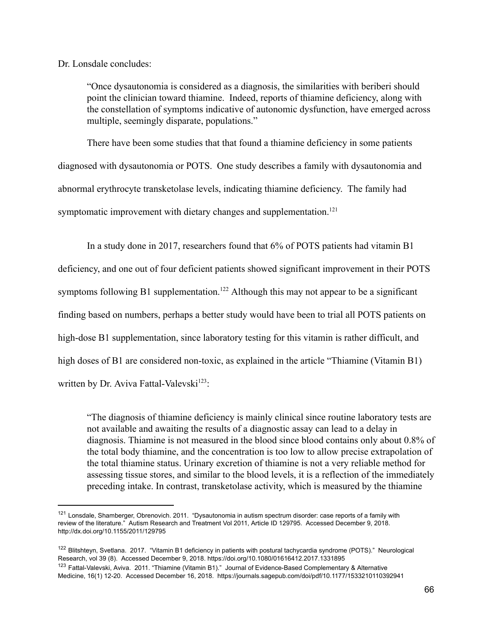Dr. Lonsdale concludes:

"Once dysautonomia is considered as a diagnosis, the similarities with beriberi should point the clinician toward thiamine. Indeed, reports of thiamine deficiency, along with the constellation of symptoms indicative of autonomic dysfunction, have emerged across multiple, seemingly disparate, populations."

There have been some studies that that found a thiamine deficiency in some patients diagnosed with dysautonomia or POTS. One study describes a family with dysautonomia and abnormal erythrocyte transketolase levels, indicating thiamine deficiency. The family had symptomatic improvement with dietary changes and supplementation.<sup>121</sup>

In a study done in 2017, researchers found that  $6\%$  of POTS patients had vitamin B1 deficiency, and one out of four deficient patients showed significant improvement in their POTS symptoms following B1 supplementation.<sup>122</sup> Although this may not appear to be a significant finding based on numbers, perhaps a better study would have been to trial all POTS patients on high-dose B1 supplementation, since laboratory testing for this vitamin is rather difficult, and high doses of B1 are considered non-toxic, as explained in the article "Thiamine (Vitamin B1) written by Dr. Aviva Fattal-Valevski<sup>123</sup>:

"The diagnosis of thiamine deficiency is mainly clinical since routine laboratory tests are not available and awaiting the results of a diagnostic assay can lead to a delay in diagnosis. Thiamine is not measured in the blood since blood contains only about 0.8% of the total body thiamine, and the concentration is too low to allow precise extrapolation of the total thiamine status. Urinary excretion of thiamine is not a very reliable method for assessing tissue stores, and similar to the blood levels, it is a reflection of the immediately preceding intake. In contrast, transketolase activity, which is measured by the thiamine

<sup>121</sup> Lonsdale, Shamberger, Obrenovich. 2011. "Dysautonomia in autism spectrum disorder: case reports of a family with review of the literature." Autism Research and Treatment Vol 2011, Article ID 129795. Accessed December 9, 2018. http://dx.doi.org/10.1155/2011/129795

<sup>&</sup>lt;sup>122</sup> Blitshteyn, Svetlana. 2017. "Vitamin B1 deficiency in patients with postural tachycardia syndrome (POTS)." Neurological Research, vol 39 (8). Accessed December 9, 2018. https://doi.org/10.1080/01616412.2017.1331895 <sup>123</sup> Fattal-Valevski, Aviva. 2011. "Thiamine (Vitamin B1)." Journal of Evidence-Based Complementary & Alternative Medicine, 16(1) 12-20. Accessed December 16, 2018. https://journals.sagepub.com/doi/pdf/10.1177/1533210110392941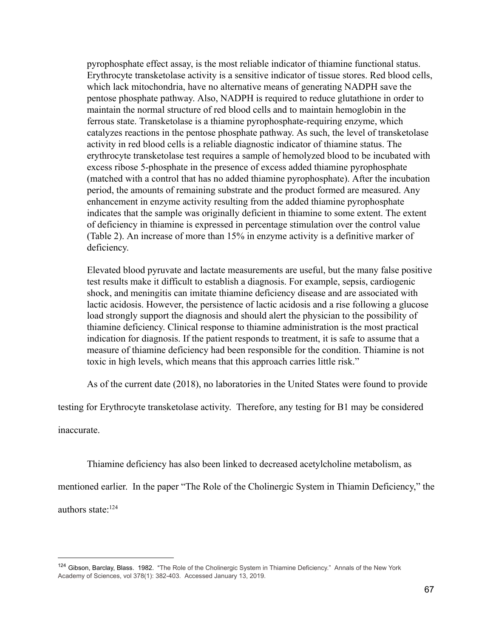pyrophosphate effect assay, is the most reliable indicator of thiamine functional status. Erythrocyte transketolase activity is a sensitive indicator of tissue stores. Red blood cells, which lack mitochondria, have no alternative means of generating NADPH save the pentose phosphate pathway. Also, NADPH is required to reduce glutathione in order to maintain the normal structure of red blood cells and to maintain hemoglobin in the ferrous state. Transketolase is a thiamine pyrophosphate-requiring enzyme, which catalyzes reactions in the pentose phosphate pathway. As such, the level of transketolase activity in red blood cells is a reliable diagnostic indicator of thiamine status. The erythrocyte transketolase test requires a sample of hemolyzed blood to be incubated with excess ribose 5-phosphate in the presence of excess added thiamine pyrophosphate (matched with a control that has no added thiamine pyrophosphate). After the incubation period, the amounts of remaining substrate and the product formed are measured. Any enhancement in enzyme activity resulting from the added thiamine pyrophosphate indicates that the sample was originally deficient in thiamine to some extent. The extent of deficiency in thiamine is expressed in percentage stimulation over the control value (Table 2). An increase of more than  $15\%$  in enzyme activity is a definitive marker of deficiency.

Elevated blood pyruvate and lactate measurements are useful, but the many false positive test results make it difficult to establish a diagnosis. For example, sepsis, cardiogenic shock, and meningitis can imitate thiamine deficiency disease and are associated with lactic acidosis. However, the persistence of lactic acidosis and a rise following a glucose load strongly support the diagnosis and should alert the physician to the possibility of thiamine deficiency. Clinical response to thiamine administration is the most practical indication for diagnosis. If the patient responds to treatment, it is safe to assume that a measure of thiamine deficiency had been responsible for the condition. Thiamine is not toxic in high levels, which means that this approach carries little risk."

As of the current date (2018), no laboratories in the United States were found to provide

testing for Erythrocyte transketolase activity. Therefore, any testing for B1 may be considered

inaccurate.

Thiamine deficiency has also been linked to decreased acetylcholine metabolism, as

mentioned earlier. In the paper "The Role of the Cholinergic System in Thiamin Deficiency," the authors state:<sup>124</sup>

<sup>124</sup> Gibson, Barclay, Blass. 1982. "The Role of the Cholinergic System in Thiamine Deficiency." Annals of the New York Academy of Sciences, vol 378(1): 382-403. Accessed January 13, 2019.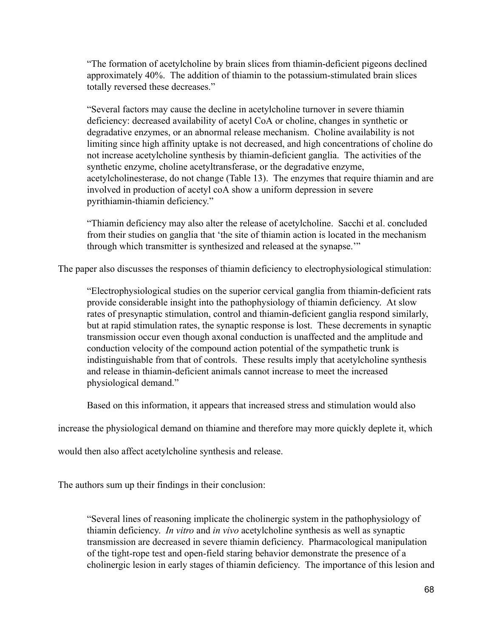"The formation of acetylcholine by brain slices from thiamin-deficient pigeons declined approximately  $40\%$ . The addition of thiamin to the potassium-stimulated brain slices totally reversed these decreases."

"Several factors may cause the decline in acetylcholine turnover in severe thiamin deficiency: decreased availability of acetyl CoA or choline, changes in synthetic or degradative enzymes, or an abnormal release mechanism. Choline availability is not limiting since high affinity uptake is not decreased, and high concentrations of choline do not increase acetylcholine synthesis by thiamin-deficient ganglia. The activities of the synthetic enzyme, choline acetyltransferase, or the degradative enzyme, acetylcholinesterase, do not change (Table 13). The enzymes that require thiamin and are involved in production of acetyl coA show a uniform depression in severe pyrithiamin-thiamin deficiency."

"Thiamin deficiency may also alter the release of acetylcholine. Sacchi et al. concluded from their studies on ganglia that 'the site of thiamin action is located in the mechanism through which transmitter is synthesized and released at the synapse."

The paper also discusses the responses of thiamin deficiency to electrophysiological stimulation:

"Electrophysiological studies on the superior cervical ganglia from thiamin-deficient rats provide considerable insight into the pathophysiology of thiamin deficiency. At slow rates of presynaptic stimulation, control and thiamin-deficient ganglia respond similarly, but at rapid stimulation rates, the synaptic response is lost. These decrements in synaptic transmission occur even though axonal conduction is unaffected and the amplitude and conduction velocity of the compound action potential of the sympathetic trunk is indistinguishable from that of controls. These results imply that acetylcholine synthesis and release in thiamin-deficient animals cannot increase to meet the increased physiological demand."

Based on this information, it appears that increased stress and stimulation would also

increase the physiological demand on thiamine and therefore may more quickly deplete it, which

would then also affect acetylcholine synthesis and release.

The authors sum up their findings in their conclusion:

"Several lines of reasoning implicate the cholinergic system in the pathophysiology of thiamin deficiency. *In vitro* and *in vivo* acetylcholine synthesis as well as synaptic transmission are decreased in severe thiamin deficiency. Pharmacological manipulation of the tight-rope test and open-field staring behavior demonstrate the presence of a cholinergic lesion in early stages of thiamin deficiency. The importance of this lesion and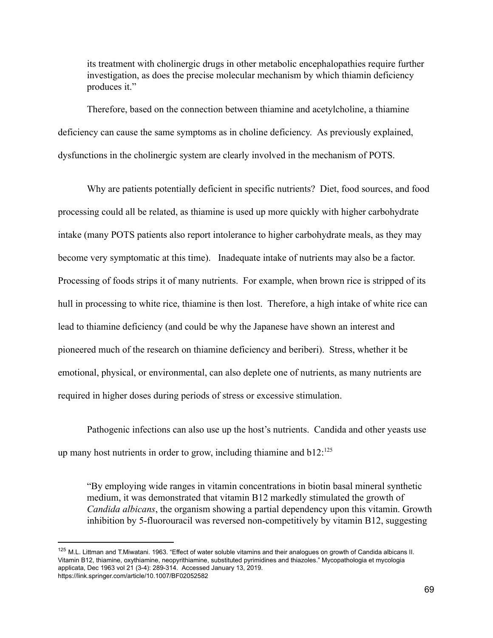its treatment with cholinergic drugs in other metabolic encephalopathies require further investigation, as does the precise molecular mechanism by which thiamin deficiency produces it."

Therefore, based on the connection between thiamine and acetylcholine, a thiamine deficiency can cause the same symptoms as in choline deficiency. As previously explained, dysfunctions in the cholinergic system are clearly involved in the mechanism of POTS.

Why are patients potentially deficient in specific nutrients? Diet, food sources, and food processing could all be related, as thiamine is used up more quickly with higher carbohydrate intake (many POTS patients also report intolerance to higher carbohydrate meals, as they may become very symptomatic at this time). Inadequate intake of nutrients may also be a factor. Processing of foods strips it of many nutrients. For example, when brown rice is stripped of its hull in processing to white rice, thiamine is then lost. Therefore, a high intake of white rice can lead to thiamine deficiency (and could be why the Japanese have shown an interest and pioneered much of the research on thiamine deficiency and beriberi). Stress, whether it be emotional, physical, or environmental, can also deplete one of nutrients, as many nutrients are required in higher doses during periods of stress or excessive stimulation.

Pathogenic infections can also use up the host's nutrients. Candida and other yeasts use up many host nutrients in order to grow, including thiamine and  $b12$ <sup>125</sup>

"By employing wide ranges in vitamin concentrations in biotin basal mineral synthetic medium, it was demonstrated that vitamin B12 markedly stimulated the growth of *Candida albicans*, the organism showing a partial dependency upon this vitamin. Growth inhibition by 5-fluorouracil was reversed non-competitively by vitamin  $B12$ , suggesting

<sup>&</sup>lt;sup>125</sup> M.L. Littman and T.Miwatani. 1963. "Effect of water soluble vitamins and their analogues on growth of Candida albicans II. Vitamin B12, thiamine, oxythiamine, neopyrithiamine, substituted pyrimidines and thiazoles." Mycopathologia et mycologia applicata, Dec 1963 vol 21 (3-4): 289-314. Accessed January 13, 2019. https://link.springer.com/article/10.1007/BF02052582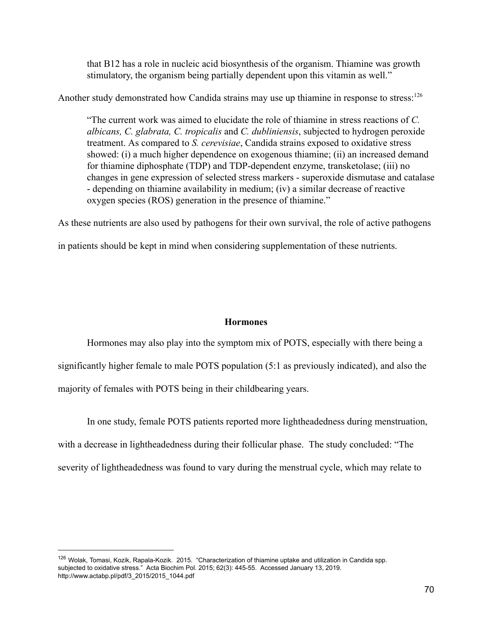that B12 has a role in nucleic acid biosynthesis of the organism. Thiamine was growth stimulatory, the organism being partially dependent upon this vitamin as well."

Another study demonstrated how Candida strains may use up thiamine in response to stress:  $126$ 

"The current work was aimed to elucidate the role of thiamine in stress reactions of  $C$ . *albicans, C. glabrata, C. tropicalis* and *C. dubliniensis*, subjected to hydrogen peroxide treatment. As compared to *S. cerevisiae*, Candida strains exposed to oxidative stress showed: (i) a much higher dependence on exogenous thiamine; (ii) an increased demand for thiamine diphosphate (TDP) and TDP-dependent enzyme, transketolase; (iii) no changes in gene expression of selected stress markers - superoxide dismutase and catalase - depending on thiamine availability in medium; (iv) a similar decrease of reactive oxygen species (ROS) generation in the presence of thiamine."

As these nutrients are also used by pathogens for their own survival, the role of active pathogens

in patients should be kept in mind when considering supplementation of these nutrients.

#### **Hormones**

Hormones may also play into the symptom mix of POTS, especially with there being a significantly higher female to male POTS population  $(5:1)$  as previously indicated), and also the majority of females with POTS being in their childbearing years.

In one study, female POTS patients reported more lightheadedness during menstruation, with a decrease in lightheadedness during their follicular phase. The study concluded: "The severity of lightheadedness was found to vary during the menstrual cycle, which may relate to

<sup>&</sup>lt;sup>126</sup> Wolak, Tomasi, Kozik, Rapala-Kozik. 2015. "Characterization of thiamine uptake and utilization in Candida spp. subjected to oxidative stress." Acta Biochim Pol. 2015; 62(3): 445-55. Accessed January 13, 2019. http://www.actabp.pl/pdf/3\_2015/2015\_1044.pdf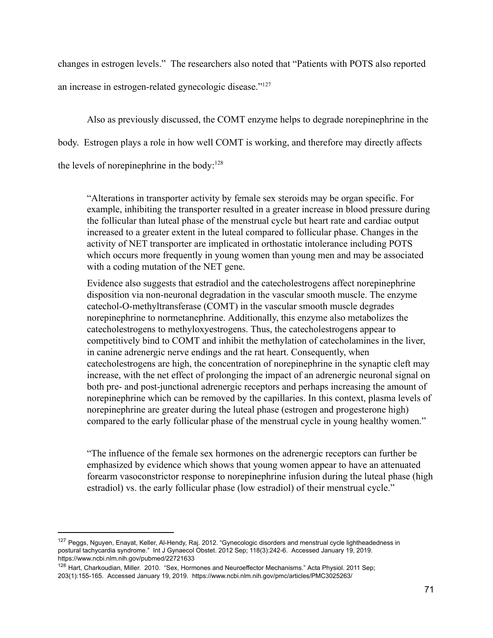changes in estrogen levels." The researchers also noted that "Patients with POTS also reported an increase in estrogen-related gynecologic disease." $127$ 

Also as previously discussed, the COMT enzyme helps to degrade norepinephrine in the body. Estrogen plays a role in how well COMT is working, and therefore may directly affects the levels of norepinephrine in the body: $128$ 

"Alterations in transporter activity by female sex steroids may be organ specific. For example, inhibiting the transporter resulted in a greater increase in blood pressure during the follicular than luteal phase of the menstrual cycle but heart rate and cardiac output increased to a greater extent in the luteal compared to follicular phase. Changes in the activity of NET transporter are implicated in orthostatic intolerance including POTS which occurs more frequently in young women than young men and may be associated with a coding mutation of the NET gene.

Evidence also suggests that estradiol and the catecholestrogens affect norepinephrine disposition via non-neuronal degradation in the vascular smooth muscle. The enzyme catechol-O-methyltransferase (COMT) in the vascular smooth muscle degrades norepinephrine to normetanephrine. Additionally, this enzyme also metabolizes the catecholestrogens to methyloxyestrogens. Thus, the catecholestrogens appear to competitively bind to COMT and inhibit the methylation of catecholamines in the liver, in canine adrenergic nerve endings and the rat heart. Consequently, when catecholestrogens are high, the concentration of norepinephrine in the synaptic cleft may increase, with the net effect of prolonging the impact of an adrenergic neuronal signal on both pre- and post-junctional adrenergic receptors and perhaps increasing the amount of norepinephrine which can be removed by the capillaries. In this context, plasma levels of norepinephrine are greater during the luteal phase (estrogen and progesterone high) compared to the early follicular phase of the menstrual cycle in young healthy women."

"The influence of the female sex hormones on the adrenergic receptors can further be emphasized by evidence which shows that young women appear to have an attenuated forearm vasoconstrictor response to norepinephrine infusion during the luteal phase (high estradiol) vs. the early follicular phase (low estradiol) of their menstrual cycle."

<sup>127</sup> Peggs, Nguyen, Enayat, Keller, Al-Hendy, Raj. 2012. "Gynecologic disorders and menstrual cycle lightheadedness in postural tachycardia syndrome." Int J Gynaecol Obstet. 2012 Sep; 118(3):242-6. Accessed January 19, 2019. https://www.ncbi.nlm.nih.gov/pubmed/22721633

<sup>&</sup>lt;sup>128</sup> Hart, Charkoudian, Miller. 2010. "Sex, Hormones and Neuroeffector Mechanisms." Acta Physiol. 2011 Sep; 203(1):155-165. Accessed January 19, 2019. https://www.ncbi.nlm.nih.gov/pmc/articles/PMC3025263/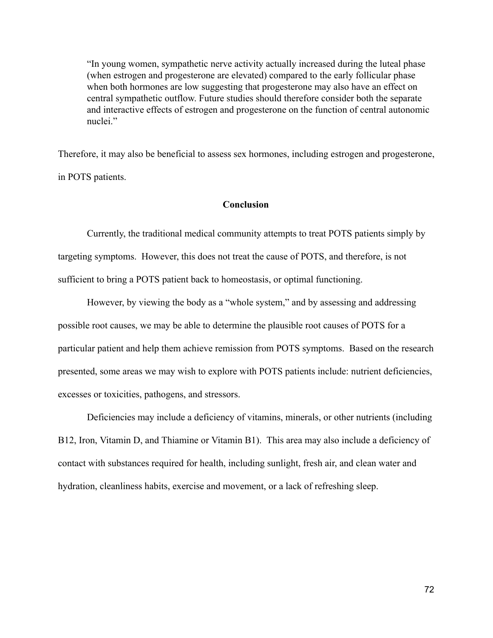"In young women, sympathetic nerve activity actually increased during the luteal phase (when estrogen and progesterone are elevated) compared to the early follicular phase when both hormones are low suggesting that progesterone may also have an effect on central sympathetic outflow. Future studies should therefore consider both the separate and interactive effects of estrogen and progesterone on the function of central autonomic nuclei<sup>"</sup>

Therefore, it may also be beneficial to assess sex hormones, including estrogen and progesterone, in POTS patients.

### **Conclusion**

Currently, the traditional medical community attempts to treat POTS patients simply by targeting symptoms. However, this does not treat the cause of POTS, and therefore, is not sufficient to bring a POTS patient back to homeostasis, or optimal functioning.

However, by viewing the body as a "whole system," and by assessing and addressing possible root causes, we may be able to determine the plausible root causes of POTS for a particular patient and help them achieve remission from POTS symptoms. Based on the research presented, some areas we may wish to explore with POTS patients include: nutrient deficiencies, excesses or toxicities, pathogens, and stressors.

Deficiencies may include a deficiency of vitamins, minerals, or other nutrients (including B12, Iron, Vitamin D, and Thiamine or Vitamin B1). This area may also include a deficiency of contact with substances required for health, including sunlight, fresh air, and clean water and hydration, cleanliness habits, exercise and movement, or a lack of refreshing sleep.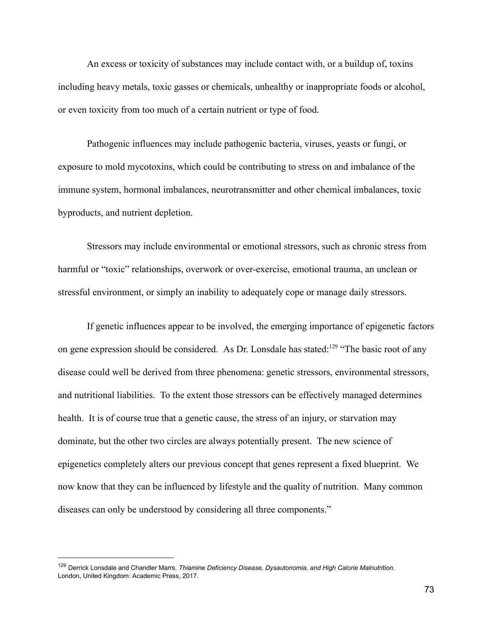An excess or toxicity of substances may include contact with, or a buildup of, toxins including heavy metals, toxic gasses or chemicals, unhealthy or inappropriate foods or alcohol, or even toxicity from too much of a certain nutrient or type of food.

Pathogenic influences may include pathogenic bacteria, viruses, yeasts or fungi, or exposure to mold mycotoxins, which could be contributing to stress on and imbalance of the immune system, hormonal imbalances, neurotransmitter and other chemical imbalances, toxic byproducts, and nutrient depletion.

Stressors may include environmental or emotional stressors, such as chronic stress from harmful or "toxic" relationships, overwork or over-exercise, emotional trauma, an unclean or stressful environment, or simply an inability to adequately cope or manage daily stressors.

If genetic influences appear to be involved, the emerging importance of epigenetic factors on gene expression should be considered. As Dr. Lonsdale has stated: <sup>129</sup> "The basic root of any disease could well be derived from three phenomena: genetic stressors, environmental stressors, and nutritional liabilities. To the extent those stressors can be effectively managed determines health. It is of course true that a genetic cause, the stress of an injury, or starvation may dominate, but the other two circles are always potentially present. The new science of epigenetics completely alters our previous concept that genes represent a fixed blueprint. We now know that they can be influenced by lifestyle and the quality of nutrition. Many common diseases can only be understood by considering all three components."

<sup>129</sup> Derrick Lonsdale and Chandler Marrs. *Thiamine Deficiency Disease, Dysautonomia, and High Calorie Malnutrition*. London, United Kingdom: Academic Press, 2017.